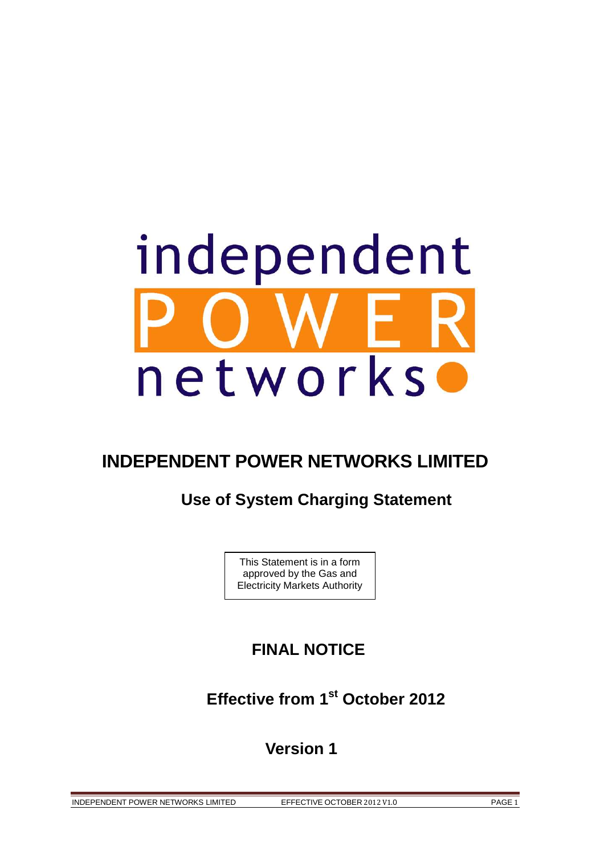

# **INDEPENDENT POWER NETWORKS LIMITED**

# **Use of System Charging Statement**

This Statement is in a form approved by the Gas and Electricity Markets Authority

# **FINAL NOTICE**

 **Effective from 1st October 2012** 

 **Version 1** 

INDEPENDENT POWER NETWORKS LIMITED EFFECTIVE OCTOBER 2012 V1.0 PAGE 1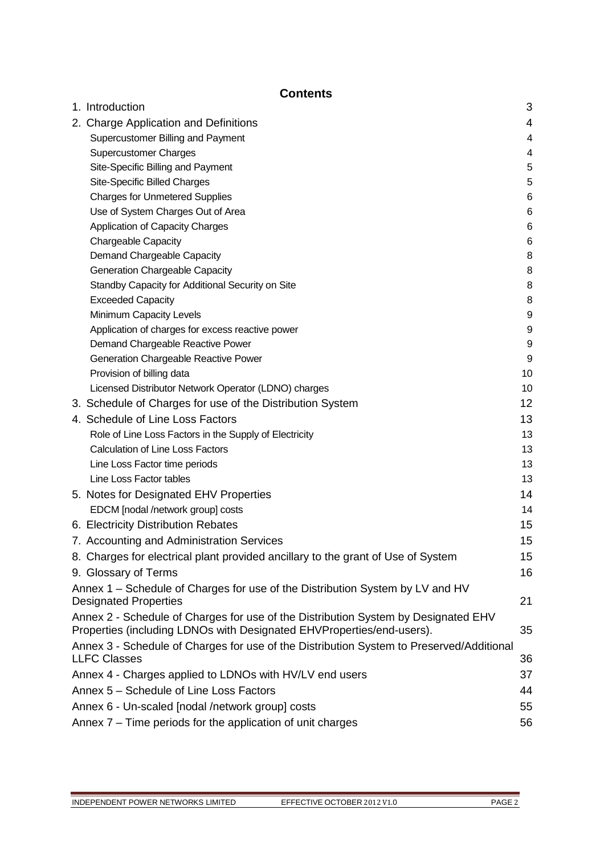# **Contents**

| 1. Introduction                                                                                                                                             | 3  |
|-------------------------------------------------------------------------------------------------------------------------------------------------------------|----|
| 2. Charge Application and Definitions                                                                                                                       | 4  |
| Supercustomer Billing and Payment                                                                                                                           | 4  |
| <b>Supercustomer Charges</b>                                                                                                                                | 4  |
| Site-Specific Billing and Payment                                                                                                                           | 5  |
| Site-Specific Billed Charges                                                                                                                                | 5  |
| <b>Charges for Unmetered Supplies</b>                                                                                                                       | 6  |
| Use of System Charges Out of Area                                                                                                                           | 6  |
| Application of Capacity Charges                                                                                                                             | 6  |
| Chargeable Capacity                                                                                                                                         | 6  |
| Demand Chargeable Capacity                                                                                                                                  | 8  |
| Generation Chargeable Capacity                                                                                                                              | 8  |
| Standby Capacity for Additional Security on Site                                                                                                            | 8  |
| <b>Exceeded Capacity</b>                                                                                                                                    | 8  |
| Minimum Capacity Levels                                                                                                                                     | 9  |
| Application of charges for excess reactive power                                                                                                            | 9  |
| Demand Chargeable Reactive Power                                                                                                                            | 9  |
| Generation Chargeable Reactive Power                                                                                                                        | 9  |
| Provision of billing data                                                                                                                                   | 10 |
| Licensed Distributor Network Operator (LDNO) charges                                                                                                        | 10 |
| 3. Schedule of Charges for use of the Distribution System                                                                                                   | 12 |
| 4. Schedule of Line Loss Factors                                                                                                                            | 13 |
| Role of Line Loss Factors in the Supply of Electricity                                                                                                      | 13 |
| <b>Calculation of Line Loss Factors</b>                                                                                                                     | 13 |
| Line Loss Factor time periods                                                                                                                               | 13 |
| Line Loss Factor tables                                                                                                                                     | 13 |
| 5. Notes for Designated EHV Properties                                                                                                                      | 14 |
| EDCM [nodal /network group] costs                                                                                                                           | 14 |
| 6. Electricity Distribution Rebates                                                                                                                         | 15 |
| 7. Accounting and Administration Services                                                                                                                   | 15 |
| 8. Charges for electrical plant provided ancillary to the grant of Use of System                                                                            | 15 |
| 9. Glossary of Terms                                                                                                                                        | 16 |
| Annex 1 – Schedule of Charges for use of the Distribution System by LV and HV                                                                               |    |
| <b>Designated Properties</b>                                                                                                                                | 21 |
| Annex 2 - Schedule of Charges for use of the Distribution System by Designated EHV<br>Properties (including LDNOs with Designated EHVProperties/end-users). | 35 |
| Annex 3 - Schedule of Charges for use of the Distribution System to Preserved/Additional<br><b>LLFC Classes</b>                                             | 36 |
| Annex 4 - Charges applied to LDNOs with HV/LV end users                                                                                                     | 37 |
| Annex 5 - Schedule of Line Loss Factors                                                                                                                     | 44 |
| Annex 6 - Un-scaled [nodal /network group] costs                                                                                                            | 55 |
| Annex 7 – Time periods for the application of unit charges                                                                                                  | 56 |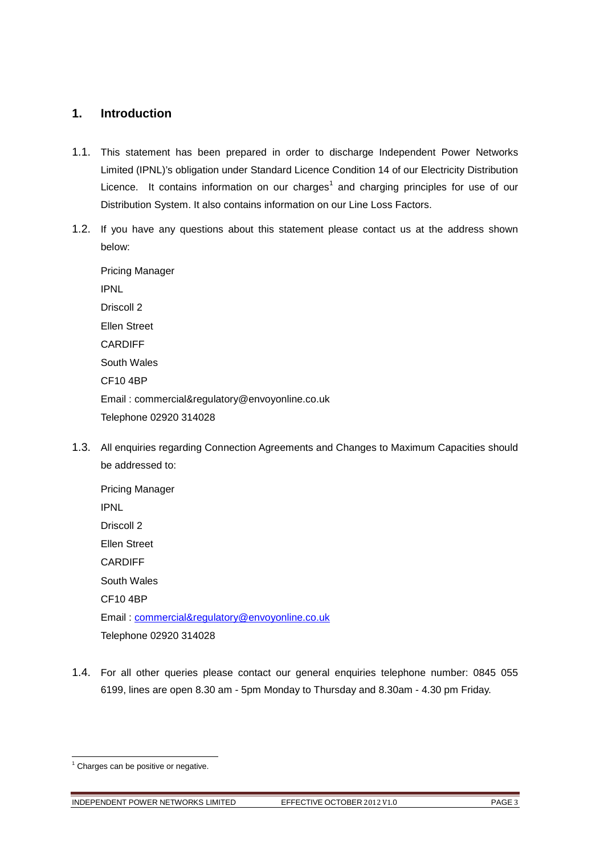# **1. Introduction**

- 1.1. This statement has been prepared in order to discharge Independent Power Networks Limited (IPNL)'s obligation under Standard Licence Condition 14 of our Electricity Distribution Licence. It contains information on our charges<sup>1</sup> and charging principles for use of our Distribution System. It also contains information on our Line Loss Factors.
- 1.2. If you have any questions about this statement please contact us at the address shown below:

Pricing Manager IPNL Driscoll 2 Ellen Street CARDIFF South Wales CF10 4BP Email: commercial&regulatory@envoyonline.co.uk Telephone 02920 314028

1.3. All enquiries regarding Connection Agreements and Changes to Maximum Capacities should be addressed to:

Pricing Manager IPNL Driscoll 2 Ellen Street CARDIFF South Wales CF10 4BP Email: commercial&regulatory@envoyonline.co.uk Telephone 02920 314028

1.4. For all other queries please contact our general enquiries telephone number: 0845 055 6199, lines are open 8.30 am - 5pm Monday to Thursday and 8.30am - 4.30 pm Friday.

l

INDEPENDENT POWER NETWORKS LIMITED EFFECTIVE OCTOBER 2012 V1.0 PAGE 3

<sup>&</sup>lt;sup>1</sup> Charges can be positive or negative.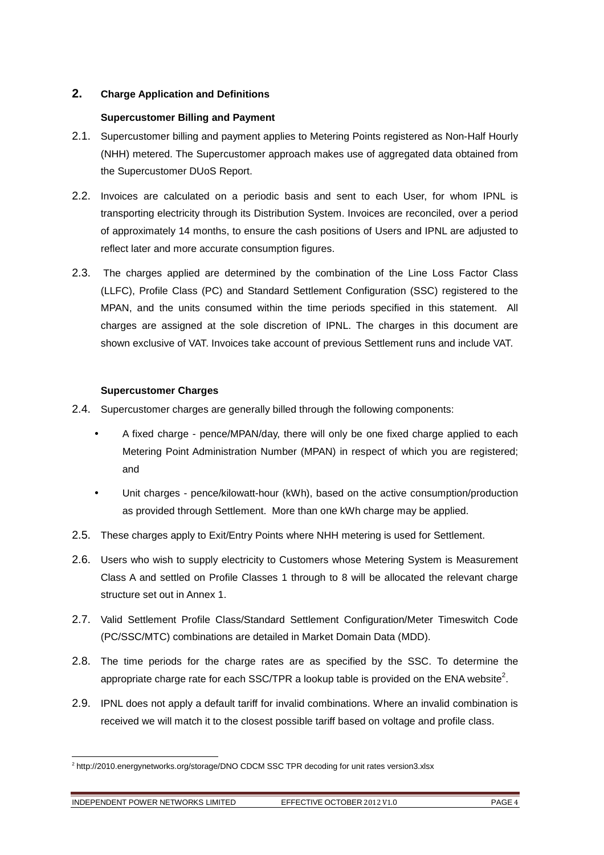# **2. Charge Application and Definitions**

# **Supercustomer Billing and Payment**

- 2.1. Supercustomer billing and payment applies to Metering Points registered as Non-Half Hourly (NHH) metered. The Supercustomer approach makes use of aggregated data obtained from the Supercustomer DUoS Report.
- 2.2. Invoices are calculated on a periodic basis and sent to each User, for whom IPNL is transporting electricity through its Distribution System. Invoices are reconciled, over a period of approximately 14 months, to ensure the cash positions of Users and IPNL are adjusted to reflect later and more accurate consumption figures.
- 2.3. The charges applied are determined by the combination of the Line Loss Factor Class (LLFC), Profile Class (PC) and Standard Settlement Configuration (SSC) registered to the MPAN, and the units consumed within the time periods specified in this statement. All charges are assigned at the sole discretion of IPNL. The charges in this document are shown exclusive of VAT. Invoices take account of previous Settlement runs and include VAT.

# **Supercustomer Charges**

- 2.4. Supercustomer charges are generally billed through the following components:
	- A fixed charge pence/MPAN/day, there will only be one fixed charge applied to each Metering Point Administration Number (MPAN) in respect of which you are registered; and
	- Unit charges pence/kilowatt-hour (kWh), based on the active consumption/production as provided through Settlement. More than one kWh charge may be applied.
- 2.5. These charges apply to Exit/Entry Points where NHH metering is used for Settlement.
- 2.6. Users who wish to supply electricity to Customers whose Metering System is Measurement Class A and settled on Profile Classes 1 through to 8 will be allocated the relevant charge structure set out in Annex 1.
- 2.7. Valid Settlement Profile Class/Standard Settlement Configuration/Meter Timeswitch Code (PC/SSC/MTC) combinations are detailed in Market Domain Data (MDD).
- 2.8. The time periods for the charge rates are as specified by the SSC. To determine the appropriate charge rate for each SSC/TPR a lookup table is provided on the ENA website<sup>2</sup>.
- 2.9. IPNL does not apply a default tariff for invalid combinations. Where an invalid combination is received we will match it to the closest possible tariff based on voltage and profile class.

l

<sup>&</sup>lt;sup>2</sup> http://2010.energynetworks.org/storage/DNO CDCM SSC TPR decoding for unit rates version3.xlsx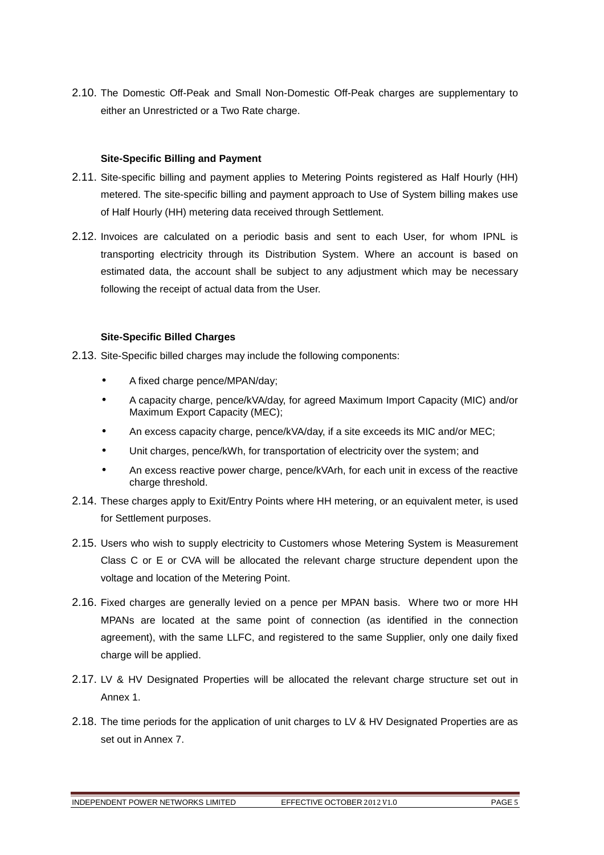2.10. The Domestic Off-Peak and Small Non-Domestic Off-Peak charges are supplementary to either an Unrestricted or a Two Rate charge.

# **Site-Specific Billing and Payment**

- 2.11. Site-specific billing and payment applies to Metering Points registered as Half Hourly (HH) metered. The site-specific billing and payment approach to Use of System billing makes use of Half Hourly (HH) metering data received through Settlement.
- 2.12. Invoices are calculated on a periodic basis and sent to each User, for whom IPNL is transporting electricity through its Distribution System. Where an account is based on estimated data, the account shall be subject to any adjustment which may be necessary following the receipt of actual data from the User.

### **Site-Specific Billed Charges**

- 2.13. Site-Specific billed charges may include the following components:
	- A fixed charge pence/MPAN/day;
	- A capacity charge, pence/kVA/day, for agreed Maximum Import Capacity (MIC) and/or Maximum Export Capacity (MEC);
	- An excess capacity charge, pence/kVA/day, if a site exceeds its MIC and/or MEC;
	- Unit charges, pence/kWh, for transportation of electricity over the system; and
	- An excess reactive power charge, pence/kVArh, for each unit in excess of the reactive charge threshold.
- 2.14. These charges apply to Exit/Entry Points where HH metering, or an equivalent meter, is used for Settlement purposes.
- 2.15. Users who wish to supply electricity to Customers whose Metering System is Measurement Class C or E or CVA will be allocated the relevant charge structure dependent upon the voltage and location of the Metering Point.
- 2.16. Fixed charges are generally levied on a pence per MPAN basis. Where two or more HH MPANs are located at the same point of connection (as identified in the connection agreement), with the same LLFC, and registered to the same Supplier, only one daily fixed charge will be applied.
- 2.17. LV & HV Designated Properties will be allocated the relevant charge structure set out in Annex 1.
- 2.18. The time periods for the application of unit charges to LV & HV Designated Properties are as set out in Annex 7.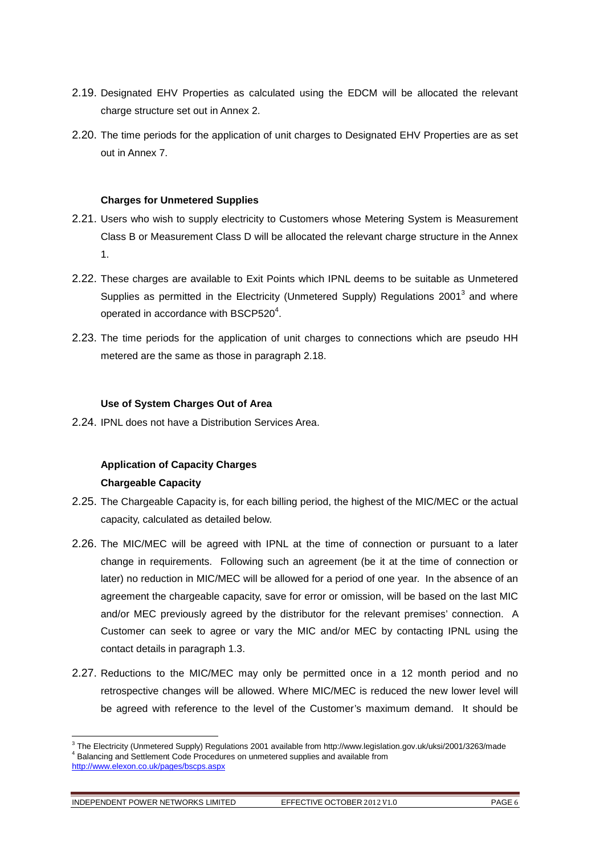- 2.19. Designated EHV Properties as calculated using the EDCM will be allocated the relevant charge structure set out in Annex 2.
- 2.20. The time periods for the application of unit charges to Designated EHV Properties are as set out in Annex 7.

### **Charges for Unmetered Supplies**

- 2.21. Users who wish to supply electricity to Customers whose Metering System is Measurement Class B or Measurement Class D will be allocated the relevant charge structure in the Annex 1.
- 2.22. These charges are available to Exit Points which IPNL deems to be suitable as Unmetered Supplies as permitted in the Electricity (Unmetered Supply) Regulations 2001<sup>3</sup> and where operated in accordance with BSCP520 $4$ .
- 2.23. The time periods for the application of unit charges to connections which are pseudo HH metered are the same as those in paragraph 2.18.

# **Use of System Charges Out of Area**

2.24. IPNL does not have a Distribution Services Area.

# **Application of Capacity Charges Chargeable Capacity**

- 2.25. The Chargeable Capacity is, for each billing period, the highest of the MIC/MEC or the actual capacity, calculated as detailed below.
- 2.26. The MIC/MEC will be agreed with IPNL at the time of connection or pursuant to a later change in requirements. Following such an agreement (be it at the time of connection or later) no reduction in MIC/MEC will be allowed for a period of one year. In the absence of an agreement the chargeable capacity, save for error or omission, will be based on the last MIC and/or MEC previously agreed by the distributor for the relevant premises' connection. A Customer can seek to agree or vary the MIC and/or MEC by contacting IPNL using the contact details in paragraph 1.3.
- 2.27. Reductions to the MIC/MEC may only be permitted once in a 12 month period and no retrospective changes will be allowed. Where MIC/MEC is reduced the new lower level will be agreed with reference to the level of the Customer's maximum demand. It should be

l

<sup>&</sup>lt;sup>3</sup> The Electricity (Unmetered Supply) Regulations 2001 available from http://www.legislation.gov.uk/uksi/2001/3263/made <sup>4</sup> Balancing and Settlement Code Procedures on unmetered supplies and available from

http://www.elexon.co.uk/pages/bscps.aspx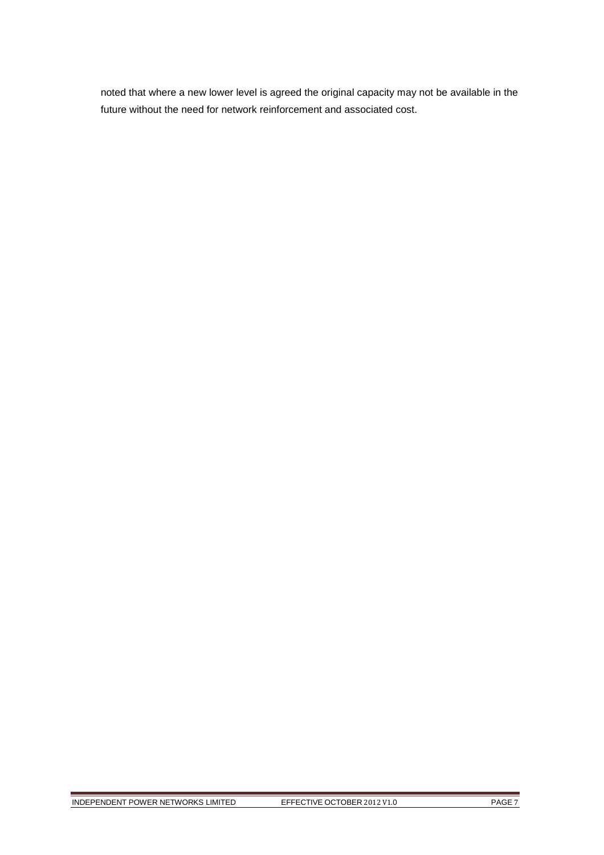noted that where a new lower level is agreed the original capacity may not be available in the future without the need for network reinforcement and associated cost.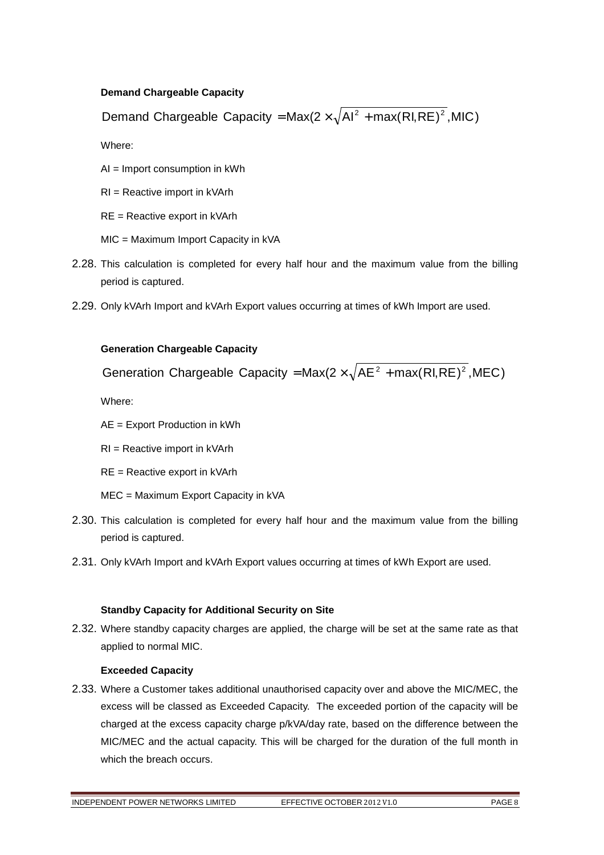# **Demand Chargeable Capacity**

Demand Chargeable Capacity = Max(2  $\times \sqrt{Al^2 + max(RI,RE)^2}$ , MIC)

Where:

AI = Import consumption in kWh

RI = Reactive import in kVArh

RE = Reactive export in kVArh

MIC = Maximum Import Capacity in kVA

- 2.28. This calculation is completed for every half hour and the maximum value from the billing period is captured.
- 2.29. Only kVArh Import and kVArh Export values occurring at times of kWh Import are used.

# **Generation Chargeable Capacity**

Generation Chargeable Capacity = Max( $2 \times \sqrt{AE^2 + max(RI,RE)^2}$ , MEC)

Where:

AE = Export Production in kWh

RI = Reactive import in kVArh

RE = Reactive export in kVArh

MEC = Maximum Export Capacity in kVA

- 2.30. This calculation is completed for every half hour and the maximum value from the billing period is captured.
- 2.31. Only kVArh Import and kVArh Export values occurring at times of kWh Export are used.

# **Standby Capacity for Additional Security on Site**

2.32. Where standby capacity charges are applied, the charge will be set at the same rate as that applied to normal MIC.

# **Exceeded Capacity**

2.33. Where a Customer takes additional unauthorised capacity over and above the MIC/MEC, the excess will be classed as Exceeded Capacity. The exceeded portion of the capacity will be charged at the excess capacity charge p/kVA/day rate, based on the difference between the MIC/MEC and the actual capacity. This will be charged for the duration of the full month in which the breach occurs.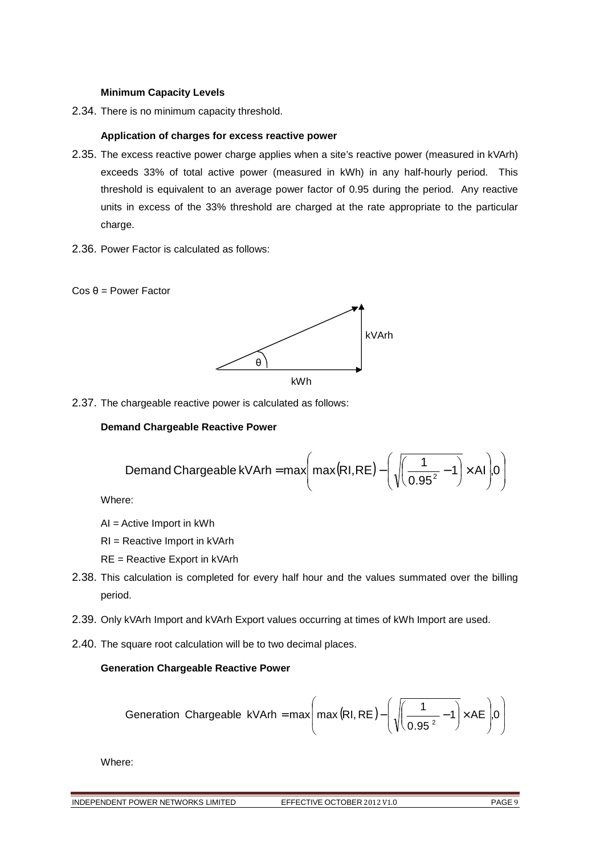### **Minimum Capacity Levels**

2.34. There is no minimum capacity threshold.

### **Application of charges for excess reactive power**

- 2.35. The excess reactive power charge applies when a site's reactive power (measured in kVArh) exceeds 33% of total active power (measured in kWh) in any half-hourly period. This threshold is equivalent to an average power factor of 0.95 during the period. Any reactive units in excess of the 33% threshold are charged at the rate appropriate to the particular charge.
- 2.36. Power Factor is calculated as follows:





2.37. The chargeable reactive power is calculated as follows:

# **Demand Chargeable Reactive Power**

$$
\text{Demand Chargeable kVArh} = \max\left(\max(RI,RE) - \left(\sqrt{\left(\frac{1}{0.95^2} - 1\right)} \times Al\right) 0\right)
$$

Where:

AI = Active Import in kWh

RI = Reactive Import in kVArh

- RE = Reactive Export in kVArh
- 2.38. This calculation is completed for every half hour and the values summated over the billing period.
- 2.39. Only kVArh Import and kVArh Export values occurring at times of kWh Import are used.
- 2.40. The square root calculation will be to two decimal places.

# **Generation Chargeable Reactive Power**

$$
\text{Generation Chargeable kVArh} = \max\left(\max\left(RI, RE\right) - \left(\sqrt{\frac{1}{0.95^2} - 1}\right) \times AE\right) \text{,}0\right)
$$

Where:

INDEPENDENT POWER NETWORKS LIMITED EFFECTIVE OCTOBER 2012 V1.0 PAGE 9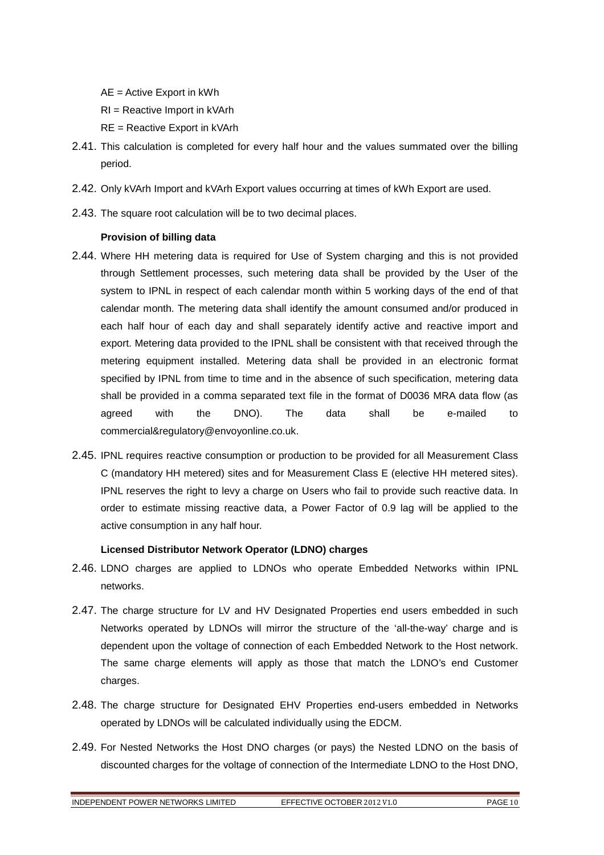AE = Active Export in kWh

- RI = Reactive Import in kVArh
- RE = Reactive Export in kVArh
- 2.41. This calculation is completed for every half hour and the values summated over the billing period.
- 2.42. Only kVArh Import and kVArh Export values occurring at times of kWh Export are used.
- 2.43. The square root calculation will be to two decimal places.

# **Provision of billing data**

- 2.44. Where HH metering data is required for Use of System charging and this is not provided through Settlement processes, such metering data shall be provided by the User of the system to IPNL in respect of each calendar month within 5 working days of the end of that calendar month. The metering data shall identify the amount consumed and/or produced in each half hour of each day and shall separately identify active and reactive import and export. Metering data provided to the IPNL shall be consistent with that received through the metering equipment installed. Metering data shall be provided in an electronic format specified by IPNL from time to time and in the absence of such specification, metering data shall be provided in a comma separated text file in the format of D0036 MRA data flow (as agreed with the DNO). The data shall be e-mailed to commercial&regulatory@envoyonline.co.uk.
- 2.45. IPNL requires reactive consumption or production to be provided for all Measurement Class C (mandatory HH metered) sites and for Measurement Class E (elective HH metered sites). IPNL reserves the right to levy a charge on Users who fail to provide such reactive data. In order to estimate missing reactive data, a Power Factor of 0.9 lag will be applied to the active consumption in any half hour.

# **Licensed Distributor Network Operator (LDNO) charges**

- 2.46. LDNO charges are applied to LDNOs who operate Embedded Networks within IPNL networks.
- 2.47. The charge structure for LV and HV Designated Properties end users embedded in such Networks operated by LDNOs will mirror the structure of the 'all-the-way' charge and is dependent upon the voltage of connection of each Embedded Network to the Host network. The same charge elements will apply as those that match the LDNO's end Customer charges.
- 2.48. The charge structure for Designated EHV Properties end-users embedded in Networks operated by LDNOs will be calculated individually using the EDCM.
- 2.49. For Nested Networks the Host DNO charges (or pays) the Nested LDNO on the basis of discounted charges for the voltage of connection of the Intermediate LDNO to the Host DNO,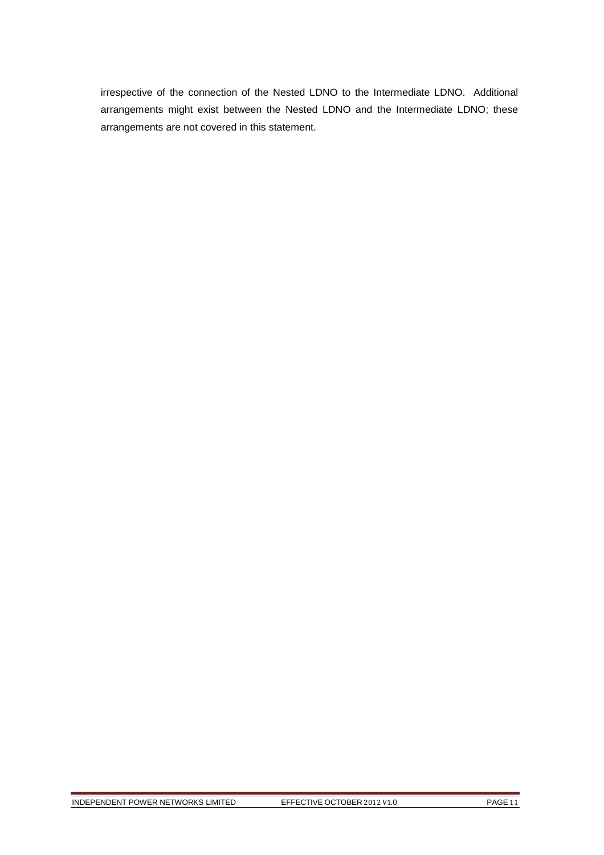irrespective of the connection of the Nested LDNO to the Intermediate LDNO. Additional arrangements might exist between the Nested LDNO and the Intermediate LDNO; these arrangements are not covered in this statement.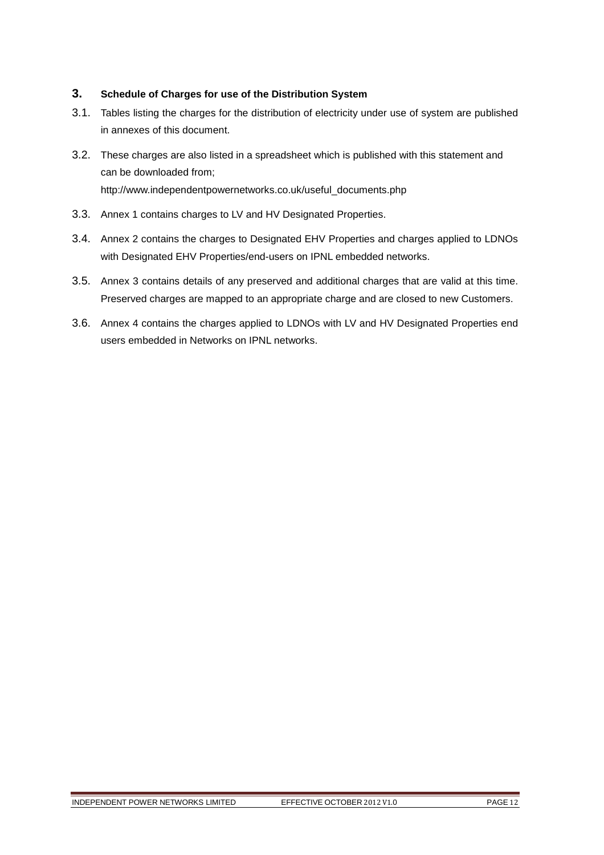# **3. Schedule of Charges for use of the Distribution System**

- 3.1. Tables listing the charges for the distribution of electricity under use of system are published in annexes of this document.
- 3.2. These charges are also listed in a spreadsheet which is published with this statement and can be downloaded from; http://www.independentpowernetworks.co.uk/useful\_documents.php
- 3.3. Annex 1 contains charges to LV and HV Designated Properties.
- 3.4. Annex 2 contains the charges to Designated EHV Properties and charges applied to LDNOs with Designated EHV Properties/end-users on IPNL embedded networks.
- 3.5. Annex 3 contains details of any preserved and additional charges that are valid at this time. Preserved charges are mapped to an appropriate charge and are closed to new Customers.
- 3.6. Annex 4 contains the charges applied to LDNOs with LV and HV Designated Properties end users embedded in Networks on IPNL networks.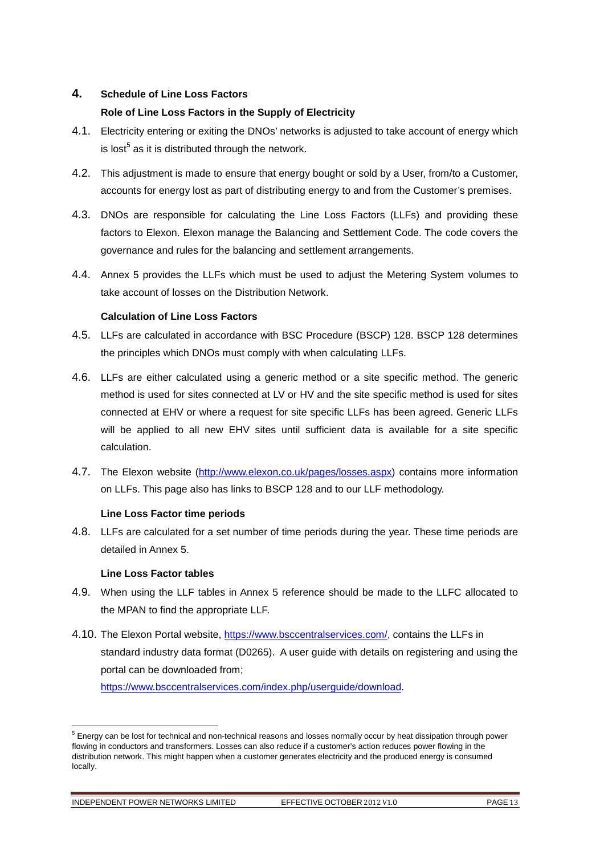# **4. Schedule of Line Loss Factors**

# **Role of Line Loss Factors in the Supply of Electricity**

- 4.1. Electricity entering or exiting the DNOs' networks is adjusted to take account of energy which is lost $<sup>5</sup>$  as it is distributed through the network.</sup>
- 4.2. This adjustment is made to ensure that energy bought or sold by a User, from/to a Customer, accounts for energy lost as part of distributing energy to and from the Customer's premises.
- 4.3. DNOs are responsible for calculating the Line Loss Factors (LLFs) and providing these factors to Elexon. Elexon manage the Balancing and Settlement Code. The code covers the governance and rules for the balancing and settlement arrangements.
- 4.4. Annex 5 provides the LLFs which must be used to adjust the Metering System volumes to take account of losses on the Distribution Network.

# **Calculation of Line Loss Factors**

- 4.5. LLFs are calculated in accordance with BSC Procedure (BSCP) 128. BSCP 128 determines the principles which DNOs must comply with when calculating LLFs.
- 4.6. LLFs are either calculated using a generic method or a site specific method. The generic method is used for sites connected at LV or HV and the site specific method is used for sites connected at EHV or where a request for site specific LLFs has been agreed. Generic LLFs will be applied to all new EHV sites until sufficient data is available for a site specific calculation.
- 4.7. The Elexon website (http://www.elexon.co.uk/pages/losses.aspx) contains more information on LLFs. This page also has links to BSCP 128 and to our LLF methodology.

# **Line Loss Factor time periods**

4.8. LLFs are calculated for a set number of time periods during the year. These time periods are detailed in Annex 5.

# **Line Loss Factor tables**

- 4.9. When using the LLF tables in Annex 5 reference should be made to the LLFC allocated to the MPAN to find the appropriate LLF.
- 4.10. The Elexon Portal website, https://www.bsccentralservices.com/, contains the LLFs in standard industry data format (D0265). A user guide with details on registering and using the portal can be downloaded from;

https://www.bsccentralservices.com/index.php/userguide/download.

l

<sup>&</sup>lt;sup>5</sup> Energy can be lost for technical and non-technical reasons and losses normally occur by heat dissipation through power flowing in conductors and transformers. Losses can also reduce if a customer's action reduces power flowing in the distribution network. This might happen when a customer generates electricity and the produced energy is consumed locally.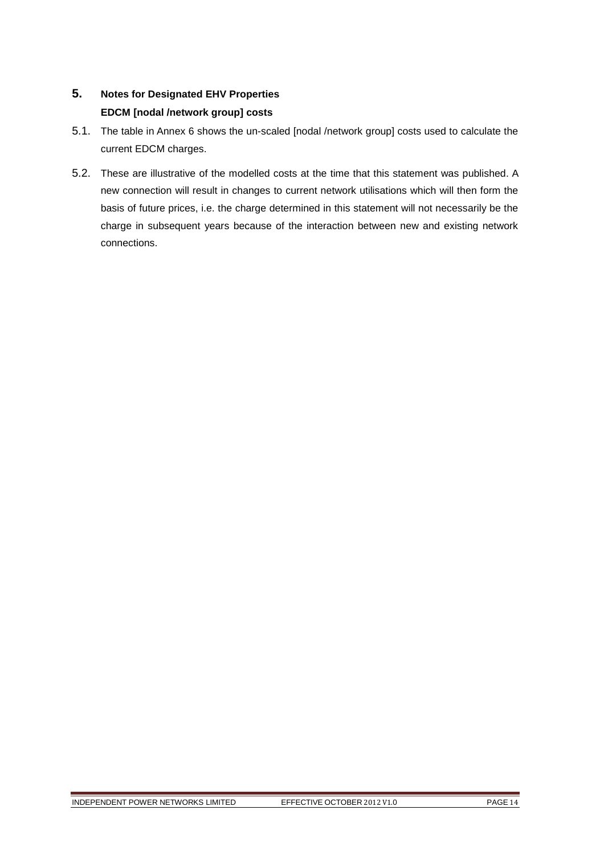# **5. Notes for Designated EHV Properties EDCM [nodal /network group] costs**

- 5.1. The table in Annex 6 shows the un-scaled [nodal /network group] costs used to calculate the current EDCM charges.
- 5.2. These are illustrative of the modelled costs at the time that this statement was published. A new connection will result in changes to current network utilisations which will then form the basis of future prices, i.e. the charge determined in this statement will not necessarily be the charge in subsequent years because of the interaction between new and existing network connections.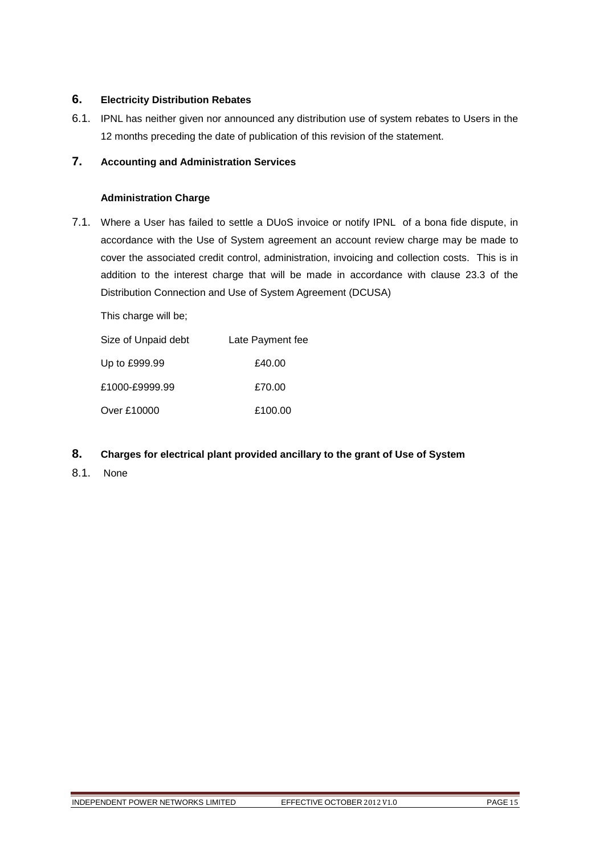# **6. Electricity Distribution Rebates**

6.1. IPNL has neither given nor announced any distribution use of system rebates to Users in the 12 months preceding the date of publication of this revision of the statement.

# **7. Accounting and Administration Services**

# **Administration Charge**

7.1. Where a User has failed to settle a DUoS invoice or notify IPNL of a bona fide dispute, in accordance with the Use of System agreement an account review charge may be made to cover the associated credit control, administration, invoicing and collection costs. This is in addition to the interest charge that will be made in accordance with clause 23.3 of the Distribution Connection and Use of System Agreement (DCUSA)

This charge will be;

| Size of Unpaid debt | Late Payment fee |
|---------------------|------------------|
| Up to £999.99       | £40.00           |
| £1000-£9999.99      | £70.00           |
| Over £10000         | £100.00          |

- **8. Charges for electrical plant provided ancillary to the grant of Use of System**
- 8.1. None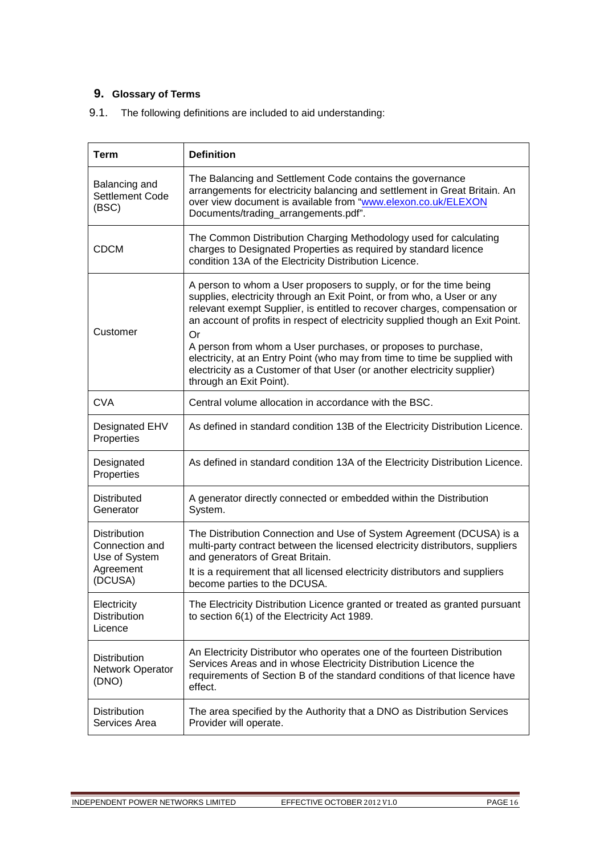# **9. Glossary of Terms**

9.1. The following definitions are included to aid understanding:

| <b>Term</b>                                                                    | <b>Definition</b>                                                                                                                                                                                                                                                                                                                                                                                                                                                                                                                                                        |  |  |  |  |  |  |
|--------------------------------------------------------------------------------|--------------------------------------------------------------------------------------------------------------------------------------------------------------------------------------------------------------------------------------------------------------------------------------------------------------------------------------------------------------------------------------------------------------------------------------------------------------------------------------------------------------------------------------------------------------------------|--|--|--|--|--|--|
| Balancing and<br>Settlement Code<br>(BSC)                                      | The Balancing and Settlement Code contains the governance<br>arrangements for electricity balancing and settlement in Great Britain. An<br>over view document is available from "www.elexon.co.uk/ELEXON<br>Documents/trading_arrangements.pdf".                                                                                                                                                                                                                                                                                                                         |  |  |  |  |  |  |
| <b>CDCM</b>                                                                    | The Common Distribution Charging Methodology used for calculating<br>charges to Designated Properties as required by standard licence<br>condition 13A of the Electricity Distribution Licence.                                                                                                                                                                                                                                                                                                                                                                          |  |  |  |  |  |  |
| Customer                                                                       | A person to whom a User proposers to supply, or for the time being<br>supplies, electricity through an Exit Point, or from who, a User or any<br>relevant exempt Supplier, is entitled to recover charges, compensation or<br>an account of profits in respect of electricity supplied though an Exit Point.<br>Or<br>A person from whom a User purchases, or proposes to purchase,<br>electricity, at an Entry Point (who may from time to time be supplied with<br>electricity as a Customer of that User (or another electricity supplier)<br>through an Exit Point). |  |  |  |  |  |  |
| <b>CVA</b>                                                                     | Central volume allocation in accordance with the BSC.                                                                                                                                                                                                                                                                                                                                                                                                                                                                                                                    |  |  |  |  |  |  |
| <b>Designated EHV</b><br>Properties                                            | As defined in standard condition 13B of the Electricity Distribution Licence.                                                                                                                                                                                                                                                                                                                                                                                                                                                                                            |  |  |  |  |  |  |
| Designated<br>Properties                                                       | As defined in standard condition 13A of the Electricity Distribution Licence.                                                                                                                                                                                                                                                                                                                                                                                                                                                                                            |  |  |  |  |  |  |
| <b>Distributed</b><br>Generator                                                | A generator directly connected or embedded within the Distribution<br>System.                                                                                                                                                                                                                                                                                                                                                                                                                                                                                            |  |  |  |  |  |  |
| <b>Distribution</b><br>Connection and<br>Use of System<br>Agreement<br>(DCUSA) | The Distribution Connection and Use of System Agreement (DCUSA) is a<br>multi-party contract between the licensed electricity distributors, suppliers<br>and generators of Great Britain.<br>It is a requirement that all licensed electricity distributors and suppliers<br>become parties to the DCUSA.                                                                                                                                                                                                                                                                |  |  |  |  |  |  |
| Electricity<br><b>Distribution</b><br>Licence                                  | The Electricity Distribution Licence granted or treated as granted pursuant<br>to section 6(1) of the Electricity Act 1989.                                                                                                                                                                                                                                                                                                                                                                                                                                              |  |  |  |  |  |  |
| <b>Distribution</b><br>Network Operator<br>(DNO)                               | An Electricity Distributor who operates one of the fourteen Distribution<br>Services Areas and in whose Electricity Distribution Licence the<br>requirements of Section B of the standard conditions of that licence have<br>effect.                                                                                                                                                                                                                                                                                                                                     |  |  |  |  |  |  |
| <b>Distribution</b><br>Services Area                                           | The area specified by the Authority that a DNO as Distribution Services<br>Provider will operate.                                                                                                                                                                                                                                                                                                                                                                                                                                                                        |  |  |  |  |  |  |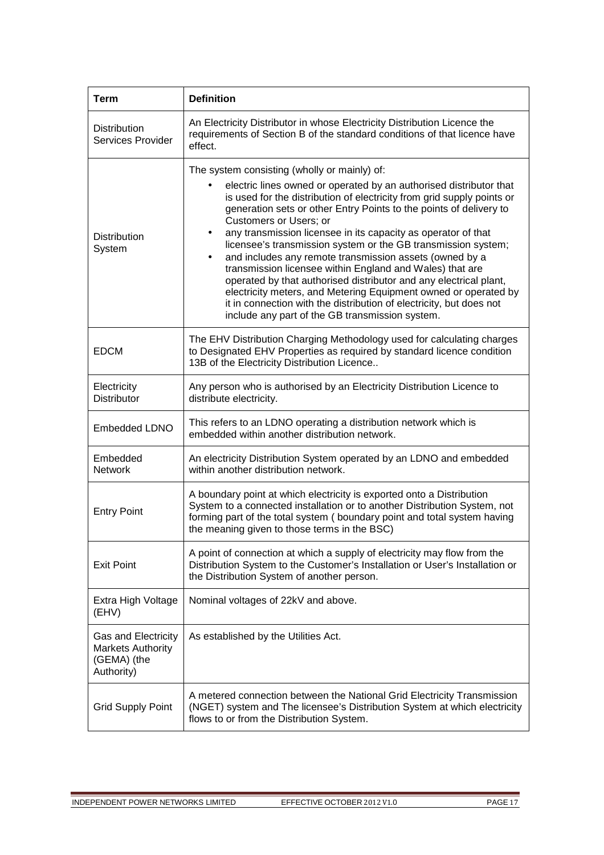| <b>Term</b>                                                                  | <b>Definition</b>                                                                                                                                                                                                                                                                                                                                                                                                                                                                                                                                                                                                                                                                                                                                                                                                                                |  |  |  |  |  |  |  |  |
|------------------------------------------------------------------------------|--------------------------------------------------------------------------------------------------------------------------------------------------------------------------------------------------------------------------------------------------------------------------------------------------------------------------------------------------------------------------------------------------------------------------------------------------------------------------------------------------------------------------------------------------------------------------------------------------------------------------------------------------------------------------------------------------------------------------------------------------------------------------------------------------------------------------------------------------|--|--|--|--|--|--|--|--|
| <b>Distribution</b><br>Services Provider                                     | An Electricity Distributor in whose Electricity Distribution Licence the<br>requirements of Section B of the standard conditions of that licence have<br>effect.                                                                                                                                                                                                                                                                                                                                                                                                                                                                                                                                                                                                                                                                                 |  |  |  |  |  |  |  |  |
| <b>Distribution</b><br>System                                                | The system consisting (wholly or mainly) of:<br>electric lines owned or operated by an authorised distributor that<br>٠<br>is used for the distribution of electricity from grid supply points or<br>generation sets or other Entry Points to the points of delivery to<br><b>Customers or Users; or</b><br>any transmission licensee in its capacity as operator of that<br>licensee's transmission system or the GB transmission system;<br>and includes any remote transmission assets (owned by a<br>$\bullet$<br>transmission licensee within England and Wales) that are<br>operated by that authorised distributor and any electrical plant,<br>electricity meters, and Metering Equipment owned or operated by<br>it in connection with the distribution of electricity, but does not<br>include any part of the GB transmission system. |  |  |  |  |  |  |  |  |
| <b>EDCM</b>                                                                  | The EHV Distribution Charging Methodology used for calculating charges<br>to Designated EHV Properties as required by standard licence condition<br>13B of the Electricity Distribution Licence                                                                                                                                                                                                                                                                                                                                                                                                                                                                                                                                                                                                                                                  |  |  |  |  |  |  |  |  |
| Electricity<br><b>Distributor</b>                                            | Any person who is authorised by an Electricity Distribution Licence to<br>distribute electricity.                                                                                                                                                                                                                                                                                                                                                                                                                                                                                                                                                                                                                                                                                                                                                |  |  |  |  |  |  |  |  |
| <b>Embedded LDNO</b>                                                         | This refers to an LDNO operating a distribution network which is<br>embedded within another distribution network.                                                                                                                                                                                                                                                                                                                                                                                                                                                                                                                                                                                                                                                                                                                                |  |  |  |  |  |  |  |  |
| Embedded<br><b>Network</b>                                                   | An electricity Distribution System operated by an LDNO and embedded<br>within another distribution network.                                                                                                                                                                                                                                                                                                                                                                                                                                                                                                                                                                                                                                                                                                                                      |  |  |  |  |  |  |  |  |
| <b>Entry Point</b>                                                           | A boundary point at which electricity is exported onto a Distribution<br>System to a connected installation or to another Distribution System, not<br>forming part of the total system (boundary point and total system having<br>the meaning given to those terms in the BSC)                                                                                                                                                                                                                                                                                                                                                                                                                                                                                                                                                                   |  |  |  |  |  |  |  |  |
| <b>Exit Point</b>                                                            | A point of connection at which a supply of electricity may flow from the<br>Distribution System to the Customer's Installation or User's Installation or<br>the Distribution System of another person.                                                                                                                                                                                                                                                                                                                                                                                                                                                                                                                                                                                                                                           |  |  |  |  |  |  |  |  |
| Extra High Voltage<br>(EHV)                                                  | Nominal voltages of 22kV and above.                                                                                                                                                                                                                                                                                                                                                                                                                                                                                                                                                                                                                                                                                                                                                                                                              |  |  |  |  |  |  |  |  |
| Gas and Electricity<br><b>Markets Authority</b><br>(GEMA) (the<br>Authority) | As established by the Utilities Act.                                                                                                                                                                                                                                                                                                                                                                                                                                                                                                                                                                                                                                                                                                                                                                                                             |  |  |  |  |  |  |  |  |
| <b>Grid Supply Point</b>                                                     | A metered connection between the National Grid Electricity Transmission<br>(NGET) system and The licensee's Distribution System at which electricity<br>flows to or from the Distribution System.                                                                                                                                                                                                                                                                                                                                                                                                                                                                                                                                                                                                                                                |  |  |  |  |  |  |  |  |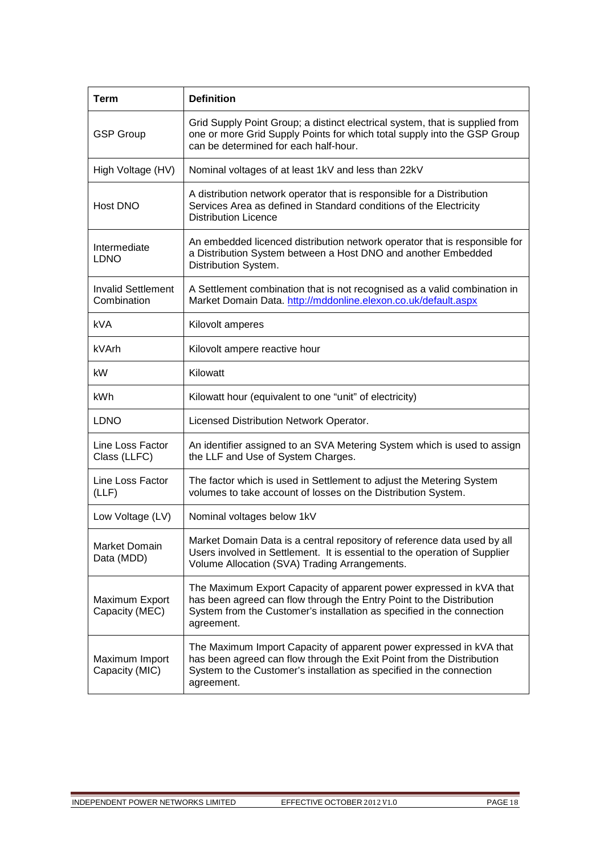| <b>Term</b>                              | <b>Definition</b>                                                                                                                                                                                                                   |
|------------------------------------------|-------------------------------------------------------------------------------------------------------------------------------------------------------------------------------------------------------------------------------------|
| <b>GSP Group</b>                         | Grid Supply Point Group; a distinct electrical system, that is supplied from<br>one or more Grid Supply Points for which total supply into the GSP Group<br>can be determined for each half-hour.                                   |
| High Voltage (HV)                        | Nominal voltages of at least 1kV and less than 22kV                                                                                                                                                                                 |
| Host DNO                                 | A distribution network operator that is responsible for a Distribution<br>Services Area as defined in Standard conditions of the Electricity<br><b>Distribution Licence</b>                                                         |
| Intermediate<br><b>LDNO</b>              | An embedded licenced distribution network operator that is responsible for<br>a Distribution System between a Host DNO and another Embedded<br>Distribution System.                                                                 |
| <b>Invalid Settlement</b><br>Combination | A Settlement combination that is not recognised as a valid combination in<br>Market Domain Data. http://mddonline.elexon.co.uk/default.aspx                                                                                         |
| <b>kVA</b>                               | Kilovolt amperes                                                                                                                                                                                                                    |
| kVArh                                    | Kilovolt ampere reactive hour                                                                                                                                                                                                       |
| kW                                       | Kilowatt                                                                                                                                                                                                                            |
| kWh                                      | Kilowatt hour (equivalent to one "unit" of electricity)                                                                                                                                                                             |
| <b>LDNO</b>                              | Licensed Distribution Network Operator.                                                                                                                                                                                             |
| Line Loss Factor<br>Class (LLFC)         | An identifier assigned to an SVA Metering System which is used to assign<br>the LLF and Use of System Charges.                                                                                                                      |
| Line Loss Factor<br>(LLF)                | The factor which is used in Settlement to adjust the Metering System<br>volumes to take account of losses on the Distribution System.                                                                                               |
| Low Voltage (LV)                         | Nominal voltages below 1kV                                                                                                                                                                                                          |
| Market Domain<br>Data (MDD)              | Market Domain Data is a central repository of reference data used by all<br>Users involved in Settlement. It is essential to the operation of Supplier<br>Volume Allocation (SVA) Trading Arrangements.                             |
| Maximum Export<br>Capacity (MEC)         | The Maximum Export Capacity of apparent power expressed in kVA that<br>has been agreed can flow through the Entry Point to the Distribution<br>System from the Customer's installation as specified in the connection<br>agreement. |
| Maximum Import<br>Capacity (MIC)         | The Maximum Import Capacity of apparent power expressed in kVA that<br>has been agreed can flow through the Exit Point from the Distribution<br>System to the Customer's installation as specified in the connection<br>agreement.  |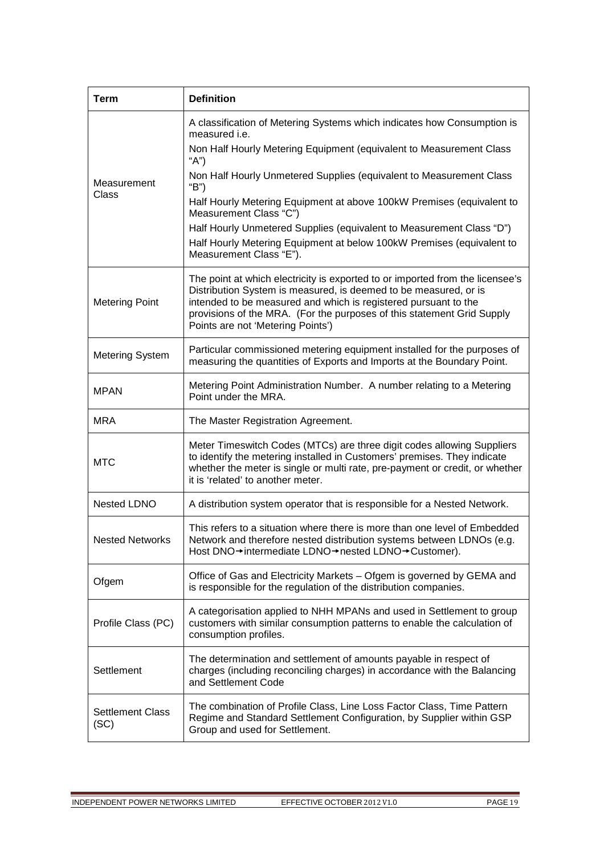| <b>Term</b>                     | <b>Definition</b>                                                                                                                                                                                                                                                                                                                   |  |  |  |  |  |  |
|---------------------------------|-------------------------------------------------------------------------------------------------------------------------------------------------------------------------------------------------------------------------------------------------------------------------------------------------------------------------------------|--|--|--|--|--|--|
|                                 | A classification of Metering Systems which indicates how Consumption is<br>measured <i>i.e.</i>                                                                                                                                                                                                                                     |  |  |  |  |  |  |
|                                 | Non Half Hourly Metering Equipment (equivalent to Measurement Class<br>"A")                                                                                                                                                                                                                                                         |  |  |  |  |  |  |
| Measurement                     | Non Half Hourly Unmetered Supplies (equivalent to Measurement Class<br>"B")                                                                                                                                                                                                                                                         |  |  |  |  |  |  |
| Class                           | Half Hourly Metering Equipment at above 100kW Premises (equivalent to<br>Measurement Class "C")                                                                                                                                                                                                                                     |  |  |  |  |  |  |
|                                 | Half Hourly Unmetered Supplies (equivalent to Measurement Class "D")                                                                                                                                                                                                                                                                |  |  |  |  |  |  |
|                                 | Half Hourly Metering Equipment at below 100kW Premises (equivalent to<br>Measurement Class "E").                                                                                                                                                                                                                                    |  |  |  |  |  |  |
| <b>Metering Point</b>           | The point at which electricity is exported to or imported from the licensee's<br>Distribution System is measured, is deemed to be measured, or is<br>intended to be measured and which is registered pursuant to the<br>provisions of the MRA. (For the purposes of this statement Grid Supply<br>Points are not 'Metering Points') |  |  |  |  |  |  |
| <b>Metering System</b>          | Particular commissioned metering equipment installed for the purposes of<br>measuring the quantities of Exports and Imports at the Boundary Point.                                                                                                                                                                                  |  |  |  |  |  |  |
| <b>MPAN</b>                     | Metering Point Administration Number. A number relating to a Metering<br>Point under the MRA.                                                                                                                                                                                                                                       |  |  |  |  |  |  |
| <b>MRA</b>                      | The Master Registration Agreement.                                                                                                                                                                                                                                                                                                  |  |  |  |  |  |  |
| <b>MTC</b>                      | Meter Timeswitch Codes (MTCs) are three digit codes allowing Suppliers<br>to identify the metering installed in Customers' premises. They indicate<br>whether the meter is single or multi rate, pre-payment or credit, or whether<br>it is 'related' to another meter.                                                             |  |  |  |  |  |  |
| Nested LDNO                     | A distribution system operator that is responsible for a Nested Network.                                                                                                                                                                                                                                                            |  |  |  |  |  |  |
| <b>Nested Networks</b>          | This refers to a situation where there is more than one level of Embedded<br>Network and therefore nested distribution systems between LDNOs (e.g.<br>Host DNO→intermediate LDNO→nested LDNO→Customer).                                                                                                                             |  |  |  |  |  |  |
| Ofgem                           | Office of Gas and Electricity Markets - Ofgem is governed by GEMA and<br>is responsible for the regulation of the distribution companies.                                                                                                                                                                                           |  |  |  |  |  |  |
| Profile Class (PC)              | A categorisation applied to NHH MPANs and used in Settlement to group<br>customers with similar consumption patterns to enable the calculation of<br>consumption profiles.                                                                                                                                                          |  |  |  |  |  |  |
| Settlement                      | The determination and settlement of amounts payable in respect of<br>charges (including reconciling charges) in accordance with the Balancing<br>and Settlement Code                                                                                                                                                                |  |  |  |  |  |  |
| <b>Settlement Class</b><br>(SC) | The combination of Profile Class, Line Loss Factor Class, Time Pattern<br>Regime and Standard Settlement Configuration, by Supplier within GSP<br>Group and used for Settlement.                                                                                                                                                    |  |  |  |  |  |  |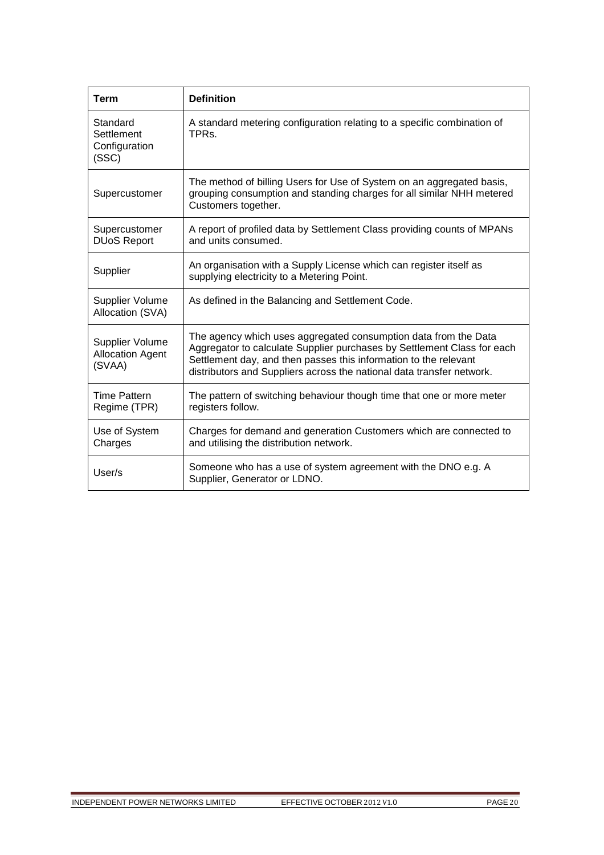| <b>Term</b>                                          | <b>Definition</b>                                                                                                                                                                                                                                                                       |  |  |  |  |  |  |
|------------------------------------------------------|-----------------------------------------------------------------------------------------------------------------------------------------------------------------------------------------------------------------------------------------------------------------------------------------|--|--|--|--|--|--|
| Standard<br>Settlement<br>Configuration<br>(SSC)     | A standard metering configuration relating to a specific combination of<br>TPRs.                                                                                                                                                                                                        |  |  |  |  |  |  |
| Supercustomer                                        | The method of billing Users for Use of System on an aggregated basis,<br>grouping consumption and standing charges for all similar NHH metered<br>Customers together.                                                                                                                   |  |  |  |  |  |  |
| Supercustomer<br><b>DUoS Report</b>                  | A report of profiled data by Settlement Class providing counts of MPANs<br>and units consumed.                                                                                                                                                                                          |  |  |  |  |  |  |
| Supplier                                             | An organisation with a Supply License which can register itself as<br>supplying electricity to a Metering Point.                                                                                                                                                                        |  |  |  |  |  |  |
| Supplier Volume<br>Allocation (SVA)                  | As defined in the Balancing and Settlement Code.                                                                                                                                                                                                                                        |  |  |  |  |  |  |
| Supplier Volume<br><b>Allocation Agent</b><br>(SVAA) | The agency which uses aggregated consumption data from the Data<br>Aggregator to calculate Supplier purchases by Settlement Class for each<br>Settlement day, and then passes this information to the relevant<br>distributors and Suppliers across the national data transfer network. |  |  |  |  |  |  |
| <b>Time Pattern</b><br>Regime (TPR)                  | The pattern of switching behaviour though time that one or more meter<br>registers follow.                                                                                                                                                                                              |  |  |  |  |  |  |
| Use of System<br>Charges                             | Charges for demand and generation Customers which are connected to<br>and utilising the distribution network.                                                                                                                                                                           |  |  |  |  |  |  |
| User/s                                               | Someone who has a use of system agreement with the DNO e.g. A<br>Supplier, Generator or LDNO.                                                                                                                                                                                           |  |  |  |  |  |  |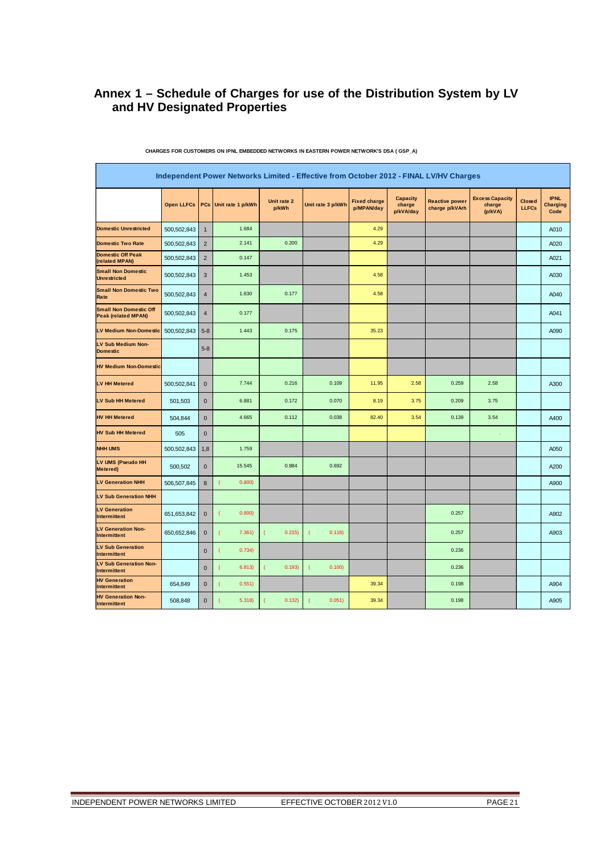# **Annex 1 – Schedule of Charges for use of the Distribution System by LV and HV Designated Properties**

|                                                             |                   |                | Independent Power Networks Limited - Effective from October 2012 - FINAL LV/HV Charges |                      |                   |                                   |                                        |                                         |                                             |                               |                                        |
|-------------------------------------------------------------|-------------------|----------------|----------------------------------------------------------------------------------------|----------------------|-------------------|-----------------------------------|----------------------------------------|-----------------------------------------|---------------------------------------------|-------------------------------|----------------------------------------|
|                                                             | <b>Open LLFCs</b> | PCs            | Unit rate 1 p/kWh                                                                      | Unit rate 2<br>p/kWh | Unit rate 3 p/kWh | <b>Fixed charge</b><br>p/MPAN/day | <b>Capacity</b><br>charge<br>p/kVA/day | <b>Reactive power</b><br>charge p/kVArh | <b>Excess Capacity</b><br>charge<br>(p/kVA) | <b>Closed</b><br><b>LLFCs</b> | <b>IPNL</b><br><b>Charging</b><br>Code |
| <b>Domestic Unrestricted</b>                                | 500,502,843       | $\mathbf{1}$   | 1.684                                                                                  |                      |                   | 4.29                              |                                        |                                         |                                             |                               | A010                                   |
| <b>Domestic Two Rate</b>                                    | 500,502,843       | $\overline{2}$ | 2.141                                                                                  | 0.200                |                   | 4.29                              |                                        |                                         |                                             |                               | A020                                   |
| <b>Domestic Off Peak</b><br>(related MPAN)                  | 500,502,843       | $\overline{2}$ | 0.147                                                                                  |                      |                   |                                   |                                        |                                         |                                             |                               | A021                                   |
| <b>Small Non Domestic</b><br><b>Unrestricted</b>            | 500,502,843       | 3              | 1.453                                                                                  |                      |                   | 4.58                              |                                        |                                         |                                             |                               | A030                                   |
| <b>Small Non Domestic Two</b><br>Rate                       | 500,502,843       | $\overline{4}$ | 1.630                                                                                  | 0.177                |                   | 4.58                              |                                        |                                         |                                             |                               | A040                                   |
| <b>Small Non Domestic Off</b><br><b>Peak (related MPAN)</b> | 500,502,843       | $\overline{4}$ | 0.177                                                                                  |                      |                   |                                   |                                        |                                         |                                             |                               | A041                                   |
| <b>LV Medium Non-Domestic</b>                               | 500,502,843       | $5 - 8$        | 1.443                                                                                  | 0.175                |                   | 35.23                             |                                        |                                         |                                             |                               | A090                                   |
| LV Sub Medium Non-<br><b>Domestic</b>                       |                   | $5 - 8$        |                                                                                        |                      |                   |                                   |                                        |                                         |                                             |                               |                                        |
| <b>HV Medium Non-Domestic</b>                               |                   |                |                                                                                        |                      |                   |                                   |                                        |                                         |                                             |                               |                                        |
| <b>LV HH Metered</b>                                        | 500,502,841       | $\mathbf 0$    | 7.744                                                                                  | 0.216                | 0.109             | 11.95                             | 2.58                                   | 0.259                                   | 2.58                                        |                               | A300                                   |
| <b>LV Sub HH Metered</b>                                    | 501,503           | $\mathbf 0$    | 6.881                                                                                  | 0.172                | 0.070             | 8.19                              | 3.75                                   | 0.209                                   | 3.75                                        |                               |                                        |
| <b>HV HH Metered</b>                                        | 504,844           | $\mathbf{0}$   | 4.665                                                                                  | 0.112                | 0.038             | 82.40                             | 3.54                                   | 0.139                                   | 3.54                                        |                               | A400                                   |
| <b>HV Sub HH Metered</b>                                    | 505               | $\mathbf 0$    |                                                                                        |                      |                   |                                   |                                        |                                         |                                             |                               |                                        |
| <b>NHH UMS</b>                                              | 500,502,843       | 1,8            | 1.759                                                                                  |                      |                   |                                   |                                        |                                         |                                             |                               | A050                                   |
| LV UMS (Pseudo HH<br>Metered)                               | 500,502           | $\mathbf 0$    | 15.545                                                                                 | 0.884                | 0.692             |                                   |                                        |                                         |                                             |                               | A200                                   |
| <b>LV Generation NHH</b>                                    | 506,507,845       | 8              | 0.800)                                                                                 |                      |                   |                                   |                                        |                                         |                                             |                               | A900                                   |
| <b>LV Sub Generation NHH</b>                                |                   |                |                                                                                        |                      |                   |                                   |                                        |                                         |                                             |                               |                                        |
| <b>LV Generation</b><br>Intermittent                        | 651,653,842       | $\mathbf 0$    | 0.800)                                                                                 |                      |                   |                                   |                                        | 0.257                                   |                                             |                               | A902                                   |
| <b>LV Generation Non-</b><br>Intermittent                   | 650,652,846       | $\mathbf 0$    | 7.361)                                                                                 | 0.215)               | 0.118             |                                   |                                        | 0.257                                   |                                             |                               | A903                                   |
| <b>LV Sub Generation</b><br>Intermittent                    |                   | $\mathbf 0$    | 0.734)<br>l                                                                            |                      |                   |                                   |                                        | 0.236                                   |                                             |                               |                                        |
| <b>LV Sub Generation Non-</b><br>Intermittent               |                   | $\mathbf 0$    | 6.813)                                                                                 | 0.193)               | 0.100)            |                                   |                                        | 0.236                                   |                                             |                               |                                        |
| <b>HV Generation</b><br>Intermittent                        | 654,849           | $\mathbf 0$    | 0.551)<br>1                                                                            |                      |                   | 39.34                             |                                        | 0.198                                   |                                             |                               | A904                                   |
| <b>HV Generation Non-</b><br>Intermittent                   | 508,848           | $\bf 0$        | 5.318                                                                                  | 0.132)               | 0.051)            | 39.34                             |                                        | 0.198                                   |                                             |                               | A905                                   |

**CHARGES FOR CUSTOMERS ON IPNL EMBEDDED NETWORKS IN EASTERN POWER NETWORK'S DSA ( GSP\_A)**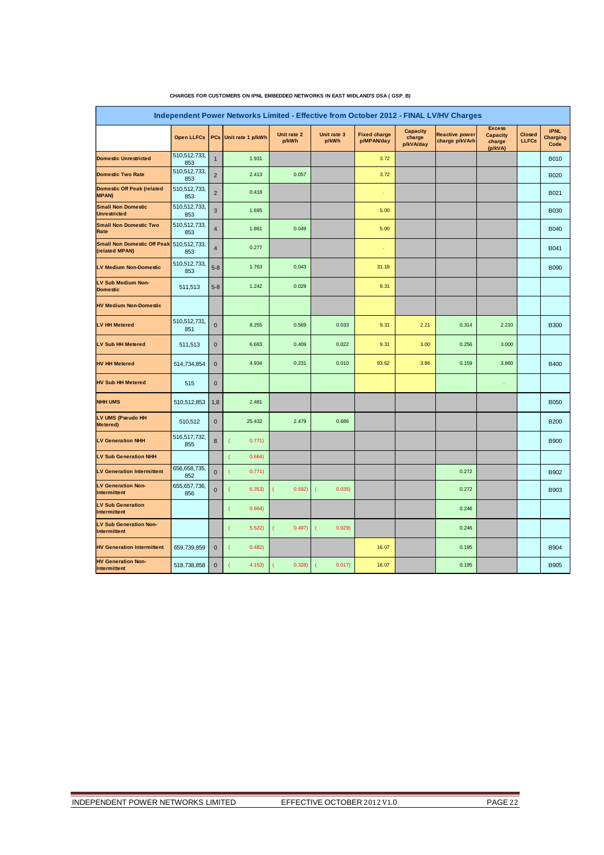|                                                            |                     |                | Independent Power Networks Limited - Effective from October 2012 - FINAL LV/HV Charges |                      |                          |                                   |                                        |                                         |                                                       |                        |                                        |
|------------------------------------------------------------|---------------------|----------------|----------------------------------------------------------------------------------------|----------------------|--------------------------|-----------------------------------|----------------------------------------|-----------------------------------------|-------------------------------------------------------|------------------------|----------------------------------------|
|                                                            | <b>Open LLFCs</b>   | <b>PCs</b>     | Unit rate 1 p/kWh                                                                      | Unit rate 2<br>p/kWh | Unit rate 3<br>p/kWh     | <b>Fixed charge</b><br>p/MPAN/day | <b>Capacity</b><br>charge<br>p/kVA/day | <b>Reactive power</b><br>charge p/kVArh | <b>Excess</b><br><b>Capacity</b><br>charge<br>(p/kVA) | Closed<br><b>LLFCs</b> | <b>IPNL</b><br><b>Charging</b><br>Code |
| <b>Domestic Unrestricted</b>                               | 510,512,733,<br>853 | $\mathbf{1}$   | 1.931                                                                                  |                      |                          | 3.72                              |                                        |                                         |                                                       |                        | <b>B010</b>                            |
| <b>Domestic Two Rate</b>                                   | 510,512,733,<br>853 | $\mathbf 2$    | 2.413                                                                                  | 0.057                |                          | 3.72                              |                                        |                                         |                                                       |                        | <b>B020</b>                            |
| <b>Domestic Off Peak (related</b><br><b>MPAN)</b>          | 510,512,733,<br>853 | $\overline{2}$ | 0.418                                                                                  |                      |                          |                                   |                                        |                                         |                                                       |                        | B021                                   |
| <b>Small Non Domestic</b><br><b>Unrestricted</b>           | 510,512,733,<br>853 | $\mathsf 3$    | 1.695                                                                                  |                      |                          | 5.00                              |                                        |                                         |                                                       |                        | <b>B030</b>                            |
| <b>Small Non Domestic Two</b><br>Rate                      | 510,512,733,<br>853 | $\overline{4}$ | 1.861                                                                                  | 0.049                |                          | 5.00                              |                                        |                                         |                                                       |                        | <b>B040</b>                            |
| Small Non Domestic Off Peak 510,512,733,<br>(related MPAN) | 853                 | $\overline{4}$ | 0.277                                                                                  |                      |                          |                                   |                                        |                                         |                                                       |                        | B041                                   |
| <b>LV Medium Non-Domestic</b>                              | 510,512,733,<br>853 | $5 - 8$        | 1.763                                                                                  | 0.043                |                          | 31.18                             |                                        |                                         |                                                       |                        | <b>B090</b>                            |
| <b>LV Sub Medium Non-</b><br><b>Domestic</b>               | 511,513             | $5 - 8$        | 1.242                                                                                  | 0.029                |                          | 9.31                              |                                        |                                         |                                                       |                        |                                        |
| <b>HV Medium Non-Domestic</b>                              |                     |                |                                                                                        |                      |                          |                                   |                                        |                                         |                                                       |                        |                                        |
| <b>LV HH Metered</b>                                       | 510,512,731,<br>851 | $\pmb{0}$      | 8.255                                                                                  | 0.569                | 0.033                    | 9.31                              | 2.21                                   | 0.314                                   | 2.210                                                 |                        | <b>B300</b>                            |
| <b>LV Sub HH Metered</b>                                   | 511,513             | $\mathbf 0$    | 6.683                                                                                  | 0.409                | 0.022                    | 9.31                              | 3.00                                   | 0.256                                   | 3.000                                                 |                        |                                        |
| <b>HV HH Metered</b>                                       | 514,734,854         | $\pmb{0}$      | 4.934                                                                                  | 0.231                | 0.010                    | 93.62                             | 3.86                                   | 0.159                                   | 3.860                                                 |                        | <b>B400</b>                            |
| <b>HV Sub HH Metered</b>                                   | 515                 | $\mathbf 0$    |                                                                                        |                      |                          |                                   |                                        |                                         |                                                       |                        |                                        |
| <b>NHH UMS</b>                                             | 510,512,853         | 1,8            | 2.481                                                                                  |                      |                          |                                   |                                        |                                         |                                                       |                        | <b>B050</b>                            |
| LV UMS (Pseudo HH<br>Metered)                              | 510,512             | $\mathbf 0$    | 25.432                                                                                 | 2.479                | 0.686                    |                                   |                                        |                                         |                                                       |                        | <b>B200</b>                            |
| <b>LV Generation NHH</b>                                   | 516,517,732,<br>855 | 8              | 0.771)                                                                                 |                      |                          |                                   |                                        |                                         |                                                       |                        | <b>B900</b>                            |
| <b>LV Sub Generation NHH</b>                               |                     |                | 0.664)                                                                                 |                      |                          |                                   |                                        |                                         |                                                       |                        |                                        |
| <b>LV Generation Intermittent</b>                          | 656,658,735,<br>852 | $\pmb{0}$      | 0.771)                                                                                 |                      |                          |                                   |                                        | 0.272                                   |                                                       |                        | B902                                   |
| <b>LV Generation Non-</b><br>Intermittent                  | 655,657,736,<br>856 | $\mathbf{0}$   | 6.353)                                                                                 | 0.592)<br>-          | 0.035)<br>$\overline{ }$ |                                   |                                        | 0.272                                   |                                                       |                        | <b>B903</b>                            |
| <b>LV Sub Generation</b><br>Intermittent                   |                     |                | 0.664)                                                                                 |                      |                          |                                   |                                        | 0.246                                   |                                                       |                        |                                        |
| <b>LV Sub Generation Non-</b><br>Intermittent              |                     |                | 5.522                                                                                  | 0.497)               | 0.029<br>1               |                                   |                                        | 0.246                                   |                                                       |                        |                                        |
| <b>HV Generation Intermittent</b>                          | 659,739,859         | $\mathbf 0$    | 0.482                                                                                  |                      |                          | 16.07                             |                                        | 0.195                                   |                                                       |                        | <b>B904</b>                            |
| <b>HV Generation Non-</b><br>Intermittent                  | 518,738,858         | $\pmb{0}$      | 4.153)                                                                                 | 0.328                | 0.017)                   | 16.07                             |                                        | 0.195                                   |                                                       |                        | <b>B905</b>                            |

#### **CHARGES FOR CUSTOMERS ON IPNL EMBEDDED NETWORKS IN EAST MIDLAND'S DSA ( GSP\_B)**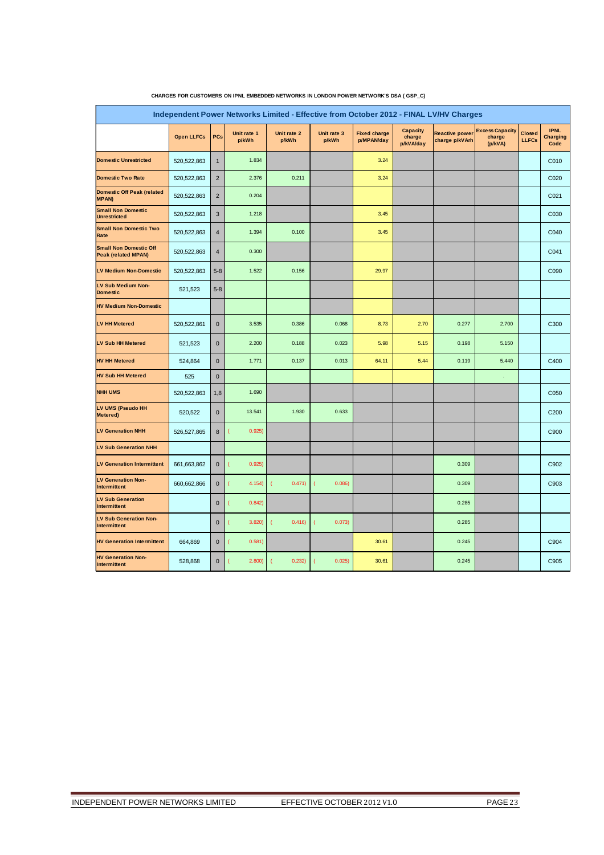|                                                             |                   |                |                      | Independent Power Networks Limited - Effective from October 2012 - FINAL LV/HV Charges |                      |                                   |                                        |                                         |                                             |                               |                                        |
|-------------------------------------------------------------|-------------------|----------------|----------------------|----------------------------------------------------------------------------------------|----------------------|-----------------------------------|----------------------------------------|-----------------------------------------|---------------------------------------------|-------------------------------|----------------------------------------|
|                                                             | <b>Open LLFCs</b> | PCs            | Unit rate 1<br>p/kWh | Unit rate 2<br>p/kWh                                                                   | Unit rate 3<br>p/kWh | <b>Fixed charge</b><br>p/MPAN/day | <b>Capacity</b><br>charge<br>p/kVA/day | <b>Reactive power</b><br>charge p/kVArh | <b>Excess Capacity</b><br>charge<br>(p/kVA) | <b>Closed</b><br><b>LLFCs</b> | <b>IPNL</b><br><b>Charging</b><br>Code |
| <b>Domestic Unrestricted</b>                                | 520,522,863       | $\mathbf{1}$   | 1.834                |                                                                                        |                      | 3.24                              |                                        |                                         |                                             |                               | C010                                   |
| <b>Domestic Two Rate</b>                                    | 520,522,863       | $\sqrt{2}$     | 2.376                | 0.211                                                                                  |                      | 3.24                              |                                        |                                         |                                             |                               | C020                                   |
| <b>Domestic Off Peak (related</b><br><b>MPAN)</b>           | 520,522,863       | $\overline{2}$ | 0.204                |                                                                                        |                      |                                   |                                        |                                         |                                             |                               | C021                                   |
| <b>Small Non Domestic</b><br><b>Unrestricted</b>            | 520, 522, 863     | 3              | 1.218                |                                                                                        |                      | 3.45                              |                                        |                                         |                                             |                               | C030                                   |
| <b>Small Non Domestic Two</b><br>Rate                       | 520, 522, 863     | $\overline{4}$ | 1.394                | 0.100                                                                                  |                      | 3.45                              |                                        |                                         |                                             |                               | C040                                   |
| <b>Small Non Domestic Off</b><br><b>Peak (related MPAN)</b> | 520, 522, 863     | $\overline{4}$ | 0.300                |                                                                                        |                      |                                   |                                        |                                         |                                             |                               | C041                                   |
| <b>LV Medium Non-Domestic</b>                               | 520, 522, 863     | $5 - 8$        | 1.522                | 0.156                                                                                  |                      | 29.97                             |                                        |                                         |                                             |                               | C090                                   |
| LV Sub Medium Non-<br><b>Domestic</b>                       | 521,523           | $5 - 8$        |                      |                                                                                        |                      |                                   |                                        |                                         |                                             |                               |                                        |
| <b>HV Medium Non-Domestic</b>                               |                   |                |                      |                                                                                        |                      |                                   |                                        |                                         |                                             |                               |                                        |
| <b>LV HH Metered</b>                                        | 520,522,861       | $\mathbf{0}$   | 3.535                | 0.386                                                                                  | 0.068                | 8.73                              | 2.70                                   | 0.277                                   | 2.700                                       |                               | C300                                   |
| <b>LV Sub HH Metered</b>                                    | 521,523           | $\mathbf 0$    | 2.200                | 0.188                                                                                  | 0.023                | 5.98                              | 5.15                                   | 0.198                                   | 5.150                                       |                               |                                        |
| <b>HV HH Metered</b>                                        | 524,864           | $\mathbf 0$    | 1.771                | 0.137                                                                                  | 0.013                | 64.11                             | 5.44                                   | 0.119                                   | 5.440                                       |                               | C400                                   |
| <b>HV Sub HH Metered</b>                                    | 525               | $\mathbf{0}$   |                      |                                                                                        |                      |                                   |                                        |                                         |                                             |                               |                                        |
| <b>NHH UMS</b>                                              | 520,522,863       | 1,8            | 1.690                |                                                                                        |                      |                                   |                                        |                                         |                                             |                               | C050                                   |
| LV UMS (Pseudo HH<br>Metered)                               | 520,522           | $\mathbf 0$    | 13.541               | 1.930                                                                                  | 0.633                |                                   |                                        |                                         |                                             |                               | C200                                   |
| <b>LV Generation NHH</b>                                    | 526,527,865       | 8              | 0.925)               |                                                                                        |                      |                                   |                                        |                                         |                                             |                               | C900                                   |
| <b>LV Sub Generation NHH</b>                                |                   |                |                      |                                                                                        |                      |                                   |                                        |                                         |                                             |                               |                                        |
| <b>LV Generation Intermittent</b>                           | 661,663,862       | $\mathbf 0$    | 0.925)               |                                                                                        |                      |                                   |                                        | 0.309                                   |                                             |                               | C902                                   |
| <b>LV Generation Non-</b><br>Intermittent                   | 660,662,866       | $\mathbf 0$    | 4.154)               | 0.471)                                                                                 | 0.086                |                                   |                                        | 0.309                                   |                                             |                               | C903                                   |
| <b>LV Sub Generation</b><br>Intermittent                    |                   | $\mathbf 0$    | 0.842                |                                                                                        |                      |                                   |                                        | 0.285                                   |                                             |                               |                                        |
| <b>LV Sub Generation Non-</b><br>Intermittent               |                   | $\mathbf 0$    | 3.820                | 0.416                                                                                  | 0.073)               |                                   |                                        | 0.285                                   |                                             |                               |                                        |
| <b>HV Generation Intermittent</b>                           | 664,869           | $\mathbf 0$    | 0.581)               |                                                                                        |                      | 30.61                             |                                        | 0.245                                   |                                             |                               | C904                                   |
| <b>HV Generation Non-</b><br>Intermittent                   | 528,868           | $\mathbf 0$    | 2.800)               | 0.232)                                                                                 | 0.025)               | 30.61                             |                                        | 0.245                                   |                                             |                               | C905                                   |

#### **CHARGES FOR CUSTOMERS ON IPNL EMBEDDED NETWORKS IN LONDON POWER NETWORK'S DSA ( GSP\_C)**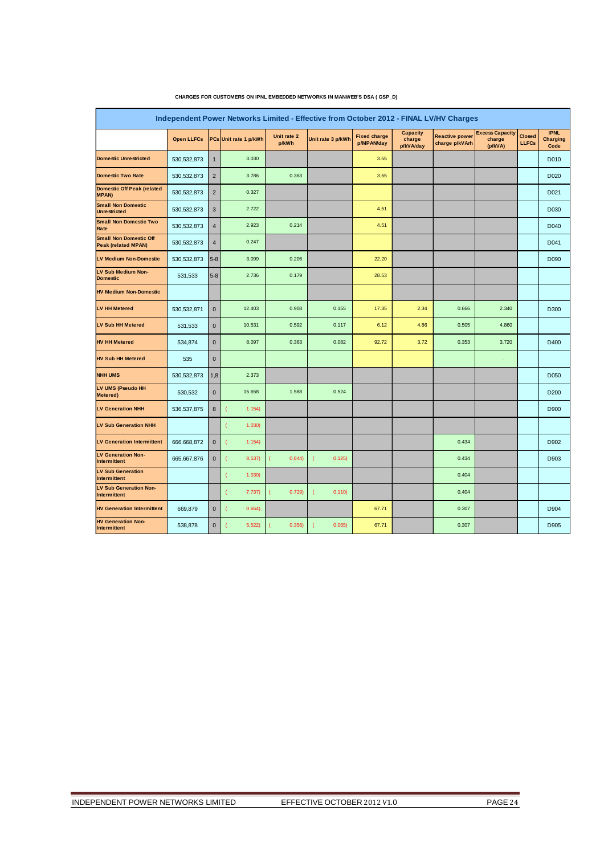|                                                             |                   |                |                       |                      | Independent Power Networks Limited - Effective from October 2012 - FINAL LV/HV Charges |                                   |                                 |                                         |                                             |                               |                                        |
|-------------------------------------------------------------|-------------------|----------------|-----------------------|----------------------|----------------------------------------------------------------------------------------|-----------------------------------|---------------------------------|-----------------------------------------|---------------------------------------------|-------------------------------|----------------------------------------|
|                                                             | <b>Open LLFCs</b> |                | PCs Unit rate 1 p/kWh | Unit rate 2<br>p/kWh | Unit rate 3 p/kWh                                                                      | <b>Fixed charge</b><br>p/MPAN/day | Capacity<br>charge<br>p/kVA/day | <b>Reactive power</b><br>charge p/kVArh | <b>Excess Capacity</b><br>charge<br>(p/kVA) | <b>Closed</b><br><b>LLFCs</b> | <b>IPNL</b><br><b>Charging</b><br>Code |
| <b>Domestic Unrestricted</b>                                | 530, 532, 873     | $\mathbf{1}$   | 3.030                 |                      |                                                                                        | 3.55                              |                                 |                                         |                                             |                               | D010                                   |
| <b>Domestic Two Rate</b>                                    | 530, 532, 873     | $\overline{2}$ | 3.786                 | 0.363                |                                                                                        | 3.55                              |                                 |                                         |                                             |                               | D <sub>020</sub>                       |
| <b>Domestic Off Peak (related</b><br><b>MPAN)</b>           | 530, 532, 873     | $\overline{2}$ | 0.327                 |                      |                                                                                        |                                   |                                 |                                         |                                             |                               | D021                                   |
| <b>Small Non Domestic</b><br><b>Unrestricted</b>            | 530, 532, 873     | $\mathsf 3$    | 2.722                 |                      |                                                                                        | 4.51                              |                                 |                                         |                                             |                               | D <sub>0</sub> 30                      |
| <b>Small Non Domestic Two</b><br>Rate                       | 530, 532, 873     | 4              | 2.923                 | 0.214                |                                                                                        | 4.51                              |                                 |                                         |                                             |                               | D040                                   |
| <b>Small Non Domestic Off</b><br><b>Peak (related MPAN)</b> | 530, 532, 873     | $\overline{4}$ | 0.247                 |                      |                                                                                        |                                   |                                 |                                         |                                             |                               | D041                                   |
| LV Medium Non-Domestic                                      | 530, 532, 873     | $5-8$          | 3.099                 | 0.206                |                                                                                        | 22.20                             |                                 |                                         |                                             |                               | D090                                   |
| LV Sub Medium Non-<br><b>Domestic</b>                       | 531,533           | $5 - 8$        | 2.736                 | 0.179                |                                                                                        | 28.53                             |                                 |                                         |                                             |                               |                                        |
| <b>HV Medium Non-Domestic</b>                               |                   |                |                       |                      |                                                                                        |                                   |                                 |                                         |                                             |                               |                                        |
| <b>LV HH Metered</b>                                        | 530,532,871       | $\mathbf 0$    | 12.403                | 0.908                | 0.155                                                                                  | 17.35                             | 2.34                            | 0.666                                   | 2.340                                       |                               | D300                                   |
| <b>LV Sub HH Metered</b>                                    | 531,533           | $\mathbf 0$    | 10.531                | 0.592                | 0.117                                                                                  | 6.12                              | 4.86                            | 0.505                                   | 4.860                                       |                               |                                        |
| <b>HV HH Metered</b>                                        | 534,874           | $\mathbf 0$    | 8.097                 | 0.363                | 0.082                                                                                  | 92.72                             | 3.72                            | 0.353                                   | 3.720                                       |                               | D400                                   |
| <b>HV Sub HH Metered</b>                                    | 535               | $\bf{0}$       |                       |                      |                                                                                        |                                   |                                 |                                         | ÷,                                          |                               |                                        |
| <b>NHH UMS</b>                                              | 530, 532, 873     | 1,8            | 2.373                 |                      |                                                                                        |                                   |                                 |                                         |                                             |                               | D050                                   |
| LV UMS (Pseudo HH<br>Metered)                               | 530,532           | $\bf{0}$       | 15.658                | 1.588                | 0.524                                                                                  |                                   |                                 |                                         |                                             |                               | D <sub>200</sub>                       |
| <b>LV Generation NHH</b>                                    | 536, 537, 875     | 8              | 1.154)<br>1           |                      |                                                                                        |                                   |                                 |                                         |                                             |                               | D900                                   |
| LV Sub Generation NHH                                       |                   |                | 1.030)                |                      |                                                                                        |                                   |                                 |                                         |                                             |                               |                                        |
| <b>LV Generation Intermittent</b>                           | 666.668,872       | $\bf{0}$       | (<br>1.154)           |                      |                                                                                        |                                   |                                 | 0.434                                   |                                             |                               | D902                                   |
| <b>LV Generation Non-</b><br><b>Intermittent</b>            | 665, 667, 876     | $\bf{0}$       | 8.537)<br>l           | 0.844                | 0.125)<br>C                                                                            |                                   |                                 | 0.434                                   |                                             |                               | D903                                   |
| <b>LV Sub Generation</b><br><b>Intermittent</b>             |                   |                | 1.030<br>1            |                      |                                                                                        |                                   |                                 | 0.404                                   |                                             |                               |                                        |
| <b>LV Sub Generation Non-</b><br>Intermittent               |                   |                | 7.737)                | 0.729                | 0.110)                                                                                 |                                   |                                 | 0.404                                   |                                             |                               |                                        |
| <b>HV Generation Intermittent</b>                           | 669,879           | $\mathbf 0$    | 0.664)                |                      |                                                                                        | 67.71                             |                                 | 0.307                                   |                                             |                               | D904                                   |
| <b>HV Generation Non-</b><br>Intermittent                   | 538,878           | $\bf{0}$       | 5.522                 | 0.356)               | 0.065)                                                                                 | 67.71                             |                                 | 0.307                                   |                                             |                               | D905                                   |

#### **CHARGES FOR CUSTOMERS ON IPNL EMBEDDED NETWORKS IN MANWEB'S DSA ( GSP\_D)**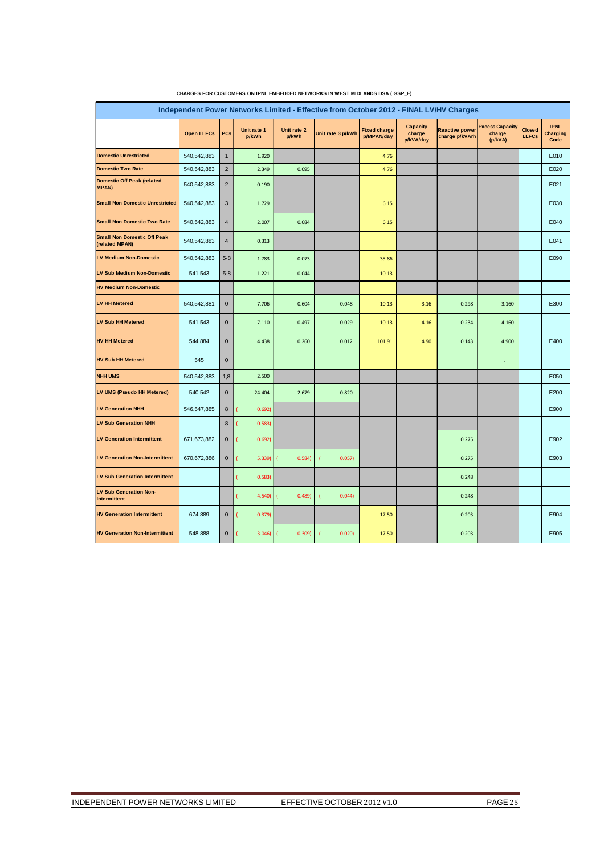| Independent Power Networks Limited - Effective from October 2012 - FINAL LV/HV Charges |                   |                |                      |                      |                   |                                   |                                        |                                         |                                             |                               |                                 |  |
|----------------------------------------------------------------------------------------|-------------------|----------------|----------------------|----------------------|-------------------|-----------------------------------|----------------------------------------|-----------------------------------------|---------------------------------------------|-------------------------------|---------------------------------|--|
|                                                                                        | <b>Open LLFCs</b> | <b>PCs</b>     | Unit rate 1<br>p/kWh | Unit rate 2<br>p/kWh | Unit rate 3 p/kWh | <b>Fixed charge</b><br>p/MPAN/day | <b>Capacity</b><br>charge<br>p/kVA/day | <b>Reactive power</b><br>charge p/kVArh | <b>Excess Capacity</b><br>charge<br>(p/kVA) | <b>Closed</b><br><b>LLFCs</b> | <b>IPNL</b><br>Charging<br>Code |  |
| <b>Domestic Unrestricted</b>                                                           | 540,542,883       | $\mathbf{1}$   | 1.920                |                      |                   | 4.76                              |                                        |                                         |                                             |                               | E010                            |  |
| Domestic Two Rate                                                                      | 540,542,883       | $\overline{2}$ | 2.349                | 0.095                |                   | 4.76                              |                                        |                                         |                                             |                               | E020                            |  |
| Domestic Off Peak (related<br><b>MPAN)</b>                                             | 540,542,883       | $\overline{2}$ | 0.190                |                      |                   | ÷                                 |                                        |                                         |                                             |                               | E021                            |  |
| <b>Small Non Domestic Unrestricted</b>                                                 | 540,542,883       | 3              | 1.729                |                      |                   | 6.15                              |                                        |                                         |                                             |                               | E030                            |  |
| Small Non Domestic Two Rate                                                            | 540,542,883       | $\overline{4}$ | 2.007                | 0.084                |                   | 6.15                              |                                        |                                         |                                             |                               | E040                            |  |
| <b>Small Non Domestic Off Peak</b><br>(related MPAN)                                   | 540,542,883       | $\overline{4}$ | 0.313                |                      |                   | ¥                                 |                                        |                                         |                                             |                               | E041                            |  |
| <b>LV Medium Non-Domestic</b>                                                          | 540,542,883       | $5 - 8$        | 1.783                | 0.073                |                   | 35.86                             |                                        |                                         |                                             |                               | E090                            |  |
| LV Sub Medium Non-Domestic                                                             | 541,543           | $5 - 8$        | 1.221                | 0.044                |                   | 10.13                             |                                        |                                         |                                             |                               |                                 |  |
| <b>HV Medium Non-Domestic</b>                                                          |                   |                |                      |                      |                   |                                   |                                        |                                         |                                             |                               |                                 |  |
| <b>LV HH Metered</b>                                                                   | 540,542,881       | $\mathbf{0}$   | 7.706                | 0.604                | 0.048             | 10.13                             | 3.16                                   | 0.298                                   | 3.160                                       |                               | E300                            |  |
| <b>LV Sub HH Metered</b>                                                               | 541,543           | $\mathbf 0$    | 7.110                | 0.497                | 0.029             | 10.13                             | 4.16                                   | 0.234                                   | 4.160                                       |                               |                                 |  |
| <b>HV HH Metered</b>                                                                   | 544,884           | $\mathbf{0}$   | 4.438                | 0.260                | 0.012             | 101.91                            | 4.90                                   | 0.143                                   | 4.900                                       |                               | E400                            |  |
| <b>HV Sub HH Metered</b>                                                               | 545               | $\mathbf 0$    |                      |                      |                   |                                   |                                        |                                         | $\epsilon$                                  |                               |                                 |  |
| <b>NHH UMS</b>                                                                         | 540,542,883       | 1,8            | 2.500                |                      |                   |                                   |                                        |                                         |                                             |                               | E050                            |  |
| LV UMS (Pseudo HH Metered)                                                             | 540,542           | $\mathbf 0$    | 24.404               | 2.679                | 0.820             |                                   |                                        |                                         |                                             |                               | E200                            |  |
| <b>LV Generation NHH</b>                                                               | 546,547,885       | 8              | 0.692                |                      |                   |                                   |                                        |                                         |                                             |                               | E900                            |  |
| <b>LV Sub Generation NHH</b>                                                           |                   | 8              | 0.583                |                      |                   |                                   |                                        |                                         |                                             |                               |                                 |  |
| <b>LV Generation Intermittent</b>                                                      | 671,673,882       | $\mathbf 0$    | 0.692)               |                      |                   |                                   |                                        | 0.275                                   |                                             |                               | E902                            |  |
| <b>LV Generation Non-Intermittent</b>                                                  | 670,672,886       | $\mathbf{0}$   | 5.339                | 0.584                | 0.057             |                                   |                                        | 0.275                                   |                                             |                               | E903                            |  |
| <b>LV Sub Generation Intermittent</b>                                                  |                   |                | 0.583                |                      |                   |                                   |                                        | 0.248                                   |                                             |                               |                                 |  |
| LV Sub Generation Non-<br><b>Intermittent</b>                                          |                   |                | 4.540)               | 0.489                | 0.044             |                                   |                                        | 0.248                                   |                                             |                               |                                 |  |
| <b>HV Generation Intermittent</b>                                                      | 674,889           | $\bf 0$        | 0.379)               |                      |                   | 17.50                             |                                        | 0.203                                   |                                             |                               | E904                            |  |
| <b>HV Generation Non-Intermittent</b>                                                  | 548,888           | $\mathbf 0$    | 3.046                | 0.309                | 0.020             | 17.50                             |                                        | 0.203                                   |                                             |                               | E905                            |  |

#### **CHARGES FOR CUSTOMERS ON IPNL EMBEDDED NETWORKS IN WEST MIDLANDS DSA ( GSP\_E)**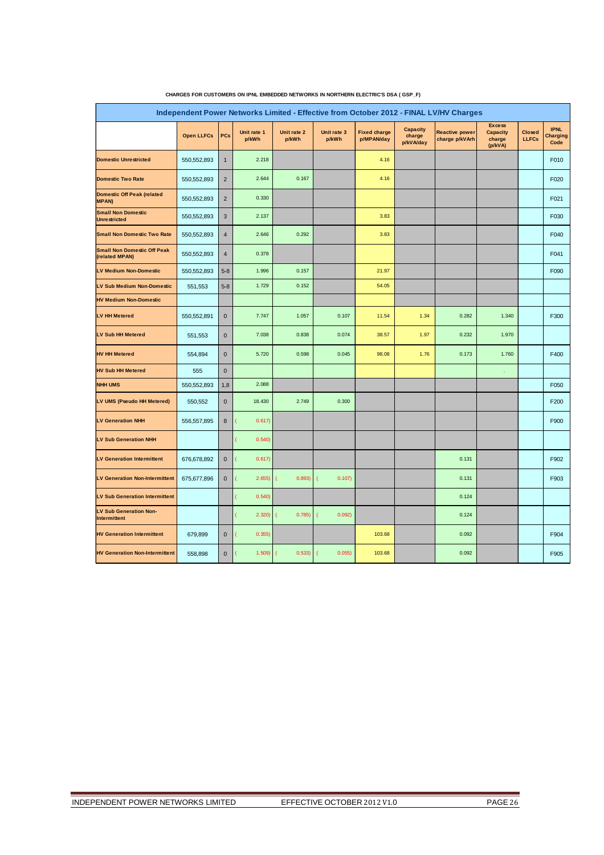|                                                      | Independent Power Networks Limited - Effective from October 2012 - FINAL LV/HV Charges |                |                      |                      |                          |                                   |                                        |                                         |                                                       |                               |                                 |  |
|------------------------------------------------------|----------------------------------------------------------------------------------------|----------------|----------------------|----------------------|--------------------------|-----------------------------------|----------------------------------------|-----------------------------------------|-------------------------------------------------------|-------------------------------|---------------------------------|--|
|                                                      | <b>Open LLFCs</b>                                                                      | PCs            | Unit rate 1<br>p/kWh | Unit rate 2<br>p/kWh | Unit rate 3<br>p/kWh     | <b>Fixed charge</b><br>p/MPAN/day | <b>Capacity</b><br>charge<br>p/kVA/day | <b>Reactive power</b><br>charge p/kVArh | <b>Excess</b><br><b>Capacity</b><br>charge<br>(p/kVA) | <b>Closed</b><br><b>LLFCs</b> | <b>IPNL</b><br>Charging<br>Code |  |
| <b>Domestic Unrestricted</b>                         | 550, 552, 893                                                                          | $\mathbf{1}$   | 2.218                |                      |                          | 4.16                              |                                        |                                         |                                                       |                               | F010                            |  |
| <b>Domestic Two Rate</b>                             | 550,552,893                                                                            | $\overline{2}$ | 2.644                | 0.167                |                          | 4.16                              |                                        |                                         |                                                       |                               | F020                            |  |
| <b>Domestic Off Peak (related</b><br><b>MPAN)</b>    | 550,552,893                                                                            | $\overline{2}$ | 0.330                |                      |                          |                                   |                                        |                                         |                                                       |                               | F021                            |  |
| <b>Small Non Domestic</b><br><b>Unrestricted</b>     | 550, 552, 893                                                                          | 3              | 2.137                |                      |                          | 3.83                              |                                        |                                         |                                                       |                               | F030                            |  |
| <b>Small Non Domestic Two Rate</b>                   | 550, 552, 893                                                                          | $\overline{4}$ | 2.646                | 0.292                |                          | 3.83                              |                                        |                                         |                                                       |                               | F040                            |  |
| <b>Small Non Domestic Off Peak</b><br>(related MPAN) | 550, 552, 893                                                                          | $\overline{4}$ | 0.378                |                      |                          |                                   |                                        |                                         |                                                       |                               | F041                            |  |
| <b>LV Medium Non-Domestic</b>                        | 550, 552, 893                                                                          | $5 - 8$        | 1.996                | 0.157                |                          | 21.97                             |                                        |                                         |                                                       |                               | F090                            |  |
| <b>LV Sub Medium Non-Domestic</b>                    | 551,553                                                                                | $5 - 8$        | 1.729                | 0.152                |                          | 54.05                             |                                        |                                         |                                                       |                               |                                 |  |
| <b>HV Medium Non-Domestic</b>                        |                                                                                        |                |                      |                      |                          |                                   |                                        |                                         |                                                       |                               |                                 |  |
| LV HH Metered                                        | 550,552,891                                                                            | $\mathbf{0}$   | 7.747                | 1.057                | 0.107                    | 11.54                             | 1.34                                   | 0.282                                   | 1.340                                                 |                               | F300                            |  |
| <b>LV Sub HH Metered</b>                             | 551,553                                                                                | $\bf{0}$       | 7.038                | 0.838                | 0.074                    | 38.57                             | 1.97                                   | 0.232                                   | 1.970                                                 |                               |                                 |  |
| <b>HV HH Metered</b>                                 | 554,894                                                                                | $\bf{0}$       | 5.720                | 0.598                | 0.045                    | 98.08                             | 1.76                                   | 0.173                                   | 1.760                                                 |                               | F400                            |  |
| <b>HV Sub HH Metered</b>                             | 555                                                                                    | $\mathbf{0}$   |                      |                      |                          |                                   |                                        |                                         |                                                       |                               |                                 |  |
| <b>NHH UMS</b>                                       | 550,552,893                                                                            | 1,8            | 2.088                |                      |                          |                                   |                                        |                                         |                                                       |                               | F050                            |  |
| LV UMS (Pseudo HH Metered)                           | 550,552                                                                                | $\mathbf{0}$   | 18.430               | 2.749                | 0.300                    |                                   |                                        |                                         |                                                       |                               | F200                            |  |
| <b>LV Generation NHH</b>                             | 556,557,895                                                                            | 8              | 0.617)               |                      |                          |                                   |                                        |                                         |                                                       |                               | F900                            |  |
| LV Sub Generation NHH                                |                                                                                        |                | 0.540                |                      |                          |                                   |                                        |                                         |                                                       |                               |                                 |  |
| <b>LV Generation Intermittent</b>                    | 676,678,892                                                                            | $\mathbf 0$    | 0.617)               |                      |                          |                                   |                                        | 0.131                                   |                                                       |                               | F902                            |  |
| <b>LV Generation Non-Intermittent</b>                | 675,677,896                                                                            | $\mathbf 0$    | 2.655)               | 0.893)               | 0.107)<br>$\overline{ }$ |                                   |                                        | 0.131                                   |                                                       |                               | F903                            |  |
| <b>LV Sub Generation Intermittent</b>                |                                                                                        |                | 0.540                |                      |                          |                                   |                                        | 0.124                                   |                                                       |                               |                                 |  |
| <b>LV Sub Generation Non-</b><br><b>Intermittent</b> |                                                                                        |                | 2.320                | 0.785)               | 0.092)<br>1              |                                   |                                        | 0.124                                   |                                                       |                               |                                 |  |
| <b>HV Generation Intermittent</b>                    | 679,899                                                                                | $\bf{0}$       | 0.355                |                      |                          | 103.68                            |                                        | 0.092                                   |                                                       |                               | F904                            |  |
| <b>HV Generation Non-Intermittent</b>                | 558,898                                                                                | $\mathbf{0}$   | 1.509                | 0.533)               | 0.055                    | 103.68                            |                                        | 0.092                                   |                                                       |                               | F905                            |  |

**CHARGES FOR CUSTOMERS ON IPNL EMBEDDED NETWORKS IN NORTHERN ELECTRIC'S DSA ( GSP\_F)**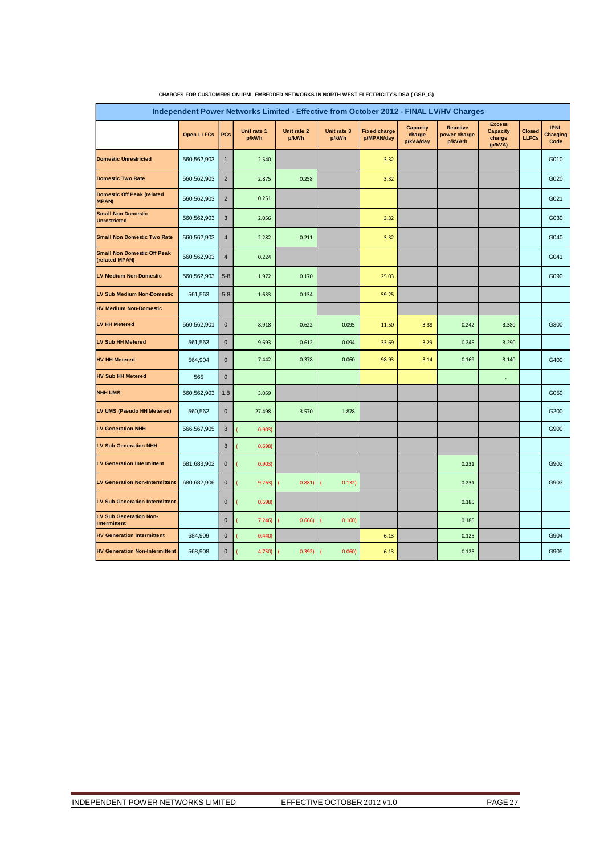| Independent Power Networks Limited - Effective from October 2012 - FINAL LV/HV Charges |                   |                |                      |                      |                      |                                   |                                        |                                            |                                                       |                               |                                        |  |
|----------------------------------------------------------------------------------------|-------------------|----------------|----------------------|----------------------|----------------------|-----------------------------------|----------------------------------------|--------------------------------------------|-------------------------------------------------------|-------------------------------|----------------------------------------|--|
|                                                                                        | <b>Open LLFCs</b> | PCs            | Unit rate 1<br>p/kWh | Unit rate 2<br>p/kWh | Unit rate 3<br>p/kWh | <b>Fixed charge</b><br>p/MPAN/day | <b>Capacity</b><br>charge<br>p/kVA/day | <b>Reactive</b><br>power charge<br>p/kVArh | <b>Excess</b><br><b>Capacity</b><br>charge<br>(p/kVA) | <b>Closed</b><br><b>LLFCs</b> | <b>IPNL</b><br><b>Charging</b><br>Code |  |
| Domestic Unrestricted                                                                  | 560,562,903       | $\mathbf{1}$   | 2.540                |                      |                      | 3.32                              |                                        |                                            |                                                       |                               | G010                                   |  |
| <b>Domestic Two Rate</b>                                                               | 560,562,903       | $\overline{2}$ | 2.875                | 0.258                |                      | 3.32                              |                                        |                                            |                                                       |                               | G020                                   |  |
| Domestic Off Peak (related<br><b>MPAN)</b>                                             | 560,562,903       | $\overline{2}$ | 0.251                |                      |                      |                                   |                                        |                                            |                                                       |                               | G021                                   |  |
| <b>Small Non Domestic</b><br><b>Unrestricted</b>                                       | 560,562,903       | 3              | 2.056                |                      |                      | 3.32                              |                                        |                                            |                                                       |                               | G030                                   |  |
| <b>Small Non Domestic Two Rate</b>                                                     | 560,562,903       | $\overline{4}$ | 2.282                | 0.211                |                      | 3.32                              |                                        |                                            |                                                       |                               | G040                                   |  |
| <b>Small Non Domestic Off Peak</b><br>(related MPAN)                                   | 560,562,903       | 4              | 0.224                |                      |                      |                                   |                                        |                                            |                                                       |                               | G041                                   |  |
| <b>LV Medium Non-Domestic</b>                                                          | 560,562,903       | $5 - 8$        | 1.972                | 0.170                |                      | 25.03                             |                                        |                                            |                                                       |                               | G090                                   |  |
| <b>LV Sub Medium Non-Domestic</b>                                                      | 561,563           | $5 - 8$        | 1.633                | 0.134                |                      | 59.25                             |                                        |                                            |                                                       |                               |                                        |  |
| <b>HV Medium Non-Domestic</b>                                                          |                   |                |                      |                      |                      |                                   |                                        |                                            |                                                       |                               |                                        |  |
| <b>LV HH Metered</b>                                                                   | 560,562,901       | $\mathbf 0$    | 8.918                | 0.622                | 0.095                | 11.50                             | 3.38                                   | 0.242                                      | 3.380                                                 |                               | G300                                   |  |
| <b>LV Sub HH Metered</b>                                                               | 561,563           | $\mathbf 0$    | 9.693                | 0.612                | 0.094                | 33.69                             | 3.29                                   | 0.245                                      | 3.290                                                 |                               |                                        |  |
| <b>HV HH Metered</b>                                                                   | 564,904           | $\bf{0}$       | 7.442                | 0.378                | 0.060                | 98.93                             | 3.14                                   | 0.169                                      | 3.140                                                 |                               | G400                                   |  |
| <b>HV Sub HH Metered</b>                                                               | 565               | $\mathbf 0$    |                      |                      |                      |                                   |                                        |                                            | ÷                                                     |                               |                                        |  |
| <b>NHH UMS</b>                                                                         | 560,562,903       | 1,8            | 3.059                |                      |                      |                                   |                                        |                                            |                                                       |                               | G050                                   |  |
| LV UMS (Pseudo HH Metered)                                                             | 560,562           | $\mathbf 0$    | 27.498               | 3.570                | 1.878                |                                   |                                        |                                            |                                                       |                               | G200                                   |  |
| <b>LV Generation NHH</b>                                                               | 566,567,905       | 8              | 0.903)               |                      |                      |                                   |                                        |                                            |                                                       |                               | G900                                   |  |
| <b>LV Sub Generation NHH</b>                                                           |                   | 8              | 0.698                |                      |                      |                                   |                                        |                                            |                                                       |                               |                                        |  |
| <b>LV Generation Intermittent</b>                                                      | 681,683,902       | $\bf{0}$       | 0.903)               |                      |                      |                                   |                                        | 0.231                                      |                                                       |                               | G902                                   |  |
| <b>LV Generation Non-Intermittent</b>                                                  | 680,682,906       | $\mathbf 0$    | 9.263)               | 0.881)               | 0.132)               |                                   |                                        | 0.231                                      |                                                       |                               | G903                                   |  |
| <b>LV Sub Generation Intermittent</b>                                                  |                   | $\mathbf 0$    | 0.698)               |                      |                      |                                   |                                        | 0.185                                      |                                                       |                               |                                        |  |
| <b>LV Sub Generation Non-</b><br><b>Intermittent</b>                                   |                   | $\bf{0}$       | 7.246                | 0.666                | 0.100                |                                   |                                        | 0.185                                      |                                                       |                               |                                        |  |
| <b>HV Generation Intermittent</b>                                                      | 684,909           | $\pmb{0}$      | 0.440                |                      |                      | 6.13                              |                                        | 0.125                                      |                                                       |                               | G904                                   |  |
| <b>HV Generation Non-Intermittent</b>                                                  | 568,908           | $\bf{0}$       | 4.750)               | 0.392)               | 0.060                | 6.13                              |                                        | 0.125                                      |                                                       |                               | G905                                   |  |

| CHARGES FOR CUSTOMERS ON IPNL EMBEDDED NETWORKS IN NORTH WEST ELECTRICITY'S DSA (GSP_G) |  |  |
|-----------------------------------------------------------------------------------------|--|--|
|                                                                                         |  |  |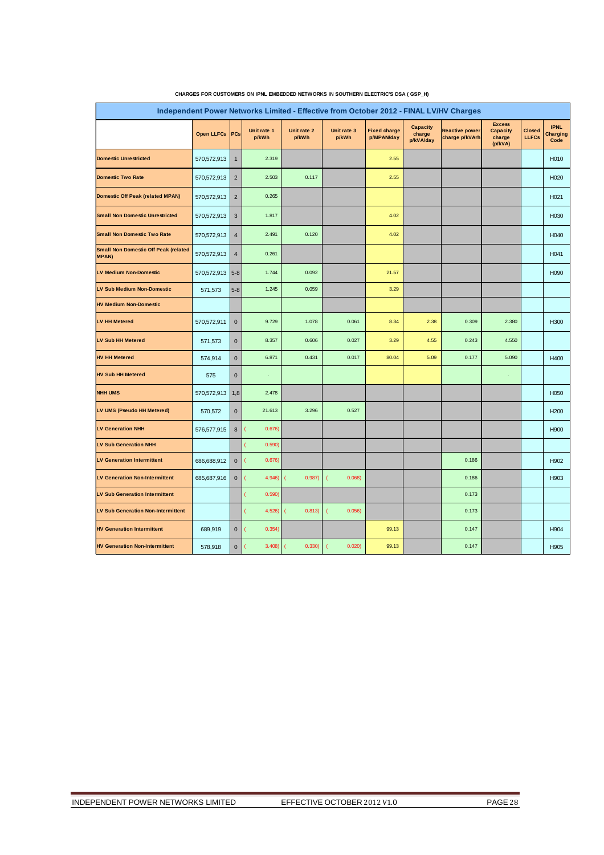| Independent Power Networks Limited - Effective from October 2012 - FINAL LV/HV Charges |                   |                |                                    |                      |                      |                                   |                                        |                                         |                                                       |                        |                                        |  |  |
|----------------------------------------------------------------------------------------|-------------------|----------------|------------------------------------|----------------------|----------------------|-----------------------------------|----------------------------------------|-----------------------------------------|-------------------------------------------------------|------------------------|----------------------------------------|--|--|
|                                                                                        | <b>Open LLFCs</b> | PCs            | Unit rate 1<br>p/kWh               | Unit rate 2<br>p/kWh | Unit rate 3<br>p/kWh | <b>Fixed charge</b><br>p/MPAN/day | <b>Capacity</b><br>charge<br>p/kVA/day | <b>Reactive power</b><br>charge p/kVArh | <b>Excess</b><br><b>Capacity</b><br>charge<br>(p/kVA) | Closed<br><b>LLFCs</b> | <b>IPNL</b><br><b>Charging</b><br>Code |  |  |
| <b>Domestic Unrestricted</b>                                                           | 570,572,913       | $\mathbf{1}$   | 2.319                              |                      |                      | 2.55                              |                                        |                                         |                                                       |                        | H <sub>0</sub> 10                      |  |  |
| <b>Domestic Two Rate</b>                                                               | 570,572,913       | $\overline{2}$ | 2.503                              | 0.117                |                      | 2.55                              |                                        |                                         |                                                       |                        | H020                                   |  |  |
| <b>Domestic Off Peak (related MPAN)</b>                                                | 570,572,913       | $\overline{2}$ | 0.265                              |                      |                      |                                   |                                        |                                         |                                                       |                        | H021                                   |  |  |
| <b>Small Non Domestic Unrestricted</b>                                                 | 570,572,913       | 3              | 1.817                              |                      |                      | 4.02                              |                                        |                                         |                                                       |                        | H <sub>030</sub>                       |  |  |
| <b>Small Non Domestic Two Rate</b>                                                     | 570,572,913       | $\overline{4}$ | 2.491                              | 0.120                |                      | 4.02                              |                                        |                                         |                                                       |                        | H040                                   |  |  |
| <b>Small Non Domestic Off Peak (related</b><br><b>MPAN)</b>                            | 570,572,913       | $\overline{4}$ | 0.261                              |                      |                      |                                   |                                        |                                         |                                                       |                        | H041                                   |  |  |
| <b>LV Medium Non-Domestic</b>                                                          | 570, 572, 913 5-8 |                | 1.744                              | 0.092                |                      | 21.57                             |                                        |                                         |                                                       |                        | H090                                   |  |  |
| <b>LV Sub Medium Non-Domestic</b>                                                      | 571,573           | $5-8$          | 1.245                              | 0.059                |                      | 3.29                              |                                        |                                         |                                                       |                        |                                        |  |  |
| <b>HV Medium Non-Domestic</b>                                                          |                   |                |                                    |                      |                      |                                   |                                        |                                         |                                                       |                        |                                        |  |  |
| <b>LV HH Metered</b>                                                                   | 570,572,911       | $\mathbf{0}$   | 9.729                              | 1.078                | 0.061                | 8.34                              | 2.38                                   | 0.309                                   | 2.380                                                 |                        | H300                                   |  |  |
| LV Sub HH Metered                                                                      | 571,573           | $\pmb{0}$      | 8.357                              | 0.606                | 0.027                | 3.29                              | 4.55                                   | 0.243                                   | 4.550                                                 |                        |                                        |  |  |
| <b>HV HH Metered</b>                                                                   | 574,914           | $\bf 0$        | 6.871                              | 0.431                | 0.017                | 80.04                             | 5.09                                   | 0.177                                   | 5.090                                                 |                        | H400                                   |  |  |
| <b>HV Sub HH Metered</b>                                                               | 575               | $\pmb{0}$      |                                    |                      |                      |                                   |                                        |                                         |                                                       |                        |                                        |  |  |
| <b>NHH UMS</b>                                                                         | 570,572,913       | 1,8            | 2.478                              |                      |                      |                                   |                                        |                                         |                                                       |                        | H050                                   |  |  |
| LV UMS (Pseudo HH Metered)                                                             | 570,572           | $\pmb{0}$      | 21.613                             | 3.296                | 0.527                |                                   |                                        |                                         |                                                       |                        | H <sub>200</sub>                       |  |  |
| <b>LV Generation NHH</b>                                                               | 576,577,915       | $\bf 8$        | 0.676                              |                      |                      |                                   |                                        |                                         |                                                       |                        | H900                                   |  |  |
| <b>LV Sub Generation NHH</b>                                                           |                   |                | 0.590                              |                      |                      |                                   |                                        |                                         |                                                       |                        |                                        |  |  |
| <b>LV Generation Intermittent</b>                                                      | 686,688,912       | $\mathbf 0$    | 0.676)<br>$\overline{\mathcal{L}}$ |                      |                      |                                   |                                        | 0.186                                   |                                                       |                        | H902                                   |  |  |
| <b>LV Generation Non-Intermittent</b>                                                  | 685,687,916       | $\bf 0$        | 4.946)                             | 0.987                | 0.068                |                                   |                                        | 0.186                                   |                                                       |                        | H903                                   |  |  |
| <b>LV Sub Generation Intermittent</b>                                                  |                   |                | 0.590                              |                      |                      |                                   |                                        | 0.173                                   |                                                       |                        |                                        |  |  |
| <b>LV Sub Generation Non-Intermittent</b>                                              |                   |                | 4.526                              | 0.813)               | 0.056)               |                                   |                                        | 0.173                                   |                                                       |                        |                                        |  |  |
| <b>HV Generation Intermittent</b>                                                      | 689,919           | $\mathbf{0}$   | 0.354)                             |                      |                      | 99.13                             |                                        | 0.147                                   |                                                       |                        | H904                                   |  |  |
| <b>HV Generation Non-Intermittent</b>                                                  | 578.918           | $\mathbf 0$    | 3.408                              | 0.330                | 0.020)               | 99.13                             |                                        | 0.147                                   |                                                       |                        | H905                                   |  |  |

| CHARGES FOR CUSTOMERS ON IPNL EMBEDDED NETWORKS IN SOUTHERN ELECTRIC'S DSA ( GSP_H) |  |  |
|-------------------------------------------------------------------------------------|--|--|
|                                                                                     |  |  |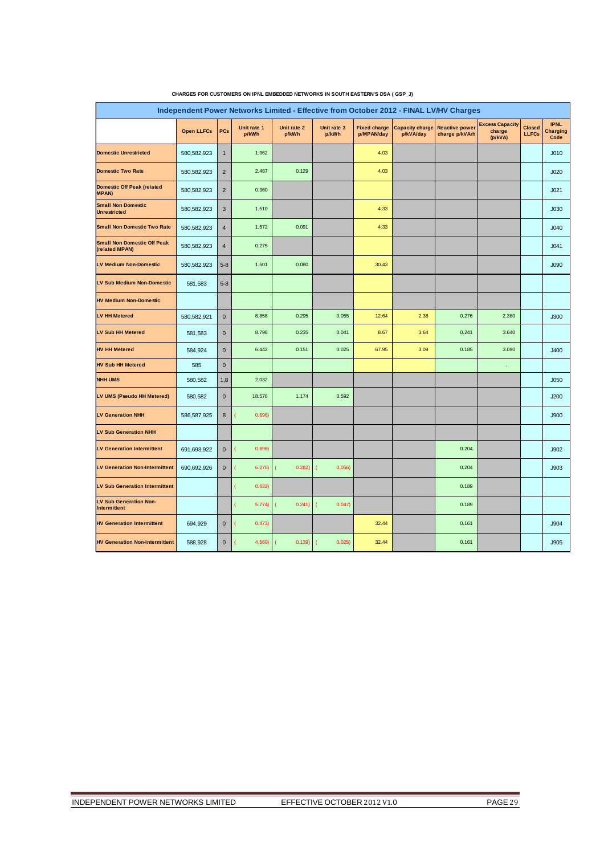| Independent Power Networks Limited - Effective from October 2012 - FINAL LV/HV Charges |                   |                |                      |                      |                      |                                   |                                     |                                         |                                             |                               |                                        |  |
|----------------------------------------------------------------------------------------|-------------------|----------------|----------------------|----------------------|----------------------|-----------------------------------|-------------------------------------|-----------------------------------------|---------------------------------------------|-------------------------------|----------------------------------------|--|
|                                                                                        | <b>Open LLFCs</b> | PCs            | Unit rate 1<br>p/kWh | Unit rate 2<br>p/kWh | Unit rate 3<br>p/kWh | <b>Fixed charge</b><br>p/MPAN/day | <b>Capacity charge</b><br>p/kVA/day | <b>Reactive power</b><br>charge p/kVArh | <b>Excess Capacity</b><br>charge<br>(p/kVA) | <b>Closed</b><br><b>LLFCs</b> | <b>IPNL</b><br><b>Charging</b><br>Code |  |
| <b>Domestic Unrestricted</b>                                                           | 580,582,923       | $\mathbf{1}$   | 1.962                |                      |                      | 4.03                              |                                     |                                         |                                             |                               | J <sub>010</sub>                       |  |
| <b>Domestic Two Rate</b>                                                               | 580,582,923       | $\overline{2}$ | 2.487                | 0.129                |                      | 4.03                              |                                     |                                         |                                             |                               | J <sub>020</sub>                       |  |
| <b>Domestic Off Peak (related</b><br><b>MPAN)</b>                                      | 580,582,923       | $\overline{2}$ | 0.360                |                      |                      |                                   |                                     |                                         |                                             |                               | J <sub>021</sub>                       |  |
| <b>Small Non Domestic</b><br><b>Unrestricted</b>                                       | 580,582,923       | 3              | 1.510                |                      |                      | 4.33                              |                                     |                                         |                                             |                               | J030                                   |  |
| <b>Small Non Domestic Two Rate</b>                                                     | 580,582,923       | $\overline{4}$ | 1.572                | 0.091                |                      | 4.33                              |                                     |                                         |                                             |                               | J <sub>040</sub>                       |  |
| <b>Small Non Domestic Off Peak</b><br>(related MPAN)                                   | 580,582,923       | $\overline{4}$ | 0.275                |                      |                      |                                   |                                     |                                         |                                             |                               | J041                                   |  |
| <b>LV Medium Non-Domestic</b>                                                          | 580,582,923       | $5 - 8$        | 1.501                | 0.080                |                      | 30.43                             |                                     |                                         |                                             |                               | J090                                   |  |
| <b>LV Sub Medium Non-Domestic</b>                                                      | 581,583           | $5 - 8$        |                      |                      |                      |                                   |                                     |                                         |                                             |                               |                                        |  |
| <b>HV Medium Non-Domestic</b>                                                          |                   |                |                      |                      |                      |                                   |                                     |                                         |                                             |                               |                                        |  |
| <b>LV HH Metered</b>                                                                   | 580,582,921       | $\mathbf 0$    | 8.858                | 0.295                | 0.055                | 12.64                             | 2.38                                | 0.276                                   | 2.380                                       |                               | J300                                   |  |
| <b>LV Sub HH Metered</b>                                                               | 581,583           | $\mathbf 0$    | 8.798                | 0.235                | 0.041                | 8.67                              | 3.64                                | 0.241                                   | 3.640                                       |                               |                                        |  |
| <b>HV HH Metered</b>                                                                   | 584,924           | $\mathbf 0$    | 6.442                | 0.151                | 0.025                | 67.95                             | 3.09                                | 0.185                                   | 3.090                                       |                               | J400                                   |  |
| <b>HV Sub HH Metered</b>                                                               | 585               | $\mathbf 0$    |                      |                      |                      |                                   |                                     |                                         | ×                                           |                               |                                        |  |
| <b>NHH UMS</b>                                                                         | 580,582           | 1,8            | 2.032                |                      |                      |                                   |                                     |                                         |                                             |                               | J050                                   |  |
| LV UMS (Pseudo HH Metered)                                                             | 580,582           | $\mathbf 0$    | 18.576               | 1.174                | 0.592                |                                   |                                     |                                         |                                             |                               | J200                                   |  |
| <b>LV Generation NHH</b>                                                               | 586,587,925       | 8              | 0.696)               |                      |                      |                                   |                                     |                                         |                                             |                               | J900                                   |  |
| <b>LV Sub Generation NHH</b>                                                           |                   |                |                      |                      |                      |                                   |                                     |                                         |                                             |                               |                                        |  |
| <b>LV Generation Intermittent</b>                                                      | 691,693,922       | $\mathbf 0$    | 0.696)               |                      |                      |                                   |                                     | 0.204                                   |                                             |                               | J902                                   |  |
| <b>LV Generation Non-Intermittent</b>                                                  | 690,692,926       | $\mathbf 0$    | 6.270                | 0.282)               | 0.056                |                                   |                                     | 0.204                                   |                                             |                               | J903                                   |  |
| <b>LV Sub Generation Intermittent</b>                                                  |                   |                | 0.632)               |                      |                      |                                   |                                     | 0.189                                   |                                             |                               |                                        |  |
| <b>LV Sub Generation Non-</b><br>Intermittent                                          |                   |                | 5.774)               | 0.241                | 0.047)<br>C          |                                   |                                     | 0.189                                   |                                             |                               |                                        |  |
| <b>HV Generation Intermittent</b>                                                      | 694,929           | $\mathbf 0$    | 0.473)               |                      |                      | 32.44                             |                                     | 0.161                                   |                                             |                               | J904                                   |  |
| <b>HV Generation Non-Intermittent</b>                                                  | 588,928           | $\mathbf 0$    | 4.560                | 0.139)               | 0.025)               | 32.44                             |                                     | 0.161                                   |                                             |                               | J905                                   |  |

#### **CHARGES FOR CUSTOMERS ON IPNL EMBEDDED NETWORKS IN SOUTH EASTERN'S DSA ( GSP\_J)**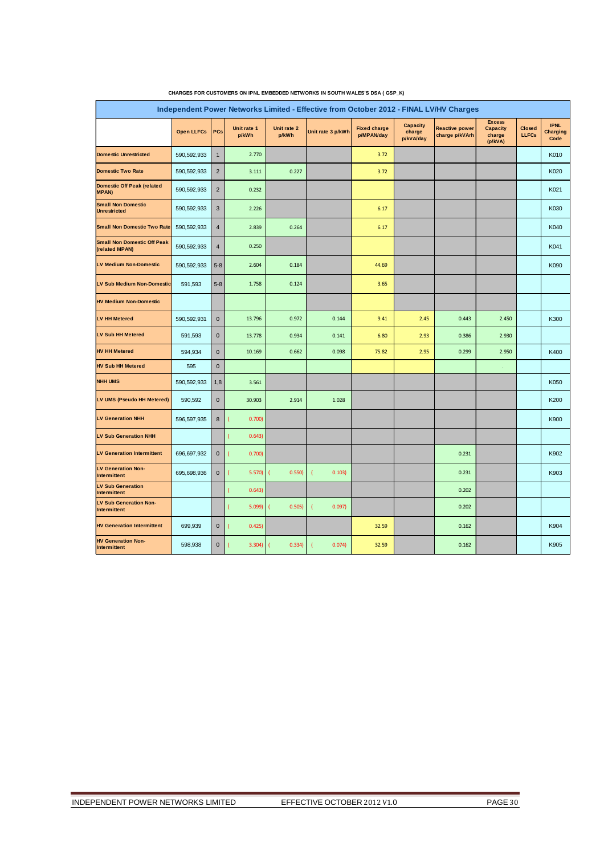| Independent Power Networks Limited - Effective from October 2012 - FINAL LV/HV Charges |                   |                |                         |                      |                          |                                   |                                        |                                         |                                                       |                        |                                        |
|----------------------------------------------------------------------------------------|-------------------|----------------|-------------------------|----------------------|--------------------------|-----------------------------------|----------------------------------------|-----------------------------------------|-------------------------------------------------------|------------------------|----------------------------------------|
|                                                                                        | <b>Open LLFCs</b> | PCs            | Unit rate 1<br>p/kWh    | Unit rate 2<br>p/kWh | Unit rate 3 p/kWh        | <b>Fixed charge</b><br>p/MPAN/day | <b>Capacity</b><br>charge<br>p/kVA/day | <b>Reactive power</b><br>charge p/kVArh | <b>Excess</b><br><b>Capacity</b><br>charge<br>(p/kVA) | Closed<br><b>LLFCs</b> | <b>IPNL</b><br><b>Charging</b><br>Code |
| <b>Domestic Unrestricted</b>                                                           | 590,592,933       | $\mathbf{1}$   | 2.770                   |                      |                          | 3.72                              |                                        |                                         |                                                       |                        | K010                                   |
| <b>Domestic Two Rate</b>                                                               | 590,592,933       | $\overline{2}$ | 3.111                   | 0.227                |                          | 3.72                              |                                        |                                         |                                                       |                        | K020                                   |
| Domestic Off Peak (related<br><b>MPAN)</b>                                             | 590,592,933       | $\overline{2}$ | 0.232                   |                      |                          |                                   |                                        |                                         |                                                       |                        | K021                                   |
| <b>Small Non Domestic</b><br><b>Unrestricted</b>                                       | 590,592,933       | $\mathbf{3}$   | 2.226                   |                      |                          | 6.17                              |                                        |                                         |                                                       |                        | K030                                   |
| <b>Small Non Domestic Two Rate</b>                                                     | 590,592,933       | $\overline{4}$ | 2.839                   | 0.264                |                          | 6.17                              |                                        |                                         |                                                       |                        | K040                                   |
| <b>Small Non Domestic Off Peak</b><br>(related MPAN)                                   | 590,592,933       | $\overline{4}$ | 0.250                   |                      |                          |                                   |                                        |                                         |                                                       |                        | K041                                   |
| LV Medium Non-Domestic                                                                 | 590,592,933       | $5 - 8$        | 2.604                   | 0.184                |                          | 44.69                             |                                        |                                         |                                                       |                        | K090                                   |
| <b>LV Sub Medium Non-Domestic</b>                                                      | 591,593           | $5 - 8$        | 1.758                   | 0.124                |                          | 3.65                              |                                        |                                         |                                                       |                        |                                        |
| <b>HV Medium Non-Domestic</b>                                                          |                   |                |                         |                      |                          |                                   |                                        |                                         |                                                       |                        |                                        |
| LV HH Metered                                                                          | 590,592,931       | $\bf 0$        | 13.796                  | 0.972                | 0.144                    | 9.41                              | 2.45                                   | 0.443                                   | 2.450                                                 |                        | K300                                   |
| <b>LV Sub HH Metered</b>                                                               | 591,593           | $\pmb{0}$      | 13.778                  | 0.934                | 0.141                    | 6.80                              | 2.93                                   | 0.386                                   | 2.930                                                 |                        |                                        |
| <b>HV HH Metered</b>                                                                   | 594,934           | $\bf 0$        | 10.169                  | 0.662                | 0.098                    | 75.82                             | 2.95                                   | 0.299                                   | 2.950                                                 |                        | K400                                   |
| <b>HV Sub HH Metered</b>                                                               | 595               | $\mathbf 0$    |                         |                      |                          |                                   |                                        |                                         | ä,                                                    |                        |                                        |
| <b>NHH UMS</b>                                                                         | 590,592,933       | 1,8            | 3.561                   |                      |                          |                                   |                                        |                                         |                                                       |                        | K050                                   |
| LV UMS (Pseudo HH Metered)                                                             | 590,592           | $\mathbf{0}$   | 30.903                  | 2.914                | 1.028                    |                                   |                                        |                                         |                                                       |                        | K200                                   |
| <b>LV Generation NHH</b>                                                               | 596,597,935       | $\bf 8$        | 0.700                   |                      |                          |                                   |                                        |                                         |                                                       |                        | K900                                   |
| <b>LV Sub Generation NHH</b>                                                           |                   |                | 0.643                   |                      |                          |                                   |                                        |                                         |                                                       |                        |                                        |
| <b>LV Generation Intermittent</b>                                                      | 696,697,932       | $\mathbf 0$    | 0.700)<br>1             |                      |                          |                                   |                                        | 0.231                                   |                                                       |                        | K902                                   |
| <b>LV Generation Non-</b><br>Intermittent                                              | 695,698,936       | $\bf 0$        | 5.570                   | 0.550                | 0.103)<br>$\overline{1}$ |                                   |                                        | 0.231                                   |                                                       |                        | K903                                   |
| LV Sub Generation<br>Intermittent                                                      |                   |                | 0.643                   |                      |                          |                                   |                                        | 0.202                                   |                                                       |                        |                                        |
| <b>LV Sub Generation Non-</b><br>Intermittent                                          |                   |                | 5.099                   | 0.505)               | 0.097)<br>l              |                                   |                                        | 0.202                                   |                                                       |                        |                                        |
| <b>HV Generation Intermittent</b>                                                      | 699,939           | $\mathbf 0$    | 0.425<br>$\overline{ }$ |                      |                          | 32.59                             |                                        | 0.162                                   |                                                       |                        | K904                                   |
| <b>HV Generation Non-</b><br>Intermittent                                              | 598,938           | $\mathbf{0}$   | 3.304)                  | 0.334)               | 0.074<br>ı               | 32.59                             |                                        | 0.162                                   |                                                       |                        | K905                                   |

#### **CHARGES FOR CUSTOMERS ON IPNL EMBEDDED NETWORKS IN SOUTH WALES'S DSA ( GSP\_K)**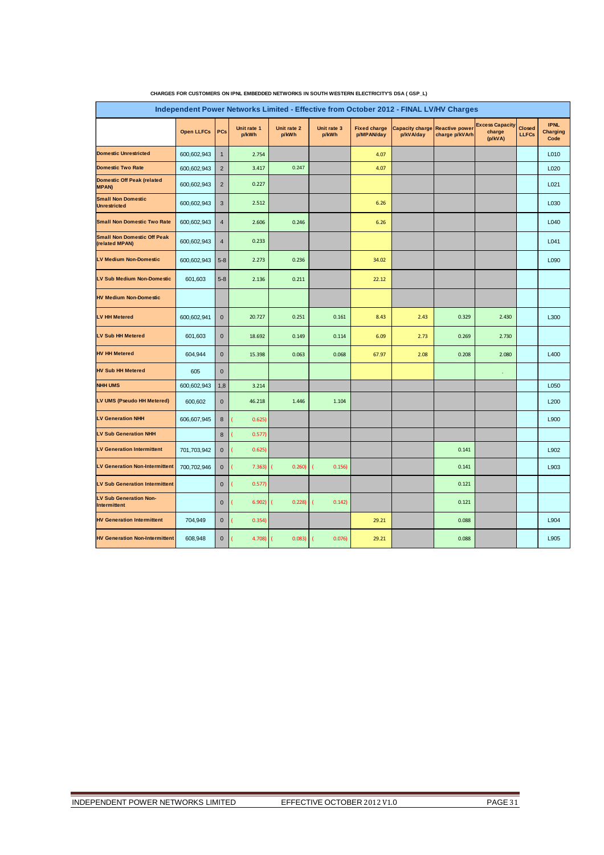| Independent Power Networks Limited - Effective from October 2012 - FINAL LV/HV Charges |                   |                  |                      |                      |                      |                                   |                                     |                                         |                                             |                               |                                        |
|----------------------------------------------------------------------------------------|-------------------|------------------|----------------------|----------------------|----------------------|-----------------------------------|-------------------------------------|-----------------------------------------|---------------------------------------------|-------------------------------|----------------------------------------|
|                                                                                        | <b>Open LLFCs</b> | PCs              | Unit rate 1<br>p/kWh | Unit rate 2<br>p/kWh | Unit rate 3<br>p/kWh | <b>Fixed charge</b><br>p/MPAN/day | <b>Capacity charge</b><br>p/kVA/day | <b>Reactive power</b><br>charge p/kVArh | <b>Excess Capacity</b><br>charge<br>(p/kVA) | <b>Closed</b><br><b>LLFCs</b> | <b>IPNL</b><br><b>Charging</b><br>Code |
| <b>Domestic Unrestricted</b>                                                           | 600,602,943       | $\mathbf{1}$     | 2.754                |                      |                      | 4.07                              |                                     |                                         |                                             |                               | L010                                   |
| <b>Domestic Two Rate</b>                                                               | 600,602,943       | $\overline{2}$   | 3.417                | 0.247                |                      | 4.07                              |                                     |                                         |                                             |                               | L020                                   |
| Domestic Off Peak (related<br><b>MPAN)</b>                                             | 600,602,943       | $\overline{2}$   | 0.227                |                      |                      |                                   |                                     |                                         |                                             |                               | L021                                   |
| <b>Small Non Domestic</b><br><b>Unrestricted</b>                                       | 600,602,943       | $\mathbf{3}$     | 2.512                |                      |                      | 6.26                              |                                     |                                         |                                             |                               | L030                                   |
| <b>Small Non Domestic Two Rate</b>                                                     | 600,602,943       | $\overline{4}$   | 2.606                | 0.246                |                      | 6.26                              |                                     |                                         |                                             |                               | L040                                   |
| <b>Small Non Domestic Off Peak</b><br>(related MPAN)                                   | 600,602,943       | $\overline{4}$   | 0.233                |                      |                      |                                   |                                     |                                         |                                             |                               | L041                                   |
| LV Medium Non-Domestic                                                                 | 600,602,943       | $5 - 8$          | 2.273                | 0.236                |                      | 34.02                             |                                     |                                         |                                             |                               | L090                                   |
| <b>LV Sub Medium Non-Domestic</b>                                                      | 601,603           | $5 - 8$          | 2.136                | 0.211                |                      | 22.12                             |                                     |                                         |                                             |                               |                                        |
| <b>HV Medium Non-Domestic</b>                                                          |                   |                  |                      |                      |                      |                                   |                                     |                                         |                                             |                               |                                        |
| <b>LV HH Metered</b>                                                                   | 600,602,941       | $\mathbf 0$      | 20.727               | 0.251                | 0.161                | 8.43                              | 2.43                                | 0.329                                   | 2.430                                       |                               | L300                                   |
| LV Sub HH Metered                                                                      | 601,603           | $\pmb{0}$        | 18.692               | 0.149                | 0.114                | 6.09                              | 2.73                                | 0.269                                   | 2.730                                       |                               |                                        |
| <b>HV HH Metered</b>                                                                   | 604,944           | $\mathbf{0}$     | 15.398               | 0.063                | 0.068                | 67.97                             | 2.08                                | 0.208                                   | 2.080                                       |                               | L400                                   |
| <b>HV Sub HH Metered</b>                                                               | 605               | $\mathbf 0$      |                      |                      |                      |                                   |                                     |                                         | ×                                           |                               |                                        |
| <b>NHH UMS</b>                                                                         | 600,602,943       | 1,8              | 3.214                |                      |                      |                                   |                                     |                                         |                                             |                               | L050                                   |
| LV UMS (Pseudo HH Metered)                                                             | 600,602           | $\mathbf 0$      | 46.218               | 1.446                | 1.104                |                                   |                                     |                                         |                                             |                               | L200                                   |
| <b>LV Generation NHH</b>                                                               | 606,607,945       | $\bf8$           | 0.625)               |                      |                      |                                   |                                     |                                         |                                             |                               | L900                                   |
| <b>LV Sub Generation NHH</b>                                                           |                   | $\boldsymbol{8}$ | 0.577                |                      |                      |                                   |                                     |                                         |                                             |                               |                                        |
| <b>LV Generation Intermittent</b>                                                      | 701,703,942       | $\mathbf 0$      | 0.625)               |                      |                      |                                   |                                     | 0.141                                   |                                             |                               | L902                                   |
| <b>LV Generation Non-Intermittent</b>                                                  | 700,702,946       | $\mathbf{0}$     | 7.363)               | 0.260                | 0.156                |                                   |                                     | 0.141                                   |                                             |                               | L903                                   |
| <b>LV Sub Generation Intermittent</b>                                                  |                   | $\mathbf 0$      | 0.577)               |                      |                      |                                   |                                     | 0.121                                   |                                             |                               |                                        |
| <b>LV Sub Generation Non-</b><br>Intermittent                                          |                   | $\mathbf 0$      | 6.902)               | 0.228                | 0.142)               |                                   |                                     | 0.121                                   |                                             |                               |                                        |
| <b>HV Generation Intermittent</b>                                                      | 704,949           | $\mathbf 0$      | 0.354                |                      |                      | 29.21                             |                                     | 0.088                                   |                                             |                               | L904                                   |
| <b>HV Generation Non-Intermittent</b>                                                  | 608,948           | $\mathbf 0$      | 4.708                | 0.083)               | 0.076)               | 29.21                             |                                     | 0.088                                   |                                             |                               | L905                                   |

#### **CHARGES FOR CUSTOMERS ON IPNL EMBEDDED NETWORKS IN SOUTH WESTERN ELECTRICITY'S DSA ( GSP\_L)**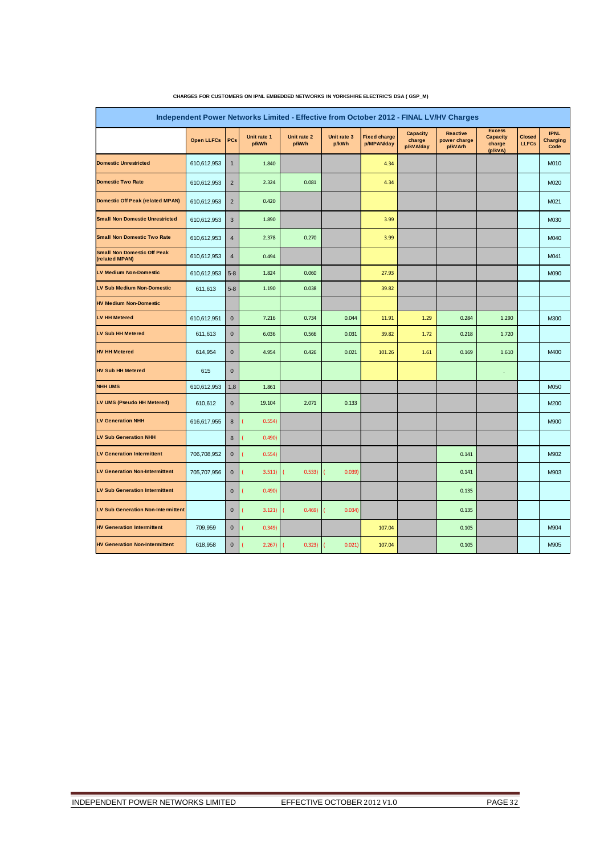| Independent Power Networks Limited - Effective from October 2012 - FINAL LV/HV Charges |                   |                |                      |                      |                      |                                   |                                        |                                            |                                                       |                        |                                 |  |  |
|----------------------------------------------------------------------------------------|-------------------|----------------|----------------------|----------------------|----------------------|-----------------------------------|----------------------------------------|--------------------------------------------|-------------------------------------------------------|------------------------|---------------------------------|--|--|
|                                                                                        | <b>Open LLFCs</b> | PCs            | Unit rate 1<br>p/kWh | Unit rate 2<br>p/kWh | Unit rate 3<br>p/kWh | <b>Fixed charge</b><br>p/MPAN/day | <b>Capacity</b><br>charge<br>p/kVA/day | <b>Reactive</b><br>power charge<br>p/kVArh | <b>Excess</b><br><b>Capacity</b><br>charge<br>(p/kVA) | Closed<br><b>LLFCs</b> | <b>IPNL</b><br>Charging<br>Code |  |  |
| <b>Domestic Unrestricted</b>                                                           | 610,612,953       | $\overline{1}$ | 1.840                |                      |                      | 4.34                              |                                        |                                            |                                                       |                        | M010                            |  |  |
| <b>Domestic Two Rate</b>                                                               | 610,612,953       | $\overline{2}$ | 2.324                | 0.081                |                      | 4.34                              |                                        |                                            |                                                       |                        | M020                            |  |  |
| <b>Domestic Off Peak (related MPAN)</b>                                                | 610,612,953       | $\overline{2}$ | 0.420                |                      |                      |                                   |                                        |                                            |                                                       |                        | M021                            |  |  |
| <b>Small Non Domestic Unrestricted</b>                                                 | 610,612,953       | 3              | 1.890                |                      |                      | 3.99                              |                                        |                                            |                                                       |                        | M030                            |  |  |
| <b>Small Non Domestic Two Rate</b>                                                     | 610,612,953       | $\overline{4}$ | 2.378                | 0.270                |                      | 3.99                              |                                        |                                            |                                                       |                        | M040                            |  |  |
| <b>Small Non Domestic Off Peak</b><br>(related MPAN)                                   | 610,612,953       | $\overline{4}$ | 0.494                |                      |                      |                                   |                                        |                                            |                                                       |                        | M041                            |  |  |
| <b>LV Medium Non-Domestic</b>                                                          | 610,612,953       | $5 - 8$        | 1.824                | 0.060                |                      | 27.93                             |                                        |                                            |                                                       |                        | M090                            |  |  |
| LV Sub Medium Non-Domestic                                                             | 611,613           | $5 - 8$        | 1.190                | 0.038                |                      | 39.82                             |                                        |                                            |                                                       |                        |                                 |  |  |
| <b>HV Medium Non-Domestic</b>                                                          |                   |                |                      |                      |                      |                                   |                                        |                                            |                                                       |                        |                                 |  |  |
| LV HH Metered                                                                          | 610,612,951       | $\mathbf{0}$   | 7.216                | 0.734                | 0.044                | 11.91                             | 1.29                                   | 0.284                                      | 1.290                                                 |                        | <b>M300</b>                     |  |  |
| <b>LV Sub HH Metered</b>                                                               | 611,613           | $\mathbf 0$    | 6.036                | 0.566                | 0.031                | 39.82                             | 1.72                                   | 0.218                                      | 1.720                                                 |                        |                                 |  |  |
| <b>HV HH Metered</b>                                                                   | 614,954           | $\mathbf{0}$   | 4.954                | 0.426                | 0.021                | 101.26                            | 1.61                                   | 0.169                                      | 1.610                                                 |                        | M400                            |  |  |
| <b>HV Sub HH Metered</b>                                                               | 615               | $\mathbf 0$    |                      |                      |                      |                                   |                                        |                                            |                                                       |                        |                                 |  |  |
| <b>NHH UMS</b>                                                                         | 610.612.953       | 1,8            | 1.861                |                      |                      |                                   |                                        |                                            |                                                       |                        | M050                            |  |  |
| LV UMS (Pseudo HH Metered)                                                             | 610,612           | $\mathbf 0$    | 19.104               | 2.071                | 0.133                |                                   |                                        |                                            |                                                       |                        | M200                            |  |  |
| <b>LV Generation NHH</b>                                                               | 616,617,955       | 8              | 0.554                |                      |                      |                                   |                                        |                                            |                                                       |                        | <b>M900</b>                     |  |  |
| <b>LV Sub Generation NHH</b>                                                           |                   | 8              | 0.490                |                      |                      |                                   |                                        |                                            |                                                       |                        |                                 |  |  |
| <b>LV Generation Intermittent</b>                                                      | 706,708,952       | $\mathbf{0}$   | 0.554)               |                      |                      |                                   |                                        | 0.141                                      |                                                       |                        | M902                            |  |  |
| <b>LV Generation Non-Intermittent</b>                                                  | 705,707,956       | $\mathbf 0$    | 3.511)               | 0.533)               | 0.039)               |                                   |                                        | 0.141                                      |                                                       |                        | M903                            |  |  |
| <b>LV Sub Generation Intermittent</b>                                                  |                   | $\mathbf 0$    | 0.490                |                      |                      |                                   |                                        | 0.135                                      |                                                       |                        |                                 |  |  |
| <b>LV Sub Generation Non-Intermittent</b>                                              |                   | $\mathbf 0$    | 3.121)               | 0.469                | 0.034)               |                                   |                                        | 0.135                                      |                                                       |                        |                                 |  |  |
| <b>HV Generation Intermittent</b>                                                      | 709,959           | $\mathbf 0$    | 0.349                |                      |                      | 107.04                            |                                        | 0.105                                      |                                                       |                        | M904                            |  |  |
| <b>HV Generation Non-Intermittent</b>                                                  | 618,958           | $\mathbf{0}$   | 2.267)               | 0.323)               | 0.021                | 107.04                            |                                        | 0.105                                      |                                                       |                        | M905                            |  |  |

#### **CHARGES FOR CUSTOMERS ON IPNL EMBEDDED NETWORKS IN YORKSHIRE ELECTRIC'S DSA ( GSP\_M)**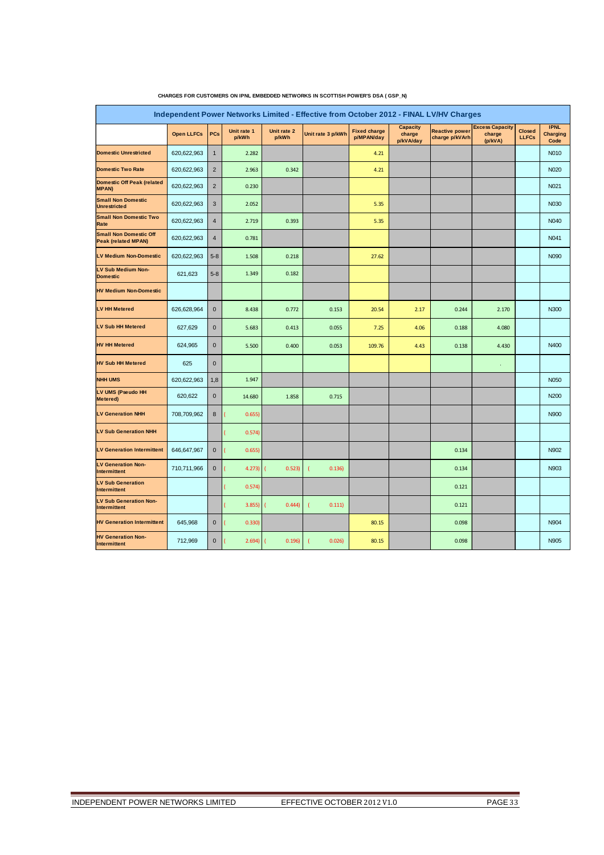| Independent Power Networks Limited - Effective from October 2012 - FINAL LV/HV Charges |                   |                |                      |                      |                   |                                   |                                 |                                         |                                             |                               |                                        |
|----------------------------------------------------------------------------------------|-------------------|----------------|----------------------|----------------------|-------------------|-----------------------------------|---------------------------------|-----------------------------------------|---------------------------------------------|-------------------------------|----------------------------------------|
|                                                                                        | <b>Open LLFCs</b> | PCs            | Unit rate 1<br>p/kWh | Unit rate 2<br>p/kWh | Unit rate 3 p/kWh | <b>Fixed charge</b><br>p/MPAN/day | Capacity<br>charge<br>p/kVA/day | <b>Reactive power</b><br>charge p/kVArh | <b>Excess Capacity</b><br>charge<br>(p/kVA) | <b>Closed</b><br><b>LLFCs</b> | <b>IPNL</b><br><b>Charging</b><br>Code |
| <b>Domestic Unrestricted</b>                                                           | 620,622,963       | $\mathbf{1}$   | 2.282                |                      |                   | 4.21                              |                                 |                                         |                                             |                               | N010                                   |
| <b>Domestic Two Rate</b>                                                               | 620,622,963       | $\overline{2}$ | 2.963                | 0.342                |                   | 4.21                              |                                 |                                         |                                             |                               | N020                                   |
| <b>Domestic Off Peak (related</b><br><b>MPAN)</b>                                      | 620,622,963       | $\overline{2}$ | 0.230                |                      |                   |                                   |                                 |                                         |                                             |                               | N021                                   |
| <b>Small Non Domestic</b><br><b>Unrestricted</b>                                       | 620,622,963       | 3              | 2.052                |                      |                   | 5.35                              |                                 |                                         |                                             |                               | N030                                   |
| <b>Small Non Domestic Two</b><br>Rate                                                  | 620,622,963       | $\overline{4}$ | 2.719                | 0.393                |                   | 5.35                              |                                 |                                         |                                             |                               | N040                                   |
| <b>Small Non Domestic Off</b><br><b>Peak (related MPAN)</b>                            | 620,622,963       | $\overline{4}$ | 0.781                |                      |                   |                                   |                                 |                                         |                                             |                               | N041                                   |
| LV Medium Non-Domestic                                                                 | 620,622,963       | $5 - 8$        | 1.508                | 0.218                |                   | 27.62                             |                                 |                                         |                                             |                               | N090                                   |
| <b>LV Sub Medium Non-</b><br><b>Domestic</b>                                           | 621,623           | $5-8$          | 1.349                | 0.182                |                   |                                   |                                 |                                         |                                             |                               |                                        |
| <b>HV Medium Non-Domestic</b>                                                          |                   |                |                      |                      |                   |                                   |                                 |                                         |                                             |                               |                                        |
| <b>LV HH Metered</b>                                                                   | 626,628,964       | $\mathbf 0$    | 8.438                | 0.772                | 0.153             | 20.54                             | 2.17                            | 0.244                                   | 2.170                                       |                               | N300                                   |
| <b>LV Sub HH Metered</b>                                                               | 627,629           | $\mathbf{0}$   | 5.683                | 0.413                | 0.055             | 7.25                              | 4.06                            | 0.188                                   | 4.080                                       |                               |                                        |
| <b>HV HH Metered</b>                                                                   | 624,965           | $\mathbf 0$    | 5.500                | 0.400                | 0.053             | 109.76                            | 4.43                            | 0.138                                   | 4.430                                       |                               | N400                                   |
| <b>HV Sub HH Metered</b>                                                               | 625               | $\pmb{0}$      |                      |                      |                   |                                   |                                 |                                         |                                             |                               |                                        |
| <b>NHH UMS</b>                                                                         | 620,622,963       | 1,8            | 1.947                |                      |                   |                                   |                                 |                                         |                                             |                               | <b>N050</b>                            |
| LV UMS (Pseudo HH<br>Metered)                                                          | 620,622           | $\bf 0$        | 14.680               | 1.858                | 0.715             |                                   |                                 |                                         |                                             |                               | N200                                   |
| <b>LV Generation NHH</b>                                                               | 708,709,962       | $\bf 8$        | 0.655)               |                      |                   |                                   |                                 |                                         |                                             |                               | N900                                   |
| <b>LV Sub Generation NHH</b>                                                           |                   |                | 0.574)               |                      |                   |                                   |                                 |                                         |                                             |                               |                                        |
| <b>LV Generation Intermittent</b>                                                      | 646,647,967       | $\mathbf 0$    | 0.655)               |                      |                   |                                   |                                 | 0.134                                   |                                             |                               | N902                                   |
| <b>LV Generation Non-</b><br>Intermittent                                              | 710,711,966       | $\bf 0$        | 4.273                | 0.523                | 0.136             |                                   |                                 | 0.134                                   |                                             |                               | N903                                   |
| <b>LV Sub Generation</b><br>Intermittent                                               |                   |                | 0.574)               |                      |                   |                                   |                                 | 0.121                                   |                                             |                               |                                        |
| <b>LV Sub Generation Non-</b><br>Intermittent                                          |                   |                | 3.855                | 0.444                | 0.111)            |                                   |                                 | 0.121                                   |                                             |                               |                                        |
| <b>HV Generation Intermittent</b>                                                      | 645,968           | $\bf 0$        | 0.330                |                      |                   | 80.15                             |                                 | 0.098                                   |                                             |                               | N904                                   |
| <b>HV Generation Non-</b><br>Intermittent                                              | 712,969           | $\mathbf 0$    | 2.694)               | 0.196                | 0.026             | 80.15                             |                                 | 0.098                                   |                                             |                               | N905                                   |

#### **CHARGES FOR CUSTOMERS ON IPNL EMBEDDED NETWORKS IN SCOTTISH POWER'S DSA ( GSP\_N)**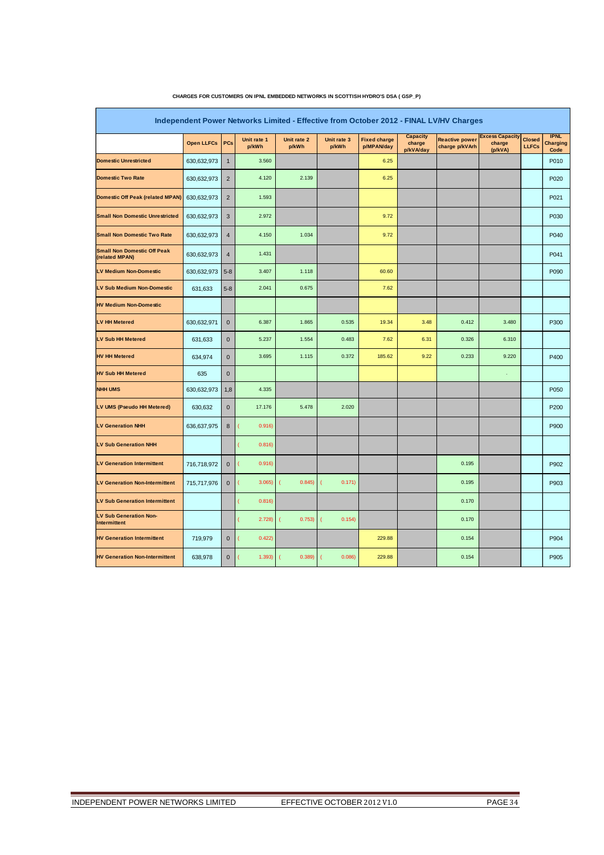| Independent Power Networks Limited - Effective from October 2012 - FINAL LV/HV Charges |                   |                |                      |                      |                      |                                   |                                        |                                         |                                             |                               |                                        |  |
|----------------------------------------------------------------------------------------|-------------------|----------------|----------------------|----------------------|----------------------|-----------------------------------|----------------------------------------|-----------------------------------------|---------------------------------------------|-------------------------------|----------------------------------------|--|
|                                                                                        | <b>Open LLFCs</b> | PCs            | Unit rate 1<br>p/kWh | Unit rate 2<br>p/kWh | Unit rate 3<br>p/kWh | <b>Fixed charge</b><br>p/MPAN/day | <b>Capacity</b><br>charge<br>p/kVA/day | <b>Reactive power</b><br>charge p/kVArh | <b>Excess Capacity</b><br>charge<br>(p/kVA) | <b>Closed</b><br><b>LLFCs</b> | <b>IPNL</b><br><b>Charging</b><br>Code |  |
| <b>Domestic Unrestricted</b>                                                           | 630,632,973       | $\mathbf{1}$   | 3.560                |                      |                      | 6.25                              |                                        |                                         |                                             |                               | P010                                   |  |
| <b>Domestic Two Rate</b>                                                               | 630,632,973       | $\overline{2}$ | 4.120                | 2.139                |                      | 6.25                              |                                        |                                         |                                             |                               | P020                                   |  |
| <b>Domestic Off Peak (related MPAN)</b>                                                | 630,632,973       | $\overline{2}$ | 1.593                |                      |                      |                                   |                                        |                                         |                                             |                               | P021                                   |  |
| <b>Small Non Domestic Unrestricted</b>                                                 | 630,632,973       | 3              | 2.972                |                      |                      | 9.72                              |                                        |                                         |                                             |                               | P030                                   |  |
| <b>Small Non Domestic Two Rate</b>                                                     | 630,632,973       | $\overline{4}$ | 4.150                | 1.034                |                      | 9.72                              |                                        |                                         |                                             |                               | P040                                   |  |
| <b>Small Non Domestic Off Peak</b><br>(related MPAN)                                   | 630,632,973       | 4              | 1.431                |                      |                      |                                   |                                        |                                         |                                             |                               | P041                                   |  |
| <b>LV Medium Non-Domestic</b>                                                          | 630,632,973       | $5 - 8$        | 3.407                | 1.118                |                      | 60.60                             |                                        |                                         |                                             |                               | P090                                   |  |
| LV Sub Medium Non-Domestic                                                             | 631,633           | $5 - 8$        | 2.041                | 0.675                |                      | 7.62                              |                                        |                                         |                                             |                               |                                        |  |
| <b>HV Medium Non-Domestic</b>                                                          |                   |                |                      |                      |                      |                                   |                                        |                                         |                                             |                               |                                        |  |
| <b>LV HH Metered</b>                                                                   | 630,632,971       | $\mathbf 0$    | 6.387                | 1.865                | 0.535                | 19.34                             | 3.48                                   | 0.412                                   | 3.480                                       |                               | P300                                   |  |
| <b>LV Sub HH Metered</b>                                                               | 631,633           | $\mathbf 0$    | 5.237                | 1.554                | 0.483                | 7.62                              | 6.31                                   | 0.326                                   | 6.310                                       |                               |                                        |  |
| <b>HV HH Metered</b>                                                                   | 634,974           | $\mathbf 0$    | 3.695                | 1.115                | 0.372                | 185.62                            | 9.22                                   | 0.233                                   | 9.220                                       |                               | P400                                   |  |
| <b>HV Sub HH Metered</b>                                                               | 635               | $\mathbf 0$    |                      |                      |                      |                                   |                                        |                                         | ¥,                                          |                               |                                        |  |
| <b>NHH UMS</b>                                                                         | 630,632,973       | 1,8            | 4.335                |                      |                      |                                   |                                        |                                         |                                             |                               | P050                                   |  |
| LV UMS (Pseudo HH Metered)                                                             | 630,632           | $\mathbf 0$    | 17.176               | 5.478                | 2.020                |                                   |                                        |                                         |                                             |                               | P200                                   |  |
| <b>LV Generation NHH</b>                                                               | 636,637,975       | 8              | 0.916                |                      |                      |                                   |                                        |                                         |                                             |                               | P900                                   |  |
| <b>LV Sub Generation NHH</b>                                                           |                   |                | 0.816                |                      |                      |                                   |                                        |                                         |                                             |                               |                                        |  |
| <b>LV Generation Intermittent</b>                                                      | 716,718,972       | $\mathbf 0$    | 0.916                |                      |                      |                                   |                                        | 0.195                                   |                                             |                               | P902                                   |  |
| <b>LV Generation Non-Intermittent</b>                                                  | 715,717,976       | $\mathbf 0$    | 3.065                | 0.845)               | 0.171)               |                                   |                                        | 0.195                                   |                                             |                               | P903                                   |  |
| <b>LV Sub Generation Intermittent</b>                                                  |                   |                | 0.816                |                      |                      |                                   |                                        | 0.170                                   |                                             |                               |                                        |  |
| <b>LV Sub Generation Non-</b><br><b>Intermittent</b>                                   |                   |                | 2.728                | 0.753)               | 0.154                |                                   |                                        | 0.170                                   |                                             |                               |                                        |  |
| <b>HV Generation Intermittent</b>                                                      | 719,979           | $\mathbf 0$    | 0.422                |                      |                      | 229.88                            |                                        | 0.154                                   |                                             |                               | P904                                   |  |
| <b>HV Generation Non-Intermittent</b>                                                  | 638,978           | $\overline{0}$ | 1.393)               | 0.389                | 0.086                | 229.88                            |                                        | 0.154                                   |                                             |                               | P905                                   |  |

#### **CHARGES FOR CUSTOMERS ON IPNL EMBEDDED NETWORKS IN SCOTTISH HYDRO'S DSA ( GSP\_P)**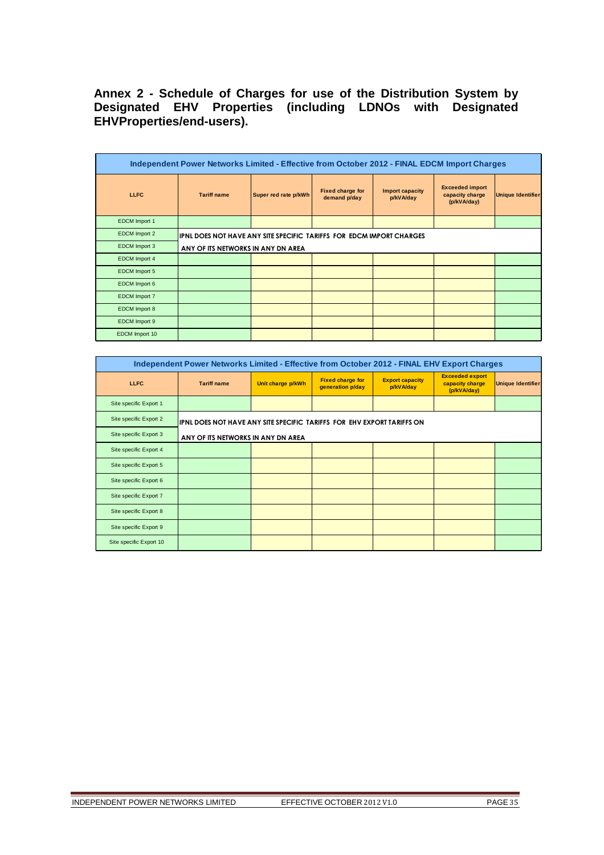# **Annex 2 - Schedule of Charges for use of the Distribution System by Designated EHV Properties (including LDNOs with Designated EHVProperties/end-users).**

| Independent Power Networks Limited - Effective from October 2012 - FINAL EDCM Import Charges |                                                                      |                      |                                         |                              |                                                          |                          |  |  |  |  |  |
|----------------------------------------------------------------------------------------------|----------------------------------------------------------------------|----------------------|-----------------------------------------|------------------------------|----------------------------------------------------------|--------------------------|--|--|--|--|--|
| <b>LLFC</b>                                                                                  | <b>Tariff name</b>                                                   | Super red rate p/kWh | <b>Fixed charge for</b><br>demand p/day | Import capacity<br>p/kVA/day | <b>Exceeded import</b><br>capacity charge<br>(p/kVA/day) | <b>Unique Identifier</b> |  |  |  |  |  |
| <b>EDCM</b> Import 1                                                                         |                                                                      |                      |                                         |                              |                                                          |                          |  |  |  |  |  |
| EDCM Import 2                                                                                | IPNL DOES NOT HAVE ANY SITE SPECIFIC TARIFFS FOR EDCM IMPORT CHARGES |                      |                                         |                              |                                                          |                          |  |  |  |  |  |
| EDCM Import 3                                                                                | ANY OF ITS NETWORKS IN ANY DN AREA                                   |                      |                                         |                              |                                                          |                          |  |  |  |  |  |
| EDCM Import 4                                                                                |                                                                      |                      |                                         |                              |                                                          |                          |  |  |  |  |  |
| <b>EDCM</b> Import 5                                                                         |                                                                      |                      |                                         |                              |                                                          |                          |  |  |  |  |  |
| EDCM Import 6                                                                                |                                                                      |                      |                                         |                              |                                                          |                          |  |  |  |  |  |
| <b>EDCM</b> Import 7                                                                         |                                                                      |                      |                                         |                              |                                                          |                          |  |  |  |  |  |
| <b>EDCM</b> Import 8                                                                         |                                                                      |                      |                                         |                              |                                                          |                          |  |  |  |  |  |
| EDCM Import 9                                                                                |                                                                      |                      |                                         |                              |                                                          |                          |  |  |  |  |  |
| EDCM Import 10                                                                               |                                                                      |                      |                                         |                              |                                                          |                          |  |  |  |  |  |

|                         | Independent Power Networks Limited - Effective from October 2012 - FINAL EHV Export Charges |                   |                                             |                                     |                                                          |                          |  |  |  |  |  |  |
|-------------------------|---------------------------------------------------------------------------------------------|-------------------|---------------------------------------------|-------------------------------------|----------------------------------------------------------|--------------------------|--|--|--|--|--|--|
| <b>LLFC</b>             | <b>Tariff name</b>                                                                          | Unit charge p/kWh | <b>Fixed charge for</b><br>generation p/day | <b>Export capacity</b><br>p/kVA/day | <b>Exceeded export</b><br>capacity charge<br>(p/kVA/day) | <b>Unique Identifier</b> |  |  |  |  |  |  |
| Site specific Export 1  |                                                                                             |                   |                                             |                                     |                                                          |                          |  |  |  |  |  |  |
| Site specific Export 2  | IPNL DOES NOT HAVE ANY SITE SPECIFIC TARIFFS FOR EHV EXPORT TARIFFS ON                      |                   |                                             |                                     |                                                          |                          |  |  |  |  |  |  |
| Site specific Export 3  | ANY OF ITS NETWORKS IN ANY DN AREA                                                          |                   |                                             |                                     |                                                          |                          |  |  |  |  |  |  |
| Site specific Export 4  |                                                                                             |                   |                                             |                                     |                                                          |                          |  |  |  |  |  |  |
| Site specific Export 5  |                                                                                             |                   |                                             |                                     |                                                          |                          |  |  |  |  |  |  |
| Site specific Export 6  |                                                                                             |                   |                                             |                                     |                                                          |                          |  |  |  |  |  |  |
| Site specific Export 7  |                                                                                             |                   |                                             |                                     |                                                          |                          |  |  |  |  |  |  |
| Site specific Export 8  |                                                                                             |                   |                                             |                                     |                                                          |                          |  |  |  |  |  |  |
| Site specific Export 9  |                                                                                             |                   |                                             |                                     |                                                          |                          |  |  |  |  |  |  |
| Site specific Export 10 |                                                                                             |                   |                                             |                                     |                                                          |                          |  |  |  |  |  |  |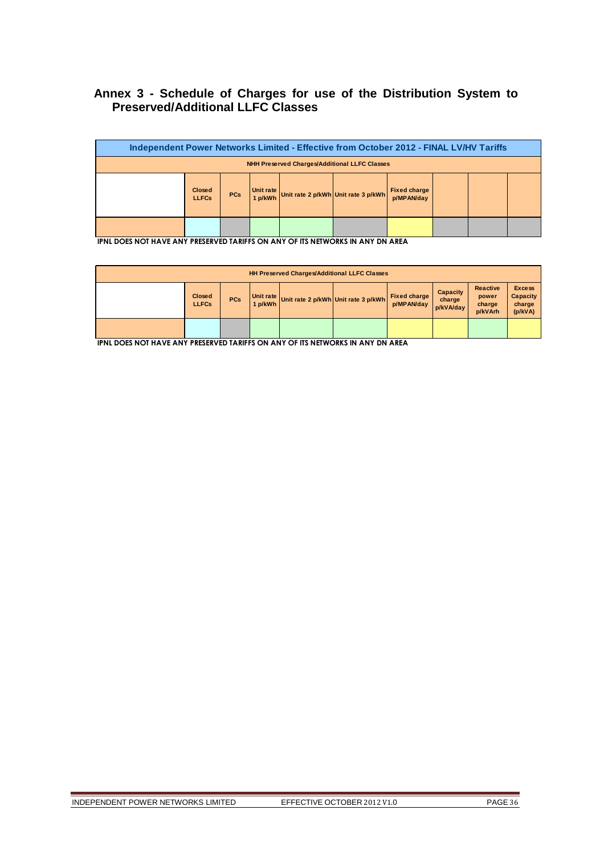# **Annex 3 - Schedule of Charges for use of the Distribution System to Preserved/Additional LLFC Classes**

| Independent Power Networks Limited - Effective from October 2012 - FINAL LV/HV Tariffs |                                                                                                                                                 |  |  |  |  |  |  |  |  |  |  |
|----------------------------------------------------------------------------------------|-------------------------------------------------------------------------------------------------------------------------------------------------|--|--|--|--|--|--|--|--|--|--|
| <b>NHH Preserved Charges/Additional LLFC Classes</b>                                   |                                                                                                                                                 |  |  |  |  |  |  |  |  |  |  |
|                                                                                        | Unit rate<br><b>Fixed charge</b><br><b>Closed</b><br><b>PCs</b><br>Unit rate 2 p/kWh Unit rate 3 p/kWh<br>1 p/kWh<br>p/MPAN/day<br><b>LLFCs</b> |  |  |  |  |  |  |  |  |  |  |
|                                                                                        |                                                                                                                                                 |  |  |  |  |  |  |  |  |  |  |

**IPNL DOES NOT HAVE ANY PRESERVED TARIFFS ON ANY OF ITS NETWORKS IN ANY DN AREA**

| <b>HH Preserved Charges/Additional LLFC Classes</b> |                               |            |  |  |                                             |                            |                                        |                                               |                                                       |  |  |
|-----------------------------------------------------|-------------------------------|------------|--|--|---------------------------------------------|----------------------------|----------------------------------------|-----------------------------------------------|-------------------------------------------------------|--|--|
|                                                     | <b>Closed</b><br><b>LLFCs</b> | <b>PCs</b> |  |  | 1 p/kWh Unit rate 2 p/kWh Unit rate 3 p/kWh | Fixed charge<br>p/MPAN/day | <b>Capacity</b><br>charge<br>p/kVA/day | <b>Reactive</b><br>power<br>charge<br>p/kVArh | <b>Excess</b><br><b>Capacity</b><br>charge<br>(p/kVA) |  |  |
|                                                     |                               |            |  |  |                                             |                            |                                        |                                               |                                                       |  |  |

**IPNL DOES NOT HAVE ANY PRESERVED TARIFFS ON ANY OF ITS NETWORKS IN ANY DN AREA**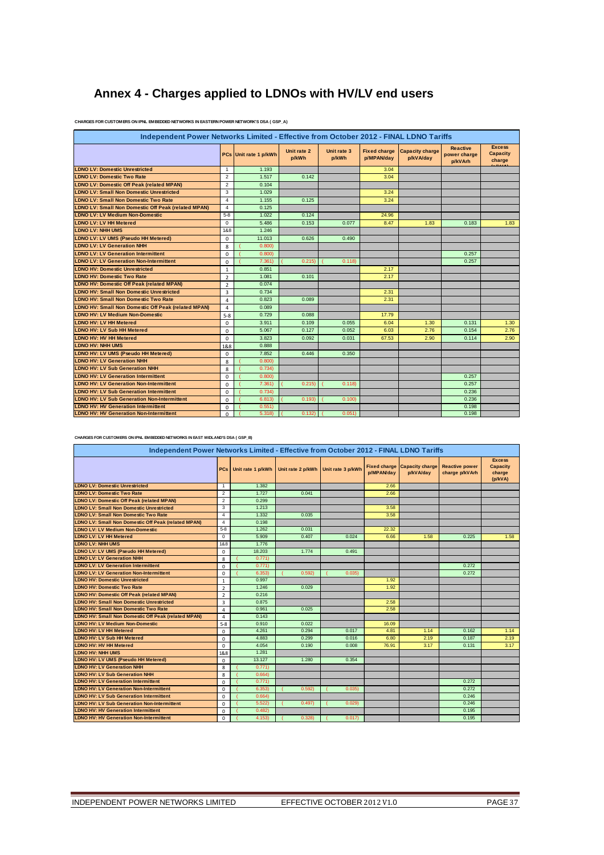# **Annex 4 - Charges applied to LDNOs with HV/LV end users**

| Independent Power Networks Limited - Effective from October 2012 - FINAL LDNO Tariffs |                         |                       |                      |                      |                                   |                                     |                                            |                                            |  |  |  |  |
|---------------------------------------------------------------------------------------|-------------------------|-----------------------|----------------------|----------------------|-----------------------------------|-------------------------------------|--------------------------------------------|--------------------------------------------|--|--|--|--|
|                                                                                       |                         | PCs Unit rate 1 p/kWh | Unit rate 2<br>p/kWh | Unit rate 3<br>p/kWh | <b>Fixed charge</b><br>p/MPAN/day | <b>Capacity charge</b><br>p/kVA/dav | <b>Reactive</b><br>power charge<br>p/kVArh | <b>Excess</b><br><b>Capacity</b><br>charge |  |  |  |  |
| <b>LDNO LV: Domestic Unrestricted</b>                                                 | $\mathbf{1}$            | 1.193                 |                      |                      | 3.04                              |                                     |                                            |                                            |  |  |  |  |
| <b>LDNO LV: Domestic Two Rate</b>                                                     | $\overline{2}$          | 1.517                 | 0.142                |                      | 3.04                              |                                     |                                            |                                            |  |  |  |  |
| <b>LDNO LV: Domestic Off Peak (related MPAN)</b>                                      | $\overline{2}$          | 0.104                 |                      |                      |                                   |                                     |                                            |                                            |  |  |  |  |
| <b>LDNO LV: Small Non Domestic Unrestricted</b>                                       | 3                       | 1.029                 |                      |                      | 3.24                              |                                     |                                            |                                            |  |  |  |  |
| <b>LDNO LV: Small Non Domestic Two Rate</b>                                           | $\overline{4}$          | 1.155                 | 0.125                |                      | 3.24                              |                                     |                                            |                                            |  |  |  |  |
| LDNO LV: Small Non Domestic Off Peak (related MPAN)                                   | $\overline{\mathbf{4}}$ | 0.125                 |                      |                      |                                   |                                     |                                            |                                            |  |  |  |  |
| <b>LDNO LV: LV Medium Non-Domestic</b>                                                | $5-8$                   | 1.022                 | 0.124                |                      | 24.96                             |                                     |                                            |                                            |  |  |  |  |
| <b>LDNO LV: LV HH Metered</b>                                                         | $\Omega$                | 5.486                 | 0.153                | 0.077                | 8.47                              | 1.83                                | 0.183                                      | 1.83                                       |  |  |  |  |
| <b>LDNO LV: NHH UMS</b>                                                               | 1&8                     | 1.246                 |                      |                      |                                   |                                     |                                            |                                            |  |  |  |  |
| LDNO LV: LV UMS (Pseudo HH Metered)                                                   | $\Omega$                | 11.013                | 0.626                | 0.490                |                                   |                                     |                                            |                                            |  |  |  |  |
| <b>LDNO LV: LV Generation NHH</b>                                                     | 8                       | 0.800                 |                      |                      |                                   |                                     |                                            |                                            |  |  |  |  |
| <b>LDNO LV: LV Generation Intermittent</b>                                            | $\Omega$                | 0.800                 |                      |                      |                                   |                                     | 0.257                                      |                                            |  |  |  |  |
| <b>LDNO LV: LV Generation Non-Intermittent</b>                                        | $\Omega$                | 7.361                 | 0.215                | 0.118                |                                   |                                     | 0.257                                      |                                            |  |  |  |  |
| <b>LDNO HV: Domestic Unrestricted</b>                                                 | $\mathbf{1}$            | 0.851                 |                      |                      | 2.17                              |                                     |                                            |                                            |  |  |  |  |
| <b>LDNO HV: Domestic Two Rate</b>                                                     | $\overline{2}$          | 1.081                 | 0.101                |                      | 2.17                              |                                     |                                            |                                            |  |  |  |  |
| <b>LDNO HV: Domestic Off Peak (related MPAN)</b>                                      | $\overline{2}$          | 0.074                 |                      |                      |                                   |                                     |                                            |                                            |  |  |  |  |
| <b>LDNO HV: Small Non Domestic Unrestricted</b>                                       | 3                       | 0.734                 |                      |                      | 2.31                              |                                     |                                            |                                            |  |  |  |  |
| <b>LDNO HV: Small Non Domestic Two Rate</b>                                           | 4                       | 0.823                 | 0.089                |                      | 2.31                              |                                     |                                            |                                            |  |  |  |  |
| <b>LDNO HV: Small Non Domestic Off Peak (related MPAN)</b>                            | 4                       | 0.089                 |                      |                      |                                   |                                     |                                            |                                            |  |  |  |  |
| <b>LDNO HV: LV Medium Non-Domestic</b>                                                | $5 - 8$                 | 0.729                 | 0.088                |                      | 17.79                             |                                     |                                            |                                            |  |  |  |  |
| <b>LDNO HV: LV HH Metered</b>                                                         | $\mathbf 0$             | 3.911                 | 0.109                | 0.055                | 6.04                              | 1.30                                | 0.131                                      | 1.30                                       |  |  |  |  |
| <b>LDNO HV: LV Sub HH Metered</b>                                                     | $\Omega$                | 5.067                 | 0.127                | 0.052                | 6.03                              | 2.76                                | 0.154                                      | 2.76                                       |  |  |  |  |
| <b>LDNO HV: HV HH Metered</b>                                                         | $\Omega$                | 3.823                 | 0.092                | 0.031                | 67.53                             | 2.90                                | 0.114                                      | 2.90                                       |  |  |  |  |
| <b>LDNO HV: NHH UMS</b>                                                               | 1&8                     | 0.888                 |                      |                      |                                   |                                     |                                            |                                            |  |  |  |  |
| LDNO HV: LV UMS (Pseudo HH Metered)                                                   | $\Omega$                | 7.852                 | 0.446                | 0.350                |                                   |                                     |                                            |                                            |  |  |  |  |
| <b>LDNO HV: LV Generation NHH</b>                                                     | 8                       | 0.800                 |                      |                      |                                   |                                     |                                            |                                            |  |  |  |  |
| <b>LDNO HV: LV Sub Generation NHH</b>                                                 | 8                       | 0.734                 |                      |                      |                                   |                                     |                                            |                                            |  |  |  |  |
| <b>LDNO HV: LV Generation Intermittent</b>                                            | $\Omega$                | 0.800)                |                      |                      |                                   |                                     | 0.257                                      |                                            |  |  |  |  |
| <b>LDNO HV: LV Generation Non-Intermittent</b>                                        | $\Omega$                | 7.361)                | 0.215                | 0.118                |                                   |                                     | 0.257                                      |                                            |  |  |  |  |
| <b>LDNO HV: LV Sub Generation Intermittent</b>                                        | $\Omega$                | 0.734                 |                      |                      |                                   |                                     | 0.236                                      |                                            |  |  |  |  |
| <b>LDNO HV: LV Sub Generation Non-Intermittent</b>                                    | $\Omega$                | 6.813                 | 0.193                | 0.100                |                                   |                                     | 0.236                                      |                                            |  |  |  |  |
| <b>LDNO HV: HV Generation Intermittent</b>                                            | $\Omega$                | 0.551)                |                      |                      |                                   |                                     | 0.198                                      |                                            |  |  |  |  |
| <b>LDNO HV: HV Generation Non-Intermittent</b>                                        | <sup>0</sup>            | 5.318                 | 0.132                | 0.051                |                                   |                                     | 0.198                                      |                                            |  |  |  |  |

**CHARGES FOR CUSTOMERS ON IPNL EMBEDDED NETWORKS IN EASTERN POWER NETWORK'S DSA ( GSP\_A)**

**CHARGES FOR CUSTOMERS ON IPNL EMBEDDED NETWORKS IN EAST MIDLAND'S DSA ( GSP\_B)**

| Independent Power Networks Limited - Effective from October 2012 - FINAL LDNO Tariffs |                |                   |                                     |        |                                   |                                     |                                         |                                                       |  |  |  |
|---------------------------------------------------------------------------------------|----------------|-------------------|-------------------------------------|--------|-----------------------------------|-------------------------------------|-----------------------------------------|-------------------------------------------------------|--|--|--|
|                                                                                       | PCs            | Unit rate 1 p/kWh | Unit rate 2 p/kWh Unit rate 3 p/kWh |        | <b>Fixed charge</b><br>p/MPAN/day | <b>Capacity charge</b><br>p/kVA/day | <b>Reactive power</b><br>charge p/kVArh | <b>Excess</b><br><b>Capacity</b><br>charge<br>(p/kVA) |  |  |  |
| <b>LDNO LV: Domestic Unrestricted</b>                                                 | $\mathbf{1}$   | 1.382             |                                     |        | 2.66                              |                                     |                                         |                                                       |  |  |  |
| <b>LDNO LV: Domestic Two Rate</b>                                                     | $\overline{2}$ | 1.727             | 0.041                               |        | 2.66                              |                                     |                                         |                                                       |  |  |  |
| <b>LDNO LV: Domestic Off Peak (related MPAN)</b>                                      | $\overline{2}$ | 0.299             |                                     |        |                                   |                                     |                                         |                                                       |  |  |  |
| <b>LDNO LV: Small Non Domestic Unrestricted</b>                                       | 3              | 1.213             |                                     |        | 3.58                              |                                     |                                         |                                                       |  |  |  |
| <b>LDNO LV: Small Non Domestic Two Rate</b>                                           | $\overline{4}$ | 1.332             | 0.035                               |        | 3.58                              |                                     |                                         |                                                       |  |  |  |
| <b>LDNO LV: Small Non Domestic Off Peak (related MPAN)</b>                            | $\overline{4}$ | 0.198             |                                     |        |                                   |                                     |                                         |                                                       |  |  |  |
| <b>LDNO LV: LV Medium Non-Domestic</b>                                                | $5 - 8$        | 1.262             | 0.031                               |        | 22.32                             |                                     |                                         |                                                       |  |  |  |
| <b>LDNO LV: LV HH Metered</b>                                                         | $\mathbf 0$    | 5.909             | 0.407                               | 0.024  | 6.66                              | 1.58                                | 0.225                                   | 1.58                                                  |  |  |  |
| <b>LDNO LV: NHH UMS</b>                                                               | 1&8            | 1.776             |                                     |        |                                   |                                     |                                         |                                                       |  |  |  |
| LDNO LV: LV UMS (Pseudo HH Metered)                                                   | $\mathbf 0$    | 18,203            | 1.774                               | 0.491  |                                   |                                     |                                         |                                                       |  |  |  |
| <b>LDNO LV: LV Generation NHH</b>                                                     | 8              | 0.771             |                                     |        |                                   |                                     |                                         |                                                       |  |  |  |
| <b>LDNO LV: LV Generation Intermittent</b>                                            | $\Omega$       | 0.771             |                                     |        |                                   |                                     | 0.272                                   |                                                       |  |  |  |
| <b>LDNO LV: LV Generation Non-Intermittent</b>                                        | $\mathbf 0$    | 6.353             | 0.592                               | 0.0351 |                                   |                                     | 0.272                                   |                                                       |  |  |  |
| <b>LDNO HV: Domestic Unrestricted</b>                                                 | $\mathbf{1}$   | 0.997             |                                     |        | 1.92                              |                                     |                                         |                                                       |  |  |  |
| <b>LDNO HV: Domestic Two Rate</b>                                                     | $\overline{2}$ | 1.246             | 0.029                               |        | 1.92                              |                                     |                                         |                                                       |  |  |  |
| <b>LDNO HV: Domestic Off Peak (related MPAN)</b>                                      | 2              | 0.216             |                                     |        |                                   |                                     |                                         |                                                       |  |  |  |
| <b>LDNO HV: Small Non Domestic Unrestricted</b>                                       | 3              | 0.875             |                                     |        | 2.58                              |                                     |                                         |                                                       |  |  |  |
| <b>LDNO HV: Small Non Domestic Two Rate</b>                                           | $\overline{4}$ | 0.961             | 0.025                               |        | 2.58                              |                                     |                                         |                                                       |  |  |  |
| LDNO HV: Small Non Domestic Off Peak (related MPAN)                                   | $\overline{4}$ | 0.143             |                                     |        |                                   |                                     |                                         |                                                       |  |  |  |
| <b>LDNO HV: LV Medium Non-Domestic</b>                                                | $5 - 8$        | 0.910             | 0.022                               |        | 16.09                             |                                     |                                         |                                                       |  |  |  |
| <b>LDNO HV: LV HH Metered</b>                                                         | $\Omega$       | 4.261             | 0.294                               | 0.017  | 4.81                              | 1.14                                | 0.162                                   | 1.14                                                  |  |  |  |
| <b>LDNO HV: LV Sub HH Metered</b>                                                     | $\Omega$       | 4.883             | 0.299                               | 0.016  | 6.80                              | 2.19                                | 0.187                                   | 2.19                                                  |  |  |  |
| <b>LDNO HV: HV HH Metered</b>                                                         | $\Omega$       | 4.054             | 0.190                               | 0.008  | 76.91                             | 3.17                                | 0.131                                   | 3.17                                                  |  |  |  |
| LDNO HV: NHH UMS                                                                      | 1&8            | 1.281             |                                     |        |                                   |                                     |                                         |                                                       |  |  |  |
| LDNO HV: LV UMS (Pseudo HH Metered)                                                   | $\mathbf 0$    | 13.127            | 1.280                               | 0.354  |                                   |                                     |                                         |                                                       |  |  |  |
| <b>LDNO HV: LV Generation NHH</b>                                                     | 8              | 0.771             |                                     |        |                                   |                                     |                                         |                                                       |  |  |  |
| <b>LDNO HV: LV Sub Generation NHH</b>                                                 | 8              | 0.664             |                                     |        |                                   |                                     |                                         |                                                       |  |  |  |
| <b>LDNO HV: LV Generation Intermittent</b>                                            | $\Omega$       | 0.771             |                                     |        |                                   |                                     | 0.272                                   |                                                       |  |  |  |
| <b>LDNO HV: LV Generation Non-Intermittent</b>                                        | $\Omega$       | 6.353             | 0.592                               | 0.0351 |                                   |                                     | 0.272                                   |                                                       |  |  |  |
| <b>LDNO HV: LV Sub Generation Intermittent</b>                                        | $\Omega$       | 0.664             |                                     |        |                                   |                                     | 0.246                                   |                                                       |  |  |  |
| <b>LDNO HV: LV Sub Generation Non-Intermittent</b>                                    | $\Omega$       | 5.522             | 0.497                               | 0.029  |                                   |                                     | 0.246                                   |                                                       |  |  |  |
| <b>LDNO HV: HV Generation Intermittent</b>                                            | $\mathbf 0$    | 0.482             |                                     |        |                                   |                                     | 0.195                                   |                                                       |  |  |  |
| <b>LDNO HV: HV Generation Non-Intermittent</b>                                        | $\mathbf 0$    | 4.153)            | 0.3281                              | 0.017  |                                   |                                     | 0.195                                   |                                                       |  |  |  |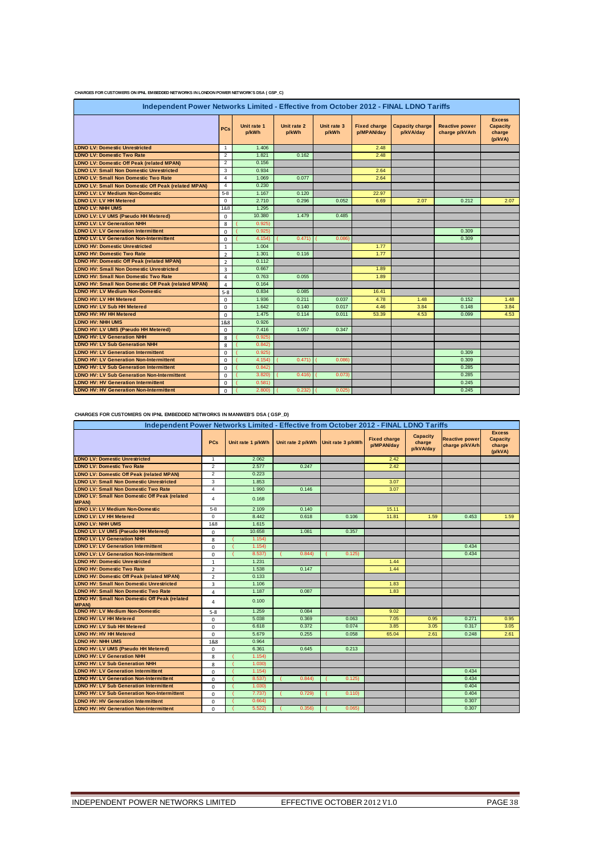|  | CHARGES FOR CUSTOMERS ON IPNL EMBEDDED NETWORKS IN LONDON POWER NETWORK'S DSA (GSP_C) |
|--|---------------------------------------------------------------------------------------|
|--|---------------------------------------------------------------------------------------|

| Independent Power Networks Limited - Effective from October 2012 - FINAL LDNO Tariffs |                |                      |                      |                      |                                   |                                     |                                         |                                                       |  |  |  |  |
|---------------------------------------------------------------------------------------|----------------|----------------------|----------------------|----------------------|-----------------------------------|-------------------------------------|-----------------------------------------|-------------------------------------------------------|--|--|--|--|
|                                                                                       | <b>PCs</b>     | Unit rate 1<br>p/kWh | Unit rate 2<br>p/kWh | Unit rate 3<br>p/kWh | <b>Fixed charge</b><br>p/MPAN/day | <b>Capacity charge</b><br>p/kVA/day | <b>Reactive power</b><br>charge p/kVArh | <b>Excess</b><br><b>Capacity</b><br>charge<br>(p/kVA) |  |  |  |  |
| <b>LDNO LV: Domestic Unrestricted</b>                                                 | $\mathbf{1}$   | 1.406                |                      |                      | 2.48                              |                                     |                                         |                                                       |  |  |  |  |
| <b>LDNO LV: Domestic Two Rate</b>                                                     | 2              | 1.821                | 0.162                |                      | 2.48                              |                                     |                                         |                                                       |  |  |  |  |
| <b>LDNO LV: Domestic Off Peak (related MPAN)</b>                                      | 2              | 0.156                |                      |                      |                                   |                                     |                                         |                                                       |  |  |  |  |
| <b>LDNO LV: Small Non Domestic Unrestricted</b>                                       | 3              | 0.934                |                      |                      | 2.64                              |                                     |                                         |                                                       |  |  |  |  |
| <b>LDNO LV: Small Non Domestic Two Rate</b>                                           | $\overline{4}$ | 1.069                | 0.077                |                      | 2.64                              |                                     |                                         |                                                       |  |  |  |  |
| LDNO LV: Small Non Domestic Off Peak (related MPAN)                                   | $\overline{4}$ | 0.230                |                      |                      |                                   |                                     |                                         |                                                       |  |  |  |  |
| <b>LDNO LV: LV Medium Non-Domestic</b>                                                | $5 - 8$        | 1.167                | 0.120                |                      | 22.97                             |                                     |                                         |                                                       |  |  |  |  |
| <b>LDNO LV: LV HH Metered</b>                                                         | $\Omega$       | 2.710                | 0.296                | 0.052                | 6.69                              | 2.07                                | 0.212                                   | 2.07                                                  |  |  |  |  |
| <b>LDNO LV: NHH UMS</b>                                                               | 1&8            | 1.295                |                      |                      |                                   |                                     |                                         |                                                       |  |  |  |  |
| LDNO LV: LV UMS (Pseudo HH Metered)                                                   | $\Omega$       | 10.380               | 1.479                | 0.485                |                                   |                                     |                                         |                                                       |  |  |  |  |
| <b>LDNO LV: LV Generation NHH</b>                                                     | 8              | 0.925                |                      |                      |                                   |                                     |                                         |                                                       |  |  |  |  |
| <b>LDNO LV: LV Generation Intermittent</b>                                            | $\mathbf 0$    | 0.925                |                      |                      |                                   |                                     | 0.309                                   |                                                       |  |  |  |  |
| <b>LDNO LV: LV Generation Non-Intermittent</b>                                        | $\Omega$       | 4.154                | 0.471)               | 0.086                |                                   |                                     | 0.309                                   |                                                       |  |  |  |  |
| <b>LDNO HV: Domestic Unrestricted</b>                                                 | $\mathbf{1}$   | 1.004                |                      |                      | 1.77                              |                                     |                                         |                                                       |  |  |  |  |
| <b>LDNO HV: Domestic Two Rate</b>                                                     | $\overline{2}$ | 1.301                | 0.116                |                      | 1.77                              |                                     |                                         |                                                       |  |  |  |  |
| <b>LDNO HV: Domestic Off Peak (related MPAN)</b>                                      | $\overline{2}$ | 0.112                |                      |                      |                                   |                                     |                                         |                                                       |  |  |  |  |
| <b>LDNO HV: Small Non Domestic Unrestricted</b>                                       | $\overline{3}$ | 0.667                |                      |                      | 1.89                              |                                     |                                         |                                                       |  |  |  |  |
| <b>LDNO HV: Small Non Domestic Two Rate</b>                                           | $\overline{a}$ | 0.763                | 0.055                |                      | 1.89                              |                                     |                                         |                                                       |  |  |  |  |
| <b>LDNO HV: Small Non Domestic Off Peak (related MPAN)</b>                            | $\overline{a}$ | 0.164                |                      |                      |                                   |                                     |                                         |                                                       |  |  |  |  |
| <b>LDNO HV: LV Medium Non-Domestic</b>                                                | $5 - 8$        | 0.834                | 0.085                |                      | 16.41                             |                                     |                                         |                                                       |  |  |  |  |
| <b>LDNO HV: LV HH Metered</b>                                                         | $\Omega$       | 1.936                | 0.211                | 0.037                | 4.78                              | 1.48                                | 0.152                                   | 1.48                                                  |  |  |  |  |
| LDNO HV: LV Sub HH Metered                                                            | $\mathbf 0$    | 1.642                | 0.140                | 0.017                | 4.46                              | 3.84                                | 0.148                                   | 3.84                                                  |  |  |  |  |
| <b>LDNO HV: HV HH Metered</b>                                                         | $\Omega$       | 1.475                | 0.114                | 0.011                | 53.39                             | 4.53                                | 0.099                                   | 4.53                                                  |  |  |  |  |
| <b>LDNO HV: NHH UMS</b>                                                               | 1&8            | 0.926                |                      |                      |                                   |                                     |                                         |                                                       |  |  |  |  |
| LDNO HV: LV UMS (Pseudo HH Metered)                                                   | $\mathbf 0$    | 7.416                | 1.057                | 0.347                |                                   |                                     |                                         |                                                       |  |  |  |  |
| <b>LDNO HV: LV Generation NHH</b>                                                     | 8              | 0.925                |                      |                      |                                   |                                     |                                         |                                                       |  |  |  |  |
| <b>LDNO HV: LV Sub Generation NHH</b>                                                 | 8              | 0.842                |                      |                      |                                   |                                     |                                         |                                                       |  |  |  |  |
| <b>LDNO HV: LV Generation Intermittent</b>                                            | $\Omega$       | 0.925                |                      |                      |                                   |                                     | 0.309                                   |                                                       |  |  |  |  |
| <b>LDNO HV: LV Generation Non-Intermittent</b>                                        | $\mathbf 0$    | 4.154                | 0.471)               | 0.086                |                                   |                                     | 0.309                                   |                                                       |  |  |  |  |
| <b>LDNO HV: LV Sub Generation Intermittent</b>                                        | $\Omega$       | 0.842                |                      |                      |                                   |                                     | 0.285                                   |                                                       |  |  |  |  |
| <b>LDNO HV: LV Sub Generation Non-Intermittent</b>                                    | $\Omega$       | 3.820                | 0.416                | 0.073                |                                   |                                     | 0.285                                   |                                                       |  |  |  |  |
| <b>LDNO HV: HV Generation Intermittent</b>                                            | $\mathbf 0$    | 0.581                |                      |                      |                                   |                                     | 0.245                                   |                                                       |  |  |  |  |
| <b>LDNO HV: HV Generation Non-Intermittent</b>                                        | $\Omega$       | 2,800                | 0.232                | 0.025                |                                   |                                     | 0.245                                   |                                                       |  |  |  |  |

**CHARGES FOR CUSTOMERS ON IPNL EMBEDDED NETWORKS IN MANWEB'S DSA ( GSP\_D)**

| Independent Power Networks Limited - Effective from October 2012 - FINAL LDNO Tariffs |                |                   |                                     |        |                                   |                                        |                                         |                                                       |  |  |  |  |
|---------------------------------------------------------------------------------------|----------------|-------------------|-------------------------------------|--------|-----------------------------------|----------------------------------------|-----------------------------------------|-------------------------------------------------------|--|--|--|--|
|                                                                                       | <b>PCs</b>     | Unit rate 1 p/kWh | Unit rate 2 p/kWh Unit rate 3 p/kWh |        | <b>Fixed charge</b><br>p/MPAN/day | <b>Capacity</b><br>charge<br>p/kVA/day | <b>Reactive power</b><br>charge p/kVArh | <b>Excess</b><br><b>Capacity</b><br>charge<br>(p/kVA) |  |  |  |  |
| <b>LDNO LV: Domestic Unrestricted</b>                                                 | $\mathbf{1}$   | 2.062             |                                     |        | 2.42                              |                                        |                                         |                                                       |  |  |  |  |
| <b>LDNO LV: Domestic Two Rate</b>                                                     | $\overline{2}$ | 2.577             | 0.247                               |        | 2.42                              |                                        |                                         |                                                       |  |  |  |  |
| <b>LDNO LV: Domestic Off Peak (related MPAN)</b>                                      | $\overline{2}$ | 0.223             |                                     |        |                                   |                                        |                                         |                                                       |  |  |  |  |
| <b>LDNO LV: Small Non Domestic Unrestricted</b>                                       | 3              | 1.853             |                                     |        | 3.07                              |                                        |                                         |                                                       |  |  |  |  |
| <b>LDNO LV: Small Non Domestic Two Rate</b>                                           | $\overline{4}$ | 1.990             | 0.146                               |        | 3.07                              |                                        |                                         |                                                       |  |  |  |  |
| <b>LDNO LV: Small Non Domestic Off Peak (related</b><br><b>MPAN)</b>                  | 4              | 0.168             |                                     |        |                                   |                                        |                                         |                                                       |  |  |  |  |
| <b>LDNO LV: LV Medium Non-Domestic</b>                                                | $5 - 8$        | 2.109             | 0.140                               |        | 15.11                             |                                        |                                         |                                                       |  |  |  |  |
| <b>LDNO LV: LV HH Metered</b>                                                         | $\mathbf 0$    | 8.442             | 0.618                               | 0.106  | 11.81                             | 1.59                                   | 0.453                                   | 1.59                                                  |  |  |  |  |
| <b>LDNO LV: NHH UMS</b>                                                               | 1&8            | 1.615             |                                     |        |                                   |                                        |                                         |                                                       |  |  |  |  |
| LDNO LV: LV UMS (Pseudo HH Metered)                                                   | $\mathbf 0$    | 10.658            | 1.081                               | 0.357  |                                   |                                        |                                         |                                                       |  |  |  |  |
| <b>LDNO LV: LV Generation NHH</b>                                                     | 8              | 1.154             |                                     |        |                                   |                                        |                                         |                                                       |  |  |  |  |
| <b>LDNO LV: LV Generation Intermittent</b>                                            | $\Omega$       | 1.154             |                                     |        |                                   |                                        | 0.434                                   |                                                       |  |  |  |  |
| <b>LDNO LV: LV Generation Non-Intermittent</b>                                        | $\mathbf 0$    | 8.537)            | 0.844                               | 0.125  |                                   |                                        | 0.434                                   |                                                       |  |  |  |  |
| <b>LDNO HV: Domestic Unrestricted</b>                                                 | $\mathbf{1}$   | 1.231             |                                     |        | 1.44                              |                                        |                                         |                                                       |  |  |  |  |
| <b>LDNO HV: Domestic Two Rate</b>                                                     | $\overline{2}$ | 1.538             | 0.147                               |        | 1.44                              |                                        |                                         |                                                       |  |  |  |  |
| <b>LDNO HV: Domestic Off Peak (related MPAN)</b>                                      | $\overline{2}$ | 0.133             |                                     |        |                                   |                                        |                                         |                                                       |  |  |  |  |
| <b>LDNO HV: Small Non Domestic Unrestricted</b>                                       | 3              | 1.106             |                                     |        | 1.83                              |                                        |                                         |                                                       |  |  |  |  |
| <b>LDNO HV: Small Non Domestic Two Rate</b>                                           | 4              | 1.187             | 0.087                               |        | 1.83                              |                                        |                                         |                                                       |  |  |  |  |
| <b>LDNO HV: Small Non Domestic Off Peak (related</b><br><b>MPAN)</b>                  | 4              | 0.100             |                                     |        |                                   |                                        |                                         |                                                       |  |  |  |  |
| <b>LDNO HV: LV Medium Non-Domestic</b>                                                | $5 - 8$        | 1.259             | 0.084                               |        | 9.02                              |                                        |                                         |                                                       |  |  |  |  |
| <b>LDNO HV: LV HH Metered</b>                                                         | $\mathbf 0$    | 5.038             | 0.369                               | 0.063  | 7.05                              | 0.95                                   | 0.271                                   | 0.95                                                  |  |  |  |  |
| <b>LDNO HV: LV Sub HH Metered</b>                                                     | $\Omega$       | 6.618             | 0.372                               | 0.074  | 3.85                              | 3.05                                   | 0.317                                   | 3.05                                                  |  |  |  |  |
| LDNO HV: HV HH Metered                                                                | $\Omega$       | 5.679             | 0.255                               | 0.058  | 65.04                             | 2.61                                   | 0.248                                   | 2.61                                                  |  |  |  |  |
| <b>LDNO HV: NHH UMS</b>                                                               | 1&8            | 0.964             |                                     |        |                                   |                                        |                                         |                                                       |  |  |  |  |
| LDNO HV: LV UMS (Pseudo HH Metered)                                                   | $\mathbf 0$    | 6.361             | 0.645                               | 0.213  |                                   |                                        |                                         |                                                       |  |  |  |  |
| <b>LDNO HV: LV Generation NHH</b>                                                     | 8              | 1.154             |                                     |        |                                   |                                        |                                         |                                                       |  |  |  |  |
| <b>LDNO HV: LV Sub Generation NHH</b>                                                 | 8              | 1,030             |                                     |        |                                   |                                        |                                         |                                                       |  |  |  |  |
| <b>LDNO HV: LV Generation Intermittent</b>                                            | $\Omega$       | 1.154             |                                     |        |                                   |                                        | 0.434                                   |                                                       |  |  |  |  |
| <b>LDNO HV: LV Generation Non-Intermittent</b>                                        | 0              | 8.537)            | 0.844                               | 0.125  |                                   |                                        | 0.434                                   |                                                       |  |  |  |  |
| <b>LDNO HV: LV Sub Generation Intermittent</b>                                        | $\Omega$       | 1,030             |                                     |        |                                   |                                        | 0.404                                   |                                                       |  |  |  |  |
| <b>LDNO HV: LV Sub Generation Non-Intermittent</b>                                    | $\Omega$       | 7.737             | 0.729                               | 0.110  |                                   |                                        | 0.404                                   |                                                       |  |  |  |  |
| <b>LDNO HV: HV Generation Intermittent</b>                                            | 0              | 0.664)            |                                     |        |                                   |                                        | 0.307                                   |                                                       |  |  |  |  |
| <b>LDNO HV: HV Generation Non-Intermittent</b>                                        | $\Omega$       | 5.522             | 0.356                               | 0.065) |                                   |                                        | 0.307                                   |                                                       |  |  |  |  |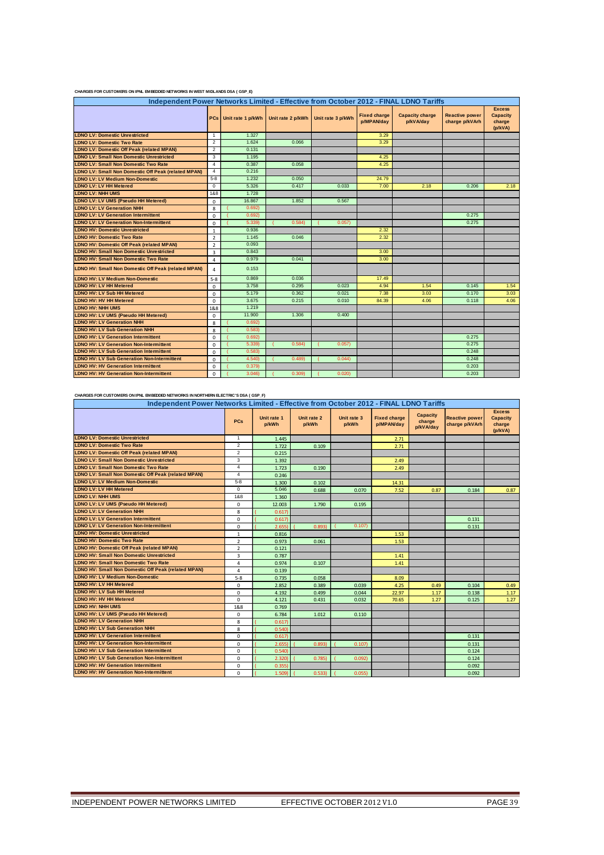| Independent Power Networks Limited - Effective from October 2012 - FINAL LDNO Tariffs |                |                       |                                     |       |                                   |                                     |                                         |                                                       |  |  |  |  |
|---------------------------------------------------------------------------------------|----------------|-----------------------|-------------------------------------|-------|-----------------------------------|-------------------------------------|-----------------------------------------|-------------------------------------------------------|--|--|--|--|
|                                                                                       |                | PCs Unit rate 1 p/kWh | Unit rate 2 p/kWh Unit rate 3 p/kWh |       | <b>Fixed charge</b><br>p/MPAN/dav | <b>Capacity charge</b><br>p/kVA/day | <b>Reactive power</b><br>charge p/kVArh | <b>Excess</b><br><b>Capacity</b><br>charge<br>(p/kVA) |  |  |  |  |
| <b>LDNO LV: Domestic Unrestricted</b>                                                 | $\mathbf{1}$   | 1.327                 |                                     |       | 3.29                              |                                     |                                         |                                                       |  |  |  |  |
| <b>LDNO LV: Domestic Two Rate</b>                                                     | $\overline{2}$ | 1.624                 | 0.066                               |       | 3.29                              |                                     |                                         |                                                       |  |  |  |  |
| <b>LDNO LV: Domestic Off Peak (related MPAN)</b>                                      | $\overline{2}$ | 0.131                 |                                     |       |                                   |                                     |                                         |                                                       |  |  |  |  |
| <b>LDNO LV: Small Non Domestic Unrestricted</b>                                       | 3              | 1.195                 |                                     |       | 4.25                              |                                     |                                         |                                                       |  |  |  |  |
| <b>LDNO LV: Small Non Domestic Two Rate</b>                                           | $\overline{4}$ | 0.387                 | 0.058                               |       | 4.25                              |                                     |                                         |                                                       |  |  |  |  |
| <b>LDNO LV: Small Non Domestic Off Peak (related MPAN)</b>                            | $\overline{4}$ | 0.216                 |                                     |       |                                   |                                     |                                         |                                                       |  |  |  |  |
| <b>LDNO LV: LV Medium Non-Domestic</b>                                                | $5-8$          | 1.232                 | 0.050                               |       | 24.79                             |                                     |                                         |                                                       |  |  |  |  |
| <b>LDNO LV: LV HH Metered</b>                                                         | $\mathbf 0$    | 5.326                 | 0.417                               | 0.033 | 7.00                              | 2.18                                | 0.206                                   | 2.18                                                  |  |  |  |  |
| <b>LDNO LV: NHH UMS</b>                                                               | 1&8            | 1.728                 |                                     |       |                                   |                                     |                                         |                                                       |  |  |  |  |
| LDNO LV: LV UMS (Pseudo HH Metered)                                                   | $\Omega$       | 16.867                | 1.852                               | 0.567 |                                   |                                     |                                         |                                                       |  |  |  |  |
| <b>LDNO LV: LV Generation NHH</b>                                                     | 8              | 0.692                 |                                     |       |                                   |                                     |                                         |                                                       |  |  |  |  |
| <b>LDNO LV: LV Generation Intermittent</b>                                            | $\Omega$       | 0.692                 |                                     |       |                                   |                                     | 0.275                                   |                                                       |  |  |  |  |
| <b>LDNO LV: LV Generation Non-Intermittent</b>                                        | $\Omega$       | 5.339                 | 0.584                               | 0.057 |                                   |                                     | 0.275                                   |                                                       |  |  |  |  |
| <b>LDNO HV: Domestic Unrestricted</b>                                                 | 1              | 0.936                 |                                     |       | 2.32                              |                                     |                                         |                                                       |  |  |  |  |
| <b>LDNO HV: Domestic Two Rate</b>                                                     | $\overline{2}$ | 1.145                 | 0.046                               |       | 2.32                              |                                     |                                         |                                                       |  |  |  |  |
| <b>LDNO HV: Domestic Off Peak (related MPAN)</b>                                      | $\overline{2}$ | 0.093                 |                                     |       |                                   |                                     |                                         |                                                       |  |  |  |  |
| <b>LDNO HV: Small Non Domestic Unrestricted</b>                                       | $\overline{3}$ | 0.843                 |                                     |       | 3.00                              |                                     |                                         |                                                       |  |  |  |  |
| <b>LDNO HV: Small Non Domestic Two Rate</b>                                           | 4              | 0.979                 | 0.041                               |       | 3.00                              |                                     |                                         |                                                       |  |  |  |  |
| LDNO HV: Small Non Domestic Off Peak (related MPAN)                                   | 4              | 0.153                 |                                     |       |                                   |                                     |                                         |                                                       |  |  |  |  |
| <b>LDNO HV: LV Medium Non-Domestic</b>                                                | $5 - 8$        | 0.869                 | 0.036                               |       | 17.49                             |                                     |                                         |                                                       |  |  |  |  |
| <b>LDNO HV: LV HH Metered</b>                                                         | $\mathbf 0$    | 3.758                 | 0.295                               | 0.023 | 4.94                              | 1.54                                | 0.145                                   | 1.54                                                  |  |  |  |  |
| <b>LDNO HV: LV Sub HH Metered</b>                                                     | $\Omega$       | 5.179                 | 0.362                               | 0.021 | 7.38                              | 3.03                                | 0.170                                   | 3.03                                                  |  |  |  |  |
| <b>LDNO HV: HV HH Metered</b>                                                         | $\Omega$       | 3.675                 | 0.215                               | 0.010 | 84.39                             | 4.06                                | 0.118                                   | 4.06                                                  |  |  |  |  |
| <b>LDNO HV: NHH UMS</b>                                                               | 1&8            | 1.219                 |                                     |       |                                   |                                     |                                         |                                                       |  |  |  |  |
| LDNO HV: LV UMS (Pseudo HH Metered)                                                   | 0              | 11.900                | 1.306                               | 0.400 |                                   |                                     |                                         |                                                       |  |  |  |  |
| <b>LDNO HV: LV Generation NHH</b>                                                     | 8              | 0.692                 |                                     |       |                                   |                                     |                                         |                                                       |  |  |  |  |
| <b>LDNO HV: LV Sub Generation NHH</b>                                                 | 8              | 0.583                 |                                     |       |                                   |                                     |                                         |                                                       |  |  |  |  |
| <b>LDNO HV: LV Generation Intermittent</b>                                            | $\mathbf 0$    | 0.692                 |                                     |       |                                   |                                     | 0.275                                   |                                                       |  |  |  |  |
| <b>LDNO HV: LV Generation Non-Intermittent</b>                                        | $\mathbf 0$    | 5.339                 | 0.584                               | 0.057 |                                   |                                     | 0.275                                   |                                                       |  |  |  |  |
| <b>LDNO HV: LV Sub Generation Intermittent</b>                                        | $\Omega$       | 0.583                 |                                     |       |                                   |                                     | 0.248                                   |                                                       |  |  |  |  |
| <b>LDNO HV: LV Sub Generation Non-Intermittent</b>                                    | $\Omega$       | 4.540)                | 0.489                               | 0.044 |                                   |                                     | 0.248                                   |                                                       |  |  |  |  |
| <b>LDNO HV: HV Generation Intermittent</b>                                            | $\Omega$       | 0.379                 |                                     |       |                                   |                                     | 0.203                                   |                                                       |  |  |  |  |
| <b>LDNO HV: HV Generation Non-Intermittent</b>                                        | $\Omega$       | 3.046                 | 0.309                               | 0.020 |                                   |                                     | 0.203                                   |                                                       |  |  |  |  |

#### **CHARGES FOR CUSTOMERS ON IPNL EMBEDDED NETWORKS IN WEST MIDLANDS DSA ( GSP\_E)**

#### **CHARGES FOR CUSTOMERS ON IPNL EMBEDDED NETWORKS IN NORTHERN ELECTRIC'S DSA ( GSP\_F)**

| Independent Power Networks Limited - Effective from October 2012 - FINAL LDNO Tariffs |                |                      |                      |                      |                                   |                                        |                                         |                                                       |  |  |  |  |  |
|---------------------------------------------------------------------------------------|----------------|----------------------|----------------------|----------------------|-----------------------------------|----------------------------------------|-----------------------------------------|-------------------------------------------------------|--|--|--|--|--|
|                                                                                       | <b>PCs</b>     | Unit rate 1<br>p/kWh | Unit rate 2<br>p/kWh | Unit rate 3<br>p/kWh | <b>Fixed charge</b><br>p/MPAN/day | <b>Capacity</b><br>charge<br>p/kVA/day | <b>Reactive power</b><br>charge p/kVArh | <b>Excess</b><br><b>Capacity</b><br>charge<br>(p/kVA) |  |  |  |  |  |
| <b>LDNO LV: Domestic Unrestricted</b>                                                 | $\mathbf{1}$   | 1.445                |                      |                      | 2.71                              |                                        |                                         |                                                       |  |  |  |  |  |
| <b>LDNO LV: Domestic Two Rate</b>                                                     | $\overline{2}$ | 1.722                | 0.109                |                      | 2.71                              |                                        |                                         |                                                       |  |  |  |  |  |
| <b>LDNO LV: Domestic Off Peak (related MPAN)</b>                                      | $\overline{2}$ | 0.215                |                      |                      |                                   |                                        |                                         |                                                       |  |  |  |  |  |
| <b>LDNO LV: Small Non Domestic Unrestricted</b>                                       | 3              | 1.392                |                      |                      | 2.49                              |                                        |                                         |                                                       |  |  |  |  |  |
| <b>LDNO LV: Small Non Domestic Two Rate</b>                                           | $\overline{4}$ | 1.723                | 0.190                |                      | 2.49                              |                                        |                                         |                                                       |  |  |  |  |  |
| LDNO LV: Small Non Domestic Off Peak (related MPAN)                                   | $\overline{4}$ | 0.246                |                      |                      |                                   |                                        |                                         |                                                       |  |  |  |  |  |
| <b>LDNO LV: LV Medium Non-Domestic</b>                                                | $5 - 8$        | 1.300                | 0.102                |                      | 14.31                             |                                        |                                         |                                                       |  |  |  |  |  |
| <b>LDNO LV: LV HH Metered</b>                                                         | $\mathbf 0$    | 5.046                | 0.688                | 0.070                | 7.52                              | 0.87                                   | 0.184                                   | 0.87                                                  |  |  |  |  |  |
| <b>LDNO LV: NHH UMS</b>                                                               | 1&8            | 1.360                |                      |                      |                                   |                                        |                                         |                                                       |  |  |  |  |  |
| LDNO LV: LV UMS (Pseudo HH Metered)                                                   | 0              | 12.003               | 1.790                | 0.195                |                                   |                                        |                                         |                                                       |  |  |  |  |  |
| <b>LDNO LV: LV Generation NHH</b>                                                     | 8              | 0.617                |                      |                      |                                   |                                        |                                         |                                                       |  |  |  |  |  |
| <b>LDNO LV: LV Generation Intermittent</b>                                            | $\mathbf 0$    | 0.617)               |                      |                      |                                   |                                        | 0.131                                   |                                                       |  |  |  |  |  |
| <b>LDNO LV: LV Generation Non-Intermittent</b>                                        | $\mathbf 0$    | 2.655                | 0.893                | 0.107                |                                   |                                        | 0.131                                   |                                                       |  |  |  |  |  |
| <b>LDNO HV: Domestic Unrestricted</b>                                                 | $\mathbf{1}$   | 0.816                |                      |                      | 1.53                              |                                        |                                         |                                                       |  |  |  |  |  |
| <b>LDNO HV: Domestic Two Rate</b>                                                     | $\overline{2}$ | 0.973                | 0.061                |                      | 1.53                              |                                        |                                         |                                                       |  |  |  |  |  |
| <b>LDNO HV: Domestic Off Peak (related MPAN)</b>                                      | $\overline{2}$ | 0.121                |                      |                      |                                   |                                        |                                         |                                                       |  |  |  |  |  |
| <b>LDNO HV: Small Non Domestic Unrestricted</b>                                       | 3              | 0.787                |                      |                      | 1.41                              |                                        |                                         |                                                       |  |  |  |  |  |
| <b>LDNO HV: Small Non Domestic Two Rate</b>                                           | $\overline{4}$ | 0.974                | 0.107                |                      | 1.41                              |                                        |                                         |                                                       |  |  |  |  |  |
| LDNO HV: Small Non Domestic Off Peak (related MPAN)                                   | $\overline{4}$ | 0.139                |                      |                      |                                   |                                        |                                         |                                                       |  |  |  |  |  |
| <b>LDNO HV: LV Medium Non-Domestic</b>                                                | $5 - 8$        | 0.735                | 0.058                |                      | 8.09                              |                                        |                                         |                                                       |  |  |  |  |  |
| <b>LDNO HV: LV HH Metered</b>                                                         | $\mathbf 0$    | 2.852                | 0.389                | 0.039                | 4.25                              | 0.49                                   | 0.104                                   | 0.49                                                  |  |  |  |  |  |
| <b>LDNO HV: LV Sub HH Metered</b>                                                     | $\mathbf 0$    | 4.192                | 0.499                | 0.044                | 22.97                             | 1.17                                   | 0.138                                   | 1.17                                                  |  |  |  |  |  |
| <b>LDNO HV: HV HH Metered</b>                                                         | $\mathbf 0$    | 4.121                | 0.431                | 0.032                | 70.65                             | 1.27                                   | 0.125                                   | 1.27                                                  |  |  |  |  |  |
| <b>LDNO HV: NHH UMS</b>                                                               | 1&8            | 0.769                |                      |                      |                                   |                                        |                                         |                                                       |  |  |  |  |  |
| LDNO HV: LV UMS (Pseudo HH Metered)                                                   | $\mathbf 0$    | 6.784                | 1.012                | 0.110                |                                   |                                        |                                         |                                                       |  |  |  |  |  |
| <b>LDNO HV: LV Generation NHH</b>                                                     | 8              | 0.617                |                      |                      |                                   |                                        |                                         |                                                       |  |  |  |  |  |
| <b>LDNO HV: LV Sub Generation NHH</b>                                                 | 8              | 0.540                |                      |                      |                                   |                                        |                                         |                                                       |  |  |  |  |  |
| <b>LDNO HV: LV Generation Intermittent</b>                                            | $\Omega$       | 0.617)               |                      |                      |                                   |                                        | 0.131                                   |                                                       |  |  |  |  |  |
| <b>LDNO HV: LV Generation Non-Intermittent</b>                                        | $\mathbf 0$    | 2.655                | 0.893                | 0.107                |                                   |                                        | 0.131                                   |                                                       |  |  |  |  |  |
| <b>LDNO HV: LV Sub Generation Intermittent</b>                                        | $\mathbf 0$    | 0.540                |                      |                      |                                   |                                        | 0.124                                   |                                                       |  |  |  |  |  |
| <b>LDNO HV: LV Sub Generation Non-Intermittent</b>                                    | $\mathbf 0$    | 2.320                | 0.785                | 0.092)               |                                   |                                        | 0.124                                   |                                                       |  |  |  |  |  |
| <b>LDNO HV: HV Generation Intermittent</b>                                            | $\mathbf 0$    | 0.3551               |                      |                      |                                   |                                        | 0.092                                   |                                                       |  |  |  |  |  |
| <b>LDNO HV: HV Generation Non-Intermittent</b>                                        | $\Omega$       | 1.509                | 0.533                | 0.055                |                                   |                                        | 0.092                                   |                                                       |  |  |  |  |  |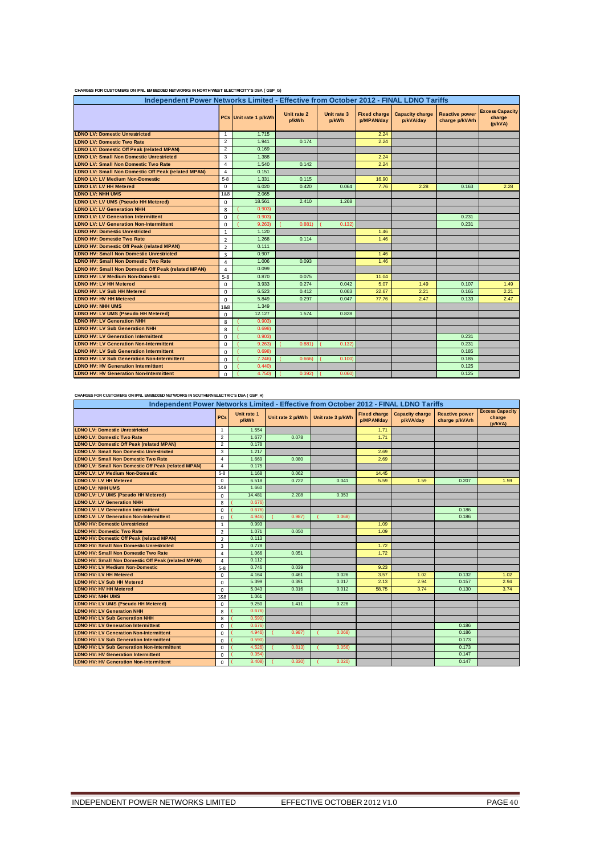|                                                     | Independent Power Networks Limited - Effective from October 2012 - FINAL LDNO Tariffs |                       |                      |                      |                                   |                                     |                                         |                                             |
|-----------------------------------------------------|---------------------------------------------------------------------------------------|-----------------------|----------------------|----------------------|-----------------------------------|-------------------------------------|-----------------------------------------|---------------------------------------------|
|                                                     |                                                                                       | PCs Unit rate 1 p/kWh | Unit rate 2<br>p/kWh | Unit rate 3<br>p/kWh | <b>Fixed charge</b><br>p/MPAN/day | <b>Capacity charge</b><br>p/kVA/day | <b>Reactive power</b><br>charge p/kVArh | <b>Excess Capacity</b><br>charge<br>(p/kVA) |
| <b>LDNO LV: Domestic Unrestricted</b>               | $\mathbf{1}$                                                                          | 1.715                 |                      |                      | 2.24                              |                                     |                                         |                                             |
| <b>LDNO LV: Domestic Two Rate</b>                   | $\overline{2}$                                                                        | 1.941                 | 0.174                |                      | 2.24                              |                                     |                                         |                                             |
| <b>LDNO LV: Domestic Off Peak (related MPAN)</b>    | $\overline{2}$                                                                        | 0.169                 |                      |                      |                                   |                                     |                                         |                                             |
| <b>LDNO LV: Small Non Domestic Unrestricted</b>     | 3                                                                                     | 1.388                 |                      |                      | 2.24                              |                                     |                                         |                                             |
| <b>LDNO LV: Small Non Domestic Two Rate</b>         | $\overline{4}$                                                                        | 1.540                 | 0.142                |                      | 2.24                              |                                     |                                         |                                             |
| LDNO LV: Small Non Domestic Off Peak (related MPAN) | $\overline{4}$                                                                        | 0.151                 |                      |                      |                                   |                                     |                                         |                                             |
| <b>LDNO LV: LV Medium Non-Domestic</b>              | $5-8$                                                                                 | 1.331                 | 0.115                |                      | 16.90                             |                                     |                                         |                                             |
| <b>LDNO LV: LV HH Metered</b>                       | $\Omega$                                                                              | 6.020                 | 0.420                | 0.064                | 7.76                              | 2.28                                | 0.163                                   | 2.28                                        |
| <b>LDNO LV: NHH UMS</b>                             | 1&8                                                                                   | 2.065                 |                      |                      |                                   |                                     |                                         |                                             |
| LDNO LV: LV UMS (Pseudo HH Metered)                 | $\mathbf 0$                                                                           | 18.561                | 2.410                | 1.268                |                                   |                                     |                                         |                                             |
| <b>LDNO LV: LV Generation NHH</b>                   | 8                                                                                     | 0.903                 |                      |                      |                                   |                                     |                                         |                                             |
| <b>LDNO LV: LV Generation Intermittent</b>          | $\Omega$                                                                              | 0.903                 |                      |                      |                                   |                                     | 0.231                                   |                                             |
| <b>LDNO LV: LV Generation Non-Intermittent</b>      | $\Omega$                                                                              | 9,263                 | 0.881                | 0.132                |                                   |                                     | 0.231                                   |                                             |
| <b>LDNO HV: Domestic Unrestricted</b>               | $\mathbf{1}$                                                                          | 1.120                 |                      |                      | 1.46                              |                                     |                                         |                                             |
| <b>LDNO HV: Domestic Two Rate</b>                   | $\overline{2}$                                                                        | 1.268                 | 0.114                |                      | 1.46                              |                                     |                                         |                                             |
| <b>LDNO HV: Domestic Off Peak (related MPAN)</b>    | $\overline{2}$                                                                        | 0.111                 |                      |                      |                                   |                                     |                                         |                                             |
| <b>LDNO HV: Small Non Domestic Unrestricted</b>     | $\overline{3}$                                                                        | 0.907                 |                      |                      | 1.46                              |                                     |                                         |                                             |
| <b>LDNO HV: Small Non Domestic Two Rate</b>         | $\overline{4}$                                                                        | 1.006                 | 0.093                |                      | 1.46                              |                                     |                                         |                                             |
| LDNO HV: Small Non Domestic Off Peak (related MPAN) | 4                                                                                     | 0.099                 |                      |                      |                                   |                                     |                                         |                                             |
| <b>LDNO HV: LV Medium Non-Domestic</b>              | $5 - 8$                                                                               | 0.870                 | 0.075                |                      | 11.04                             |                                     |                                         |                                             |
| <b>LDNO HV: LV HH Metered</b>                       | $\mathbf 0$                                                                           | 3.933                 | 0.274                | 0.042                | 5.07                              | 1.49                                | 0.107                                   | 1.49                                        |
| <b>LDNO HV: LV Sub HH Metered</b>                   | $\mathbf 0$                                                                           | 6.523                 | 0.412                | 0.063                | 22.67                             | 2.21                                | 0.165                                   | 2.21                                        |
| <b>LDNO HV: HV HH Metered</b>                       | $\mathbf 0$                                                                           | 5.849                 | 0.297                | 0.047                | 77.76                             | 2.47                                | 0.133                                   | 2.47                                        |
| <b>LDNO HV: NHH UMS</b>                             | 1&8                                                                                   | 1.349                 |                      |                      |                                   |                                     |                                         |                                             |
| LDNO HV: LV UMS (Pseudo HH Metered)                 | $\Omega$                                                                              | 12.127                | 1.574                | 0.828                |                                   |                                     |                                         |                                             |
| <b>LDNO HV: LV Generation NHH</b>                   | 8                                                                                     | 0.903                 |                      |                      |                                   |                                     |                                         |                                             |
| <b>LDNO HV: LV Sub Generation NHH</b>               | 8                                                                                     | 0.698                 |                      |                      |                                   |                                     |                                         |                                             |
| <b>LDNO HV: LV Generation Intermittent</b>          | $\Omega$                                                                              | 0.903                 |                      |                      |                                   |                                     | 0.231                                   |                                             |
| <b>LDNO HV: LV Generation Non-Intermittent</b>      | $\Omega$                                                                              | 9.263                 | 0.881                | 0.132                |                                   |                                     | 0.231                                   |                                             |
| <b>LDNO HV: LV Sub Generation Intermittent</b>      | $\Omega$                                                                              | 0.698                 |                      |                      |                                   |                                     | 0.185                                   |                                             |
| <b>LDNO HV: LV Sub Generation Non-Intermittent</b>  | $\mathbf 0$                                                                           | 7.246                 | 0.666                | 0.100                |                                   |                                     | 0.185                                   |                                             |
| <b>LDNO HV: HV Generation Intermittent</b>          | $\mathbf 0$                                                                           | 0.440                 |                      |                      |                                   |                                     | 0.125                                   |                                             |
| <b>LDNO HV: HV Generation Non-Intermittent</b>      | $\mathbf 0$                                                                           | 4.750)                | 0.392)               | 0.060                |                                   |                                     | 0.125                                   |                                             |

#### **CHARGES FOR CUSTOMERS ON IPNL EMBEDDED NETWORKS IN NORTH WEST ELECTRICITY'S DSA ( GSP\_G)**

#### **CHARGES FOR CUSTOMERS ON IPNL EMBEDDED NETWORKS IN SOUTHERN ELECTRIC'S DSA ( GSP\_H)**

| Independent Power Networks Limited - Effective from October 2012 - FINAL LDNO Tariffs |                |                      |                   |                   |                                   |                                     |                                         |                                             |  |  |  |  |  |
|---------------------------------------------------------------------------------------|----------------|----------------------|-------------------|-------------------|-----------------------------------|-------------------------------------|-----------------------------------------|---------------------------------------------|--|--|--|--|--|
|                                                                                       | <b>PCs</b>     | Unit rate 1<br>p/kWh | Unit rate 2 p/kWh | Unit rate 3 p/kWh | <b>Fixed charge</b><br>p/MPAN/day | <b>Capacity charge</b><br>p/kVA/day | <b>Reactive power</b><br>charge p/kVArh | <b>Excess Capacity</b><br>charge<br>(p/kVA) |  |  |  |  |  |
| <b>LDNO LV: Domestic Unrestricted</b>                                                 | 1              | 1.554                |                   |                   | 1.71                              |                                     |                                         |                                             |  |  |  |  |  |
| <b>LDNO LV: Domestic Two Rate</b>                                                     | $\overline{2}$ | 1.677                | 0.078             |                   | 1.71                              |                                     |                                         |                                             |  |  |  |  |  |
| <b>LDNO LV: Domestic Off Peak (related MPAN)</b>                                      | $\overline{2}$ | 0.178                |                   |                   |                                   |                                     |                                         |                                             |  |  |  |  |  |
| <b>LDNO LV: Small Non Domestic Unrestricted</b>                                       | 3              | 1.217                |                   |                   | 2.69                              |                                     |                                         |                                             |  |  |  |  |  |
| <b>LDNO LV: Small Non Domestic Two Rate</b>                                           | $\overline{4}$ | 1.669                | 0.080             |                   | 2.69                              |                                     |                                         |                                             |  |  |  |  |  |
| <b>LDNO LV: Small Non Domestic Off Peak (related MPAN)</b>                            | $\overline{4}$ | 0.175                |                   |                   |                                   |                                     |                                         |                                             |  |  |  |  |  |
| <b>LDNO LV: LV Medium Non-Domestic</b>                                                | $5-8$          | 1.168                | 0.062             |                   | 14.45                             |                                     |                                         |                                             |  |  |  |  |  |
| <b>LDNO LV: LV HH Metered</b>                                                         | 0              | 6.518                | 0.722             | 0.041             | 5.59                              | 1.59                                | 0.207                                   | 1.59                                        |  |  |  |  |  |
| <b>LDNO LV: NHH UMS</b>                                                               | 1&8            | 1.660                |                   |                   |                                   |                                     |                                         |                                             |  |  |  |  |  |
| <b>LDNO LV: LV UMS (Pseudo HH Metered)</b>                                            | $\mathbf 0$    | 14.481               | 2.208             | 0.353             |                                   |                                     |                                         |                                             |  |  |  |  |  |
| <b>LDNO LV: LV Generation NHH</b>                                                     | 8              | 0.676                |                   |                   |                                   |                                     |                                         |                                             |  |  |  |  |  |
| <b>LDNO LV: LV Generation Intermittent</b>                                            | $\Omega$       | 0.676                |                   |                   |                                   |                                     | 0.186                                   |                                             |  |  |  |  |  |
| <b>LDNO LV: LV Generation Non-Intermittent</b>                                        | $\mathbf 0$    | 4.946                | 0.987             | 0.068             |                                   |                                     | 0.186                                   |                                             |  |  |  |  |  |
| <b>LDNO HV: Domestic Unrestricted</b>                                                 | 1              | 0.993                |                   |                   | 1.09                              |                                     |                                         |                                             |  |  |  |  |  |
| <b>LDNO HV: Domestic Two Rate</b>                                                     | $\overline{2}$ | 1.071                | 0.050             |                   | 1.09                              |                                     |                                         |                                             |  |  |  |  |  |
| <b>LDNO HV: Domestic Off Peak (related MPAN)</b>                                      | $\overline{2}$ | 0.113                |                   |                   |                                   |                                     |                                         |                                             |  |  |  |  |  |
| <b>LDNO HV: Small Non Domestic Unrestricted</b>                                       | 3              | 0.778                |                   |                   | 1.72                              |                                     |                                         |                                             |  |  |  |  |  |
| <b>LDNO HV: Small Non Domestic Two Rate</b>                                           | 4              | 1.066                | 0.051             |                   | 1.72                              |                                     |                                         |                                             |  |  |  |  |  |
| <b>LDNO HV: Small Non Domestic Off Peak (related MPAN)</b>                            | 4              | 0.112                |                   |                   |                                   |                                     |                                         |                                             |  |  |  |  |  |
| <b>LDNO HV: LV Medium Non-Domestic</b>                                                | $5 - 8$        | 0.746                | 0.039             |                   | 9.23                              |                                     |                                         |                                             |  |  |  |  |  |
| <b>LDNO HV: LV HH Metered</b>                                                         | $\Omega$       | 4.164                | 0.461             | 0.026             | 3.57                              | 1.02                                | 0.132                                   | 1.02                                        |  |  |  |  |  |
| <b>LDNO HV: LV Sub HH Metered</b>                                                     | $\Omega$       | 5.399                | 0.391             | 0.017             | 2.13                              | 2.94                                | 0.157                                   | 2.94                                        |  |  |  |  |  |
| <b>LDNO HV: HV HH Metered</b>                                                         | $\mathbf 0$    | 5.043                | 0.316             | 0.012             | 58.75                             | 3.74                                | 0.130                                   | 3.74                                        |  |  |  |  |  |
| <b>LDNO HV: NHH UMS</b>                                                               | 1&8            | 1.061                |                   |                   |                                   |                                     |                                         |                                             |  |  |  |  |  |
| LDNO HV: LV UMS (Pseudo HH Metered)                                                   | $\mathbf 0$    | 9.250                | 1.411             | 0.226             |                                   |                                     |                                         |                                             |  |  |  |  |  |
| <b>LDNO HV: LV Generation NHH</b>                                                     | 8              | 0.676                |                   |                   |                                   |                                     |                                         |                                             |  |  |  |  |  |
| <b>LDNO HV: LV Sub Generation NHH</b>                                                 | 8              | 0.5901               |                   |                   |                                   |                                     |                                         |                                             |  |  |  |  |  |
| <b>LDNO HV: LV Generation Intermittent</b>                                            | $\mathbf 0$    | 0.676                |                   |                   |                                   |                                     | 0.186                                   |                                             |  |  |  |  |  |
| <b>LDNO HV: LV Generation Non-Intermittent</b>                                        | $\mathbf 0$    | 4.946                | 0.987             | 0.068             |                                   |                                     | 0.186                                   |                                             |  |  |  |  |  |
| <b>LDNO HV: LV Sub Generation Intermittent</b>                                        | $\mathbf 0$    | 0.5901               |                   |                   |                                   |                                     | 0.173                                   |                                             |  |  |  |  |  |
| <b>LDNO HV: LV Sub Generation Non-Intermittent</b>                                    | $\Omega$       | 4.526)               | 0.813             | 0.056             |                                   |                                     | 0.173                                   |                                             |  |  |  |  |  |
| <b>LDNO HV: HV Generation Intermittent</b>                                            | $\Omega$       | 0.354)               |                   |                   |                                   |                                     | 0.147                                   |                                             |  |  |  |  |  |
| <b>LDNO HV: HV Generation Non-Intermittent</b>                                        | 0              | 3,408                | 0.3301            | 0.0201            |                                   |                                     | 0.147                                   |                                             |  |  |  |  |  |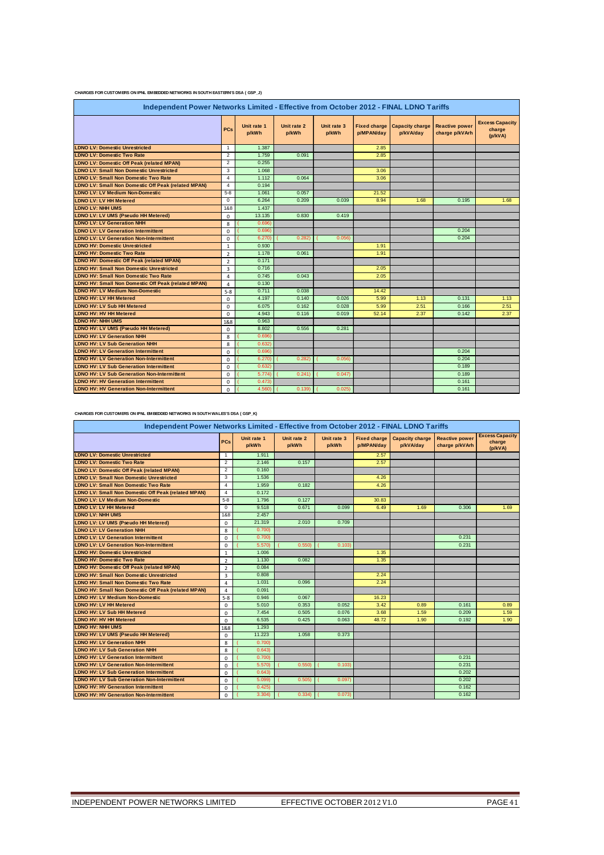#### **CHARGES FOR CUSTOMERS ON IPNL EMBEDDED NETWORKS IN SOUTH EASTERN'S DSA ( GSP\_J)**

| Independent Power Networks Limited - Effective from October 2012 - FINAL LDNO Tariffs |                |                      |                      |                      |            |                                             |                                         |                                             |  |
|---------------------------------------------------------------------------------------|----------------|----------------------|----------------------|----------------------|------------|---------------------------------------------|-----------------------------------------|---------------------------------------------|--|
|                                                                                       | <b>PCs</b>     | Unit rate 1<br>p/kWh | Unit rate 2<br>p/kWh | Unit rate 3<br>p/kWh | p/MPAN/day | Fixed charge   Capacity charge<br>p/kVA/day | <b>Reactive power</b><br>charge p/kVArh | <b>Excess Capacity</b><br>charge<br>(p/kVA) |  |
| <b>LDNO LV: Domestic Unrestricted</b>                                                 | $\mathbf{1}$   | 1.387                |                      |                      | 2.85       |                                             |                                         |                                             |  |
| <b>LDNO LV: Domestic Two Rate</b>                                                     | 2              | 1.759                | 0.091                |                      | 2.85       |                                             |                                         |                                             |  |
| <b>LDNO LV: Domestic Off Peak (related MPAN)</b>                                      | $\overline{2}$ | 0.255                |                      |                      |            |                                             |                                         |                                             |  |
| <b>LDNO LV: Small Non Domestic Unrestricted</b>                                       | 3              | 1.068                |                      |                      | 3.06       |                                             |                                         |                                             |  |
| <b>LDNO LV: Small Non Domestic Two Rate</b>                                           | $\overline{4}$ | 1.112                | 0.064                |                      | 3.06       |                                             |                                         |                                             |  |
| <b>LDNO LV: Small Non Domestic Off Peak (related MPAN)</b>                            | $\overline{4}$ | 0.194                |                      |                      |            |                                             |                                         |                                             |  |
| <b>LDNO LV: LV Medium Non-Domestic</b>                                                | $5 - 8$        | 1.061                | 0.057                |                      | 21.52      |                                             |                                         |                                             |  |
| <b>LDNO LV: LV HH Metered</b>                                                         | $\mathbf 0$    | 6.264                | 0.209                | 0.039                | 8.94       | 1.68                                        | 0.195                                   | 1.68                                        |  |
| <b>LDNO LV: NHH UMS</b>                                                               | 1&8            | 1.437                |                      |                      |            |                                             |                                         |                                             |  |
| <b>LDNO LV: LV UMS (Pseudo HH Metered)</b>                                            | $\mathbf 0$    | 13.135               | 0.830                | 0.419                |            |                                             |                                         |                                             |  |
| <b>LDNO LV: LV Generation NHH</b>                                                     | 8              | 0.696                |                      |                      |            |                                             |                                         |                                             |  |
| <b>LDNO LV: LV Generation Intermittent</b>                                            | $\mathbf 0$    | 0.6961               |                      |                      |            |                                             | 0.204                                   |                                             |  |
| <b>LDNO LV: LV Generation Non-Intermittent</b>                                        | $\mathbf 0$    | 6.270                | 0.282                | 0.056                |            |                                             | 0.204                                   |                                             |  |
| <b>LDNO HV: Domestic Unrestricted</b>                                                 | $\mathbf{1}$   | 0.930                |                      |                      | 1.91       |                                             |                                         |                                             |  |
| <b>LDNO HV: Domestic Two Rate</b>                                                     | $\overline{2}$ | 1.178                | 0.061                |                      | 1.91       |                                             |                                         |                                             |  |
| <b>LDNO HV: Domestic Off Peak (related MPAN)</b>                                      | $\overline{2}$ | 0.171                |                      |                      |            |                                             |                                         |                                             |  |
| <b>LDNO HV: Small Non Domestic Unrestricted</b>                                       | 3              | 0.716                |                      |                      | 2.05       |                                             |                                         |                                             |  |
| <b>LDNO HV: Small Non Domestic Two Rate</b>                                           | $\overline{a}$ | 0.745                | 0.043                |                      | 2.05       |                                             |                                         |                                             |  |
| <b>LDNO HV: Small Non Domestic Off Peak (related MPAN)</b>                            | $\overline{4}$ | 0.130                |                      |                      |            |                                             |                                         |                                             |  |
| <b>LDNO HV: LV Medium Non-Domestic</b>                                                | $5 - 8$        | 0.711                | 0.038                |                      | 14.42      |                                             |                                         |                                             |  |
| <b>LDNO HV: LV HH Metered</b>                                                         | $\mathbf 0$    | 4.197                | 0.140                | 0.026                | 5.99       | 1.13                                        | 0.131                                   | 1.13                                        |  |
| LDNO HV: LV Sub HH Metered                                                            | $\Omega$       | 6.075                | 0.162                | 0.028                | 5.99       | 2.51                                        | 0.166                                   | 2.51                                        |  |
| <b>LDNO HV: HV HH Metered</b>                                                         | $\mathbf 0$    | 4.943                | 0.116                | 0.019                | 52.14      | 2.37                                        | 0.142                                   | 2.37                                        |  |
| <b>LDNO HV: NHH UMS</b>                                                               | 1&8            | 0.963                |                      |                      |            |                                             |                                         |                                             |  |
| LDNO HV: LV UMS (Pseudo HH Metered)                                                   | $\mathbf 0$    | 8.802                | 0.556                | 0.281                |            |                                             |                                         |                                             |  |
| <b>LDNO HV: LV Generation NHH</b>                                                     | 8              | 0.696                |                      |                      |            |                                             |                                         |                                             |  |
| <b>LDNO HV: LV Sub Generation NHH</b>                                                 | 8              | 0.632                |                      |                      |            |                                             |                                         |                                             |  |
| <b>LDNO HV: LV Generation Intermittent</b>                                            | $\Omega$       | 0.696)               |                      |                      |            |                                             | 0.204                                   |                                             |  |
| <b>LDNO HV: LV Generation Non-Intermittent</b>                                        | $\Omega$       | 6.270                | 0.282                | 0.056                |            |                                             | 0.204                                   |                                             |  |
| <b>LDNO HV: LV Sub Generation Intermittent</b>                                        | $\Omega$       | 0.632                |                      |                      |            |                                             | 0.189                                   |                                             |  |
| <b>LDNO HV: LV Sub Generation Non-Intermittent</b>                                    | $\Omega$       | 5.774)               | 0.241                | 0.047                |            |                                             | 0.189                                   |                                             |  |
| <b>LDNO HV: HV Generation Intermittent</b>                                            | $\Omega$       | 0.473                |                      |                      |            |                                             | 0.161                                   |                                             |  |
| <b>LDNO HV: HV Generation Non-Intermittent</b>                                        | $\mathbf 0$    | 4.560)               | 0.139                | 0.025                |            |                                             | 0.161                                   |                                             |  |

**CHARGES FOR CUSTOMERS ON IPNL EMBEDDED NETWORKS IN SOUTH WALES'S DSA ( GSP\_K)**

| Independent Power Networks Limited - Effective from October 2012 - FINAL LDNO Tariffs |                |                      |                      |                      |                                   |                                     |                                         |                                             |
|---------------------------------------------------------------------------------------|----------------|----------------------|----------------------|----------------------|-----------------------------------|-------------------------------------|-----------------------------------------|---------------------------------------------|
|                                                                                       | <b>PCs</b>     | Unit rate 1<br>p/kWh | Unit rate 2<br>p/kWh | Unit rate 3<br>p/kWh | <b>Fixed charge</b><br>p/MPAN/day | <b>Capacity charge</b><br>p/kVA/day | <b>Reactive power</b><br>charge p/kVArh | <b>Excess Capacity</b><br>charge<br>(p/kVA) |
| <b>LDNO LV: Domestic Unrestricted</b>                                                 | $\overline{1}$ | 1.911                |                      |                      | 2.57                              |                                     |                                         |                                             |
| <b>LDNO LV: Domestic Two Rate</b>                                                     | $\overline{2}$ | 2.146                | 0.157                |                      | 2.57                              |                                     |                                         |                                             |
| <b>LDNO LV: Domestic Off Peak (related MPAN)</b>                                      | $\overline{2}$ | 0.160                |                      |                      |                                   |                                     |                                         |                                             |
| <b>LDNO LV: Small Non Domestic Unrestricted</b>                                       | 3              | 1.536                |                      |                      | 4.26                              |                                     |                                         |                                             |
| <b>LDNO LV: Small Non Domestic Two Rate</b>                                           | $\overline{4}$ | 1.959                | 0.182                |                      | 4.26                              |                                     |                                         |                                             |
| <b>LDNO LV: Small Non Domestic Off Peak (related MPAN)</b>                            | $\overline{4}$ | 0.172                |                      |                      |                                   |                                     |                                         |                                             |
| <b>LDNO LV: LV Medium Non-Domestic</b>                                                | $5-8$          | 1.796                | 0.127                |                      | 30.83                             |                                     |                                         |                                             |
| <b>LDNO LV: LV HH Metered</b>                                                         | $\Omega$       | 9.518                | 0.671                | 0.099                | 6.49                              | 1.69                                | 0.306                                   | 1.69                                        |
| <b>LDNO LV: NHH UMS</b>                                                               | 1&8            | 2.457                |                      |                      |                                   |                                     |                                         |                                             |
| LDNO LV: LV UMS (Pseudo HH Metered)                                                   | $\Omega$       | 21.319               | 2.010                | 0.709                |                                   |                                     |                                         |                                             |
| <b>LDNO LV: LV Generation NHH</b>                                                     | 8              | 0.700                |                      |                      |                                   |                                     |                                         |                                             |
| <b>LDNO LV: LV Generation Intermittent</b>                                            | $\Omega$       | 0.700                |                      |                      |                                   |                                     | 0.231                                   |                                             |
| <b>LDNO LV: LV Generation Non-Intermittent</b>                                        | $\Omega$       | 5.570                | 0.550                | 0.103                |                                   |                                     | 0.231                                   |                                             |
| <b>LDNO HV: Domestic Unrestricted</b>                                                 | 1              | 1.006                |                      |                      | 1.35                              |                                     |                                         |                                             |
| <b>LDNO HV: Domestic Two Rate</b>                                                     | $\overline{2}$ | 1.130                | 0.082                |                      | 1.35                              |                                     |                                         |                                             |
| <b>LDNO HV: Domestic Off Peak (related MPAN)</b>                                      | $\overline{2}$ | 0.084                |                      |                      |                                   |                                     |                                         |                                             |
| <b>LDNO HV: Small Non Domestic Unrestricted</b>                                       | 3              | 0.808                |                      |                      | 2.24                              |                                     |                                         |                                             |
| <b>LDNO HV: Small Non Domestic Two Rate</b>                                           | $\overline{a}$ | 1.031                | 0.096                |                      | 2.24                              |                                     |                                         |                                             |
| LDNO HV: Small Non Domestic Off Peak (related MPAN)                                   | $\overline{4}$ | 0.091                |                      |                      |                                   |                                     |                                         |                                             |
| LDNO HV: LV Medium Non-Domestic                                                       | $5 - 8$        | 0.946                | 0.067                |                      | 16.23                             |                                     |                                         |                                             |
| <b>LDNO HV: LV HH Metered</b>                                                         | $\Omega$       | 5.010                | 0.353                | 0.052                | 3.42                              | 0.89                                | 0.161                                   | 0.89                                        |
| <b>LDNO HV: LV Sub HH Metered</b>                                                     | $\Omega$       | 7.454                | 0.505                | 0.076                | 3.68                              | 1.59                                | 0.209                                   | 1.59                                        |
| <b>LDNO HV: HV HH Metered</b>                                                         | $\Omega$       | 6.535                | 0.425                | 0.063                | 48.72                             | 1.90                                | 0.192                                   | 1.90                                        |
| <b>LDNO HV: NHH UMS</b>                                                               | 1&8            | 1.293                |                      |                      |                                   |                                     |                                         |                                             |
| LDNO HV: LV UMS (Pseudo HH Metered)                                                   | $\Omega$       | 11.223               | 1.058                | 0.373                |                                   |                                     |                                         |                                             |
| <b>LDNO HV: LV Generation NHH</b>                                                     | 8              | 0.700                |                      |                      |                                   |                                     |                                         |                                             |
| <b>LDNO HV: LV Sub Generation NHH</b>                                                 | 8              | 0.643                |                      |                      |                                   |                                     |                                         |                                             |
| <b>LDNO HV: LV Generation Intermittent</b>                                            | $\mathbf 0$    | 0.700                |                      |                      |                                   |                                     | 0.231                                   |                                             |
| <b>LDNO HV: LV Generation Non-Intermittent</b>                                        | 0              | 5.570                | 0.550                | 0.103                |                                   |                                     | 0.231                                   |                                             |
| <b>LDNO HV: LV Sub Generation Intermittent</b>                                        | $\Omega$       | 0.643                |                      |                      |                                   |                                     | 0.202                                   |                                             |
| <b>LDNO HV: LV Sub Generation Non-Intermittent</b>                                    | $\Omega$       | 5.099                | 0.505                | 0.097                |                                   |                                     | 0.202                                   |                                             |
| <b>LDNO HV: HV Generation Intermittent</b>                                            | 0              | 0.425                |                      |                      |                                   |                                     | 0.162                                   |                                             |
| <b>LDNO HV: HV Generation Non-Intermittent</b>                                        | $\Omega$       | 3.304                | 0.334)               | 0.073                |                                   |                                     | 0.162                                   |                                             |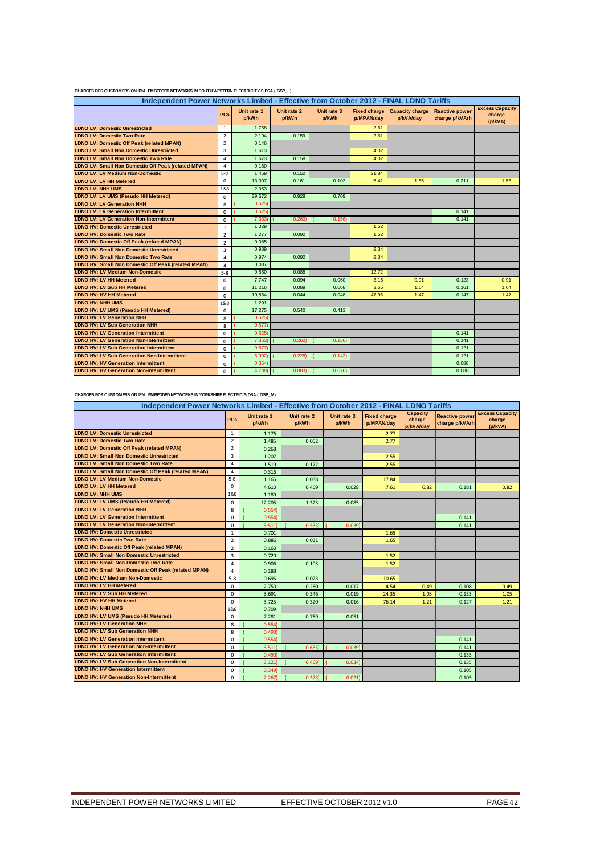| Independent Power Networks Limited - Effective from October 2012 - FINAL LDNO Tariffs |                |                      |                      |                      |                                   |                                     |                                         |                                             |  |
|---------------------------------------------------------------------------------------|----------------|----------------------|----------------------|----------------------|-----------------------------------|-------------------------------------|-----------------------------------------|---------------------------------------------|--|
|                                                                                       | PCs            | Unit rate 1<br>p/kWh | Unit rate 2<br>p/kWh | Unit rate 3<br>p/kWh | <b>Fixed charge</b><br>p/MPAN/day | <b>Capacity charge</b><br>p/kVA/day | <b>Reactive power</b><br>charge p/kVArh | <b>Excess Capacity</b><br>charge<br>(p/kVA) |  |
| <b>LDNO LV: Domestic Unrestricted</b>                                                 | 1              | 1.768                |                      |                      | 2.61                              |                                     |                                         |                                             |  |
| <b>LDNO LV: Domestic Two Rate</b>                                                     | 2              | 2.194                | 0.159                |                      | 2.61                              |                                     |                                         |                                             |  |
| <b>LDNO LV: Domestic Off Peak (related MPAN)</b>                                      | 2              | 0.146                |                      |                      |                                   |                                     |                                         |                                             |  |
| <b>LDNO LV: Small Non Domestic Unrestricted</b>                                       | 3              | 1.613                |                      |                      | 4.02                              |                                     |                                         |                                             |  |
| <b>LDNO LV: Small Non Domestic Two Rate</b>                                           | 4              | 1.673                | 0.158                |                      | 4.02                              |                                     |                                         |                                             |  |
| <b>LDNO LV: Small Non Domestic Off Peak (related MPAN)</b>                            | 4              | 0.150                |                      |                      |                                   |                                     |                                         |                                             |  |
| <b>LDNO LV: LV Medium Non-Domestic</b>                                                | $5 - 8$        | 1.459                | 0.152                |                      | 21.84                             |                                     |                                         |                                             |  |
| <b>LDNO LV: LV HH Metered</b>                                                         | $\mathbf 0$    | 13.307               | 0.161                | 0.103                | 5.41                              | 1.56                                | 0.211                                   | 1.56                                        |  |
| <b>LDNO LV: NHH UMS</b>                                                               | 1&8            | 2.063                |                      |                      |                                   |                                     |                                         |                                             |  |
| LDNO LV: LV UMS (Pseudo HH Metered)                                                   | $\Omega$       | 29.672               | 0.928                | 0.709                |                                   |                                     |                                         |                                             |  |
| <b>LDNO LV: LV Generation NHH</b>                                                     | 8              | 0.625                |                      |                      |                                   |                                     |                                         |                                             |  |
| <b>LDNO LV: LV Generation Intermittent</b>                                            | 0              | 0.625                |                      |                      |                                   |                                     | 0.141                                   |                                             |  |
| <b>LDNO LV: LV Generation Non-Intermittent</b>                                        | 0              | 7.363                | 0.260                | 0.156                |                                   |                                     | 0.141                                   |                                             |  |
| <b>LDNO HV: Domestic Unrestricted</b>                                                 | $\mathbf{1}$   | 1.029                |                      |                      | 1.52                              |                                     |                                         |                                             |  |
| <b>LDNO HV: Domestic Two Rate</b>                                                     | $\overline{2}$ | 1.277                | 0.092                |                      | 1.52                              |                                     |                                         |                                             |  |
| <b>LDNO HV: Domestic Off Peak (related MPAN)</b>                                      | $\overline{2}$ | 0.085                |                      |                      |                                   |                                     |                                         |                                             |  |
| <b>LDNO HV: Small Non Domestic Unrestricted</b>                                       | $\overline{3}$ | 0.939                |                      |                      | 2.34                              |                                     |                                         |                                             |  |
| <b>LDNO HV: Small Non Domestic Two Rate</b>                                           | 4              | 0.974                | 0.092                |                      | 2.34                              |                                     |                                         |                                             |  |
| LDNO HV: Small Non Domestic Off Peak (related MPAN)                                   | 4              | 0.087                |                      |                      |                                   |                                     |                                         |                                             |  |
| <b>LDNO HV: LV Medium Non-Domestic</b>                                                | $5 - 8$        | 0.850                | 0.088                |                      | 12.72                             |                                     |                                         |                                             |  |
| <b>LDNO HV: LV HH Metered</b>                                                         | $\Omega$       | 7.747                | 0.094                | 0.060                | 3.15                              | 0.91                                | 0.123                                   | 0.91                                        |  |
| <b>LDNO HV: LV Sub HH Metered</b>                                                     | $\Omega$       | 11.216               | 0.089                | 0.068                | 3.65                              | 1.64                                | 0.161                                   | 1.64                                        |  |
| <b>LDNO HV: HV HH Metered</b>                                                         | $\Omega$       | 10.864               | 0.044                | 0.048                | 47.96                             | 1.47                                | 0.147                                   | 1.47                                        |  |
| <b>LDNO HV: NHH UMS</b>                                                               | 1&8            | 1.201                |                      |                      |                                   |                                     |                                         |                                             |  |
| LDNO HV: LV UMS (Pseudo HH Metered)                                                   | $\Omega$       | 17.275               | 0.540                | 0.413                |                                   |                                     |                                         |                                             |  |
| <b>LDNO HV: LV Generation NHH</b>                                                     | 8              | 0.625                |                      |                      |                                   |                                     |                                         |                                             |  |
| <b>LDNO HV: LV Sub Generation NHH</b>                                                 | 8              | 0.577                |                      |                      |                                   |                                     |                                         |                                             |  |
| <b>LDNO HV: LV Generation Intermittent</b>                                            | $\Omega$       | 0.625                |                      |                      |                                   |                                     | 0.141                                   |                                             |  |
| <b>LDNO HV: LV Generation Non-Intermittent</b>                                        | $\Omega$       | 7.363                | 0.260                | 0.156                |                                   |                                     | 0.141                                   |                                             |  |
| <b>LDNO HV: LV Sub Generation Intermittent</b>                                        | $\Omega$       | 0.577                |                      |                      |                                   |                                     | 0.121                                   |                                             |  |
| <b>LDNO HV: LV Sub Generation Non-Intermittent</b>                                    | $\Omega$       | 6.902)               | 0.228                | 0.142                |                                   |                                     | 0.121                                   |                                             |  |
| <b>LDNO HV: HV Generation Intermittent</b>                                            | $\Omega$       | 0.354                |                      |                      |                                   |                                     | 0.088                                   |                                             |  |
| <b>LDNO HV: HV Generation Non-Intermittent</b>                                        | $\Omega$       | 4.708)               | 0.083                | 0.076                |                                   |                                     | 0.088                                   |                                             |  |

#### FOR CUSTOMERS ON IPNL EMBEDDED NETWORKS IN SOUTH WESTERN ELECTRICITY'S DSA ( GSP\_L)

#### **CHARGES FOR CUSTOMERS ON IPNL EMBEDDED NETWORKS IN YORKSHIRE ELECTRIC'S DSA ( GSP\_M)**

| Independent Power Networks Limited - Effective from October 2012 - FINAL LDNO Tariffs |                |                      |                      |                      |                                   |                                        |                                         |                                             |
|---------------------------------------------------------------------------------------|----------------|----------------------|----------------------|----------------------|-----------------------------------|----------------------------------------|-----------------------------------------|---------------------------------------------|
|                                                                                       | PCs            | Unit rate 1<br>p/kWh | Unit rate 2<br>p/kWh | Unit rate 3<br>p/kWh | <b>Fixed charge</b><br>p/MPAN/day | <b>Capacity</b><br>charge<br>p/kVA/day | <b>Reactive power</b><br>charge p/kVArh | <b>Excess Capacity</b><br>charge<br>(p/kVA) |
| <b>LDNO LV: Domestic Unrestricted</b>                                                 | $\overline{1}$ | 1.176                |                      |                      | 2.77                              |                                        |                                         |                                             |
| <b>LDNO LV: Domestic Two Rate</b>                                                     | $\overline{2}$ | 1.485                | 0.052                |                      | 2.77                              |                                        |                                         |                                             |
| <b>LDNO LV: Domestic Off Peak (related MPAN)</b>                                      | $\overline{2}$ | 0.268                |                      |                      |                                   |                                        |                                         |                                             |
| <b>LDNO LV: Small Non Domestic Unrestricted</b>                                       | 3              | 1.207                |                      |                      | 2.55                              |                                        |                                         |                                             |
| <b>LDNO LV: Small Non Domestic Two Rate</b>                                           | $\overline{4}$ | 1.519                | 0.172                |                      | 2.55                              |                                        |                                         |                                             |
| LDNO LV: Small Non Domestic Off Peak (related MPAN)                                   | $\overline{4}$ | 0.316                |                      |                      |                                   |                                        |                                         |                                             |
| <b>LDNO LV: LV Medium Non-Domestic</b>                                                | $5 - 8$        | 1.165                | 0.038                |                      | 17.84                             |                                        |                                         |                                             |
| <b>LDNO LV: LV HH Metered</b>                                                         | $\mathbf 0$    | 4.610                | 0.469                | 0.028                | 7.61                              | 0.82                                   | 0.181                                   | 0.82                                        |
| <b>LDNO LV: NHH UMS</b>                                                               | 1&8            | 1.189                |                      |                      |                                   |                                        |                                         |                                             |
| <b>LDNO LV: LV UMS (Pseudo HH Metered)</b>                                            | $\mathbf 0$    | 12.205               | 1.323                | 0.085                |                                   |                                        |                                         |                                             |
| <b>LDNO LV: LV Generation NHH</b>                                                     | 8              | 0.554                |                      |                      |                                   |                                        |                                         |                                             |
| <b>LDNO LV: LV Generation Intermittent</b>                                            | $\mathbf 0$    | 0.554                |                      |                      |                                   |                                        | 0.141                                   |                                             |
| <b>LDNO LV: LV Generation Non-Intermittent</b>                                        | $\Omega$       | 3.511                | 0.533                | 0.039                |                                   |                                        | 0.141                                   |                                             |
| <b>LDNO HV: Domestic Unrestricted</b>                                                 | $\mathbf{1}$   | 0.701                |                      |                      | 1.65                              |                                        |                                         |                                             |
| <b>LDNO HV: Domestic Two Rate</b>                                                     | $\overline{2}$ | 0.886                | 0.031                |                      | 1.65                              |                                        |                                         |                                             |
| <b>LDNO HV: Domestic Off Peak (related MPAN)</b>                                      | $\overline{2}$ | 0.160                |                      |                      |                                   |                                        |                                         |                                             |
| <b>LDNO HV: Small Non Domestic Unrestricted</b>                                       | $\overline{3}$ | 0.720                |                      |                      | 1.52                              |                                        |                                         |                                             |
| <b>LDNO HV: Small Non Domestic Two Rate</b>                                           | $\overline{a}$ | 0.906                | 0.103                |                      | 1.52                              |                                        |                                         |                                             |
| LDNO HV: Small Non Domestic Off Peak (related MPAN)                                   | $\overline{a}$ | 0.188                |                      |                      |                                   |                                        |                                         |                                             |
| <b>LDNO HV: LV Medium Non-Domestic</b>                                                | $5 - 8$        | 0.695                | 0.023                |                      | 10.65                             |                                        |                                         |                                             |
| <b>LDNO HV: LV HH Metered</b>                                                         | $\mathbf 0$    | 2.750                | 0.280                | 0.017                | 4.54                              | 0.49                                   | 0.108                                   | 0.49                                        |
| <b>LDNO HV: LV Sub HH Metered</b>                                                     | $\Omega$       | 3.691                | 0.346                | 0.019                | 24.35                             | 1.05                                   | 0.133                                   | 1.05                                        |
| <b>LDNO HV: HV HH Metered</b>                                                         | $\mathbf 0$    | 3.725                | 0.320                | 0.016                | 76.14                             | 1.21                                   | 0.127                                   | 1.21                                        |
| LDNO HV: NHH UMS                                                                      | 1&8            | 0.709                |                      |                      |                                   |                                        |                                         |                                             |
| LDNO HV: LV UMS (Pseudo HH Metered)                                                   | $\mathbf 0$    | 7.281                | 0.789                | 0.051                |                                   |                                        |                                         |                                             |
| <b>LDNO HV: LV Generation NHH</b>                                                     | 8              | 0.554                |                      |                      |                                   |                                        |                                         |                                             |
| <b>LDNO HV: LV Sub Generation NHH</b>                                                 | 8              | 0.490                |                      |                      |                                   |                                        |                                         |                                             |
| <b>LDNO HV: LV Generation Intermittent</b>                                            | $\mathbf 0$    | 0.554                |                      |                      |                                   |                                        | 0.141                                   |                                             |
| <b>LDNO HV: LV Generation Non-Intermittent</b>                                        | $\mathbf 0$    | 3.511                | 0.633)               | 0.039                |                                   |                                        | 0.141                                   |                                             |
| <b>LDNO HV: LV Sub Generation Intermittent</b>                                        | $\mathbf 0$    | 0.490                |                      |                      |                                   |                                        | 0.135                                   |                                             |
| <b>LDNO HV: LV Sub Generation Non-Intermittent</b>                                    | $\mathbf 0$    | 3.121                | 0.469                | 0.034                |                                   |                                        | 0.135                                   |                                             |
| <b>LDNO HV: HV Generation Intermittent</b>                                            | $\mathbf 0$    | 0.349                |                      |                      |                                   |                                        | 0.105                                   |                                             |
| <b>LDNO HV: HV Generation Non-Intermittent</b>                                        | $\Omega$       | 2.267                | 0.323                | 0.021                |                                   |                                        | 0.105                                   |                                             |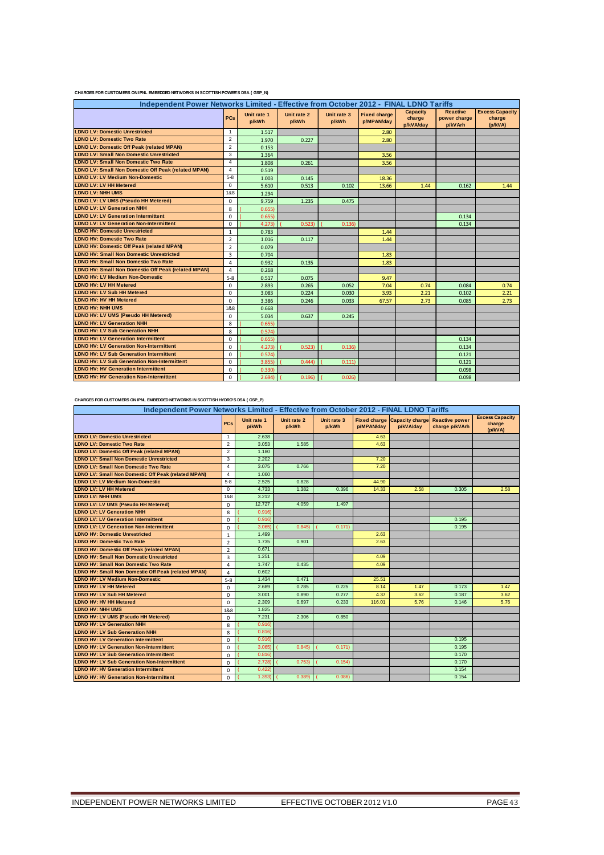|  | CHARGES FOR CUSTOMERS ON IPNL EMBEDDED NETWORKS IN SCOTTISH POWER'S DSA (GSP_N) |
|--|---------------------------------------------------------------------------------|
|--|---------------------------------------------------------------------------------|

| Independent Power Networks Limited - Effective from October 2012 - FINAL LDNO Tariffs |                |                      |                      |                      |                                   |                                        |                                            |                                             |
|---------------------------------------------------------------------------------------|----------------|----------------------|----------------------|----------------------|-----------------------------------|----------------------------------------|--------------------------------------------|---------------------------------------------|
|                                                                                       | <b>PCs</b>     | Unit rate 1<br>p/kWh | Unit rate 2<br>p/kWh | Unit rate 3<br>p/kWh | <b>Fixed charge</b><br>p/MPAN/day | <b>Capacity</b><br>charge<br>p/kVA/day | <b>Reactive</b><br>power charge<br>p/kVArh | <b>Excess Capacity</b><br>charge<br>(p/kVA) |
| <b>LDNO LV: Domestic Unrestricted</b>                                                 | $\mathbf{1}$   | 1.517                |                      |                      | 2.80                              |                                        |                                            |                                             |
| <b>LDNO LV: Domestic Two Rate</b>                                                     | 2              | 1.970                | 0.227                |                      | 2.80                              |                                        |                                            |                                             |
| <b>LDNO LV: Domestic Off Peak (related MPAN)</b>                                      | 2              | 0.153                |                      |                      |                                   |                                        |                                            |                                             |
| <b>LDNO LV: Small Non Domestic Unrestricted</b>                                       | 3              | 1.364                |                      |                      | 3.56                              |                                        |                                            |                                             |
| <b>LDNO LV: Small Non Domestic Two Rate</b>                                           | $\overline{4}$ | 1.808                | 0.261                |                      | 3.56                              |                                        |                                            |                                             |
| <b>LDNO LV: Small Non Domestic Off Peak (related MPAN)</b>                            | $\overline{4}$ | 0.519                |                      |                      |                                   |                                        |                                            |                                             |
| <b>LDNO LV: LV Medium Non-Domestic</b>                                                | $5 - 8$        | 1.003                | 0.145                |                      | 18.36                             |                                        |                                            |                                             |
| <b>LDNO LV: LV HH Metered</b>                                                         | $\mathbf 0$    | 5.610                | 0.513                | 0.102                | 13.66                             | 1.44                                   | 0.162                                      | 1.44                                        |
| <b>LDNO LV: NHH UMS</b>                                                               | 1&8            | 1.294                |                      |                      |                                   |                                        |                                            |                                             |
| LDNO LV: LV UMS (Pseudo HH Metered)                                                   | $\mathbf 0$    | 9.759                | 1.235                | 0.475                |                                   |                                        |                                            |                                             |
| <b>LDNO LV: LV Generation NHH</b>                                                     | 8              | 0.655                |                      |                      |                                   |                                        |                                            |                                             |
| <b>LDNO LV: LV Generation Intermittent</b>                                            | $\Omega$       | 0.655                |                      |                      |                                   |                                        | 0.134                                      |                                             |
| <b>LDNO LV: LV Generation Non-Intermittent</b>                                        | $\mathbf 0$    | 4.273                | 0.523                | 0.136                |                                   |                                        | 0.134                                      |                                             |
| <b>LDNO HV: Domestic Unrestricted</b>                                                 | $\mathbf{1}$   | 0.783                |                      |                      | 1.44                              |                                        |                                            |                                             |
| <b>LDNO HV: Domestic Two Rate</b>                                                     | $\overline{2}$ | 1.016                | 0.117                |                      | 1.44                              |                                        |                                            |                                             |
| <b>LDNO HV: Domestic Off Peak (related MPAN)</b>                                      | $\overline{2}$ | 0.079                |                      |                      |                                   |                                        |                                            |                                             |
| <b>LDNO HV: Small Non Domestic Unrestricted</b>                                       | 3              | 0.704                |                      |                      | 1.83                              |                                        |                                            |                                             |
| <b>LDNO HV: Small Non Domestic Two Rate</b>                                           | 4              | 0.932                | 0.135                |                      | 1.83                              |                                        |                                            |                                             |
| LDNO HV: Small Non Domestic Off Peak (related MPAN)                                   | $\overline{4}$ | 0.268                |                      |                      |                                   |                                        |                                            |                                             |
| <b>LDNO HV: LV Medium Non-Domestic</b>                                                | $5 - 8$        | 0.517                | 0.075                |                      | 9.47                              |                                        |                                            |                                             |
| LDNO HV: LV HH Metered                                                                | $\mathbf 0$    | 2.893                | 0.265                | 0.052                | 7.04                              | 0.74                                   | 0.084                                      | 0.74                                        |
| <b>LDNO HV: LV Sub HH Metered</b>                                                     | $\mathbf 0$    | 3.083                | 0.224                | 0.030                | 3.93                              | 2.21                                   | 0.102                                      | 2.21                                        |
| LDNO HV: HV HH Metered                                                                | $\mathbf 0$    | 3.386                | 0.246                | 0.033                | 67.57                             | 2.73                                   | 0.085                                      | 2.73                                        |
| <b>LDNO HV: NHH UMS</b>                                                               | 1&8            | 0.668                |                      |                      |                                   |                                        |                                            |                                             |
| LDNO HV: LV UMS (Pseudo HH Metered)                                                   | $\mathbf 0$    | 5.034                | 0.637                | 0.245                |                                   |                                        |                                            |                                             |
| <b>LDNO HV: LV Generation NHH</b>                                                     | 8              | 0.655                |                      |                      |                                   |                                        |                                            |                                             |
| <b>LDNO HV: LV Sub Generation NHH</b>                                                 | 8              | 0.574)               |                      |                      |                                   |                                        |                                            |                                             |
| <b>LDNO HV: LV Generation Intermittent</b>                                            | 0              | 0.655                |                      |                      |                                   |                                        | 0.134                                      |                                             |
| <b>LDNO HV: LV Generation Non-Intermittent</b>                                        | $\mathbf 0$    | 4.273)               | 0.523                | 0.136                |                                   |                                        | 0.134                                      |                                             |
| <b>LDNO HV: LV Sub Generation Intermittent</b>                                        | $\Omega$       | 0.574)               |                      |                      |                                   |                                        | 0.121                                      |                                             |
| <b>LDNO HV: LV Sub Generation Non-Intermittent</b>                                    | 0              | 3.855                | 0.444                | 0.111                |                                   |                                        | 0.121                                      |                                             |
| <b>LDNO HV: HV Generation Intermittent</b>                                            | 0              | 0.330                |                      |                      |                                   |                                        | 0.098                                      |                                             |
| <b>LDNO HV: HV Generation Non-Intermittent</b>                                        | 0              | 2.694                | 0.196                | 0.026                |                                   |                                        | 0.098                                      |                                             |

**CHARGES FOR CUSTOMERS ON IPNL EMBEDDED NETWORKS IN SCOTTISH HYDRO'S DSA ( GSP\_P)**

|                                                            | Independent Power Networks Limited - Effective from October 2012 - FINAL LDNO Tariffs |                      |                      |                      |            |                                                          |                |                                             |
|------------------------------------------------------------|---------------------------------------------------------------------------------------|----------------------|----------------------|----------------------|------------|----------------------------------------------------------|----------------|---------------------------------------------|
|                                                            | <b>PCs</b>                                                                            | Unit rate 1<br>p/kWh | Unit rate 2<br>p/kWh | Unit rate 3<br>p/kWh | p/MPAN/day | Fixed charge Capacity charge Reactive power<br>p/kVA/day | charge p/kVArh | <b>Excess Capacity</b><br>charge<br>(p/kVA) |
| <b>LDNO LV: Domestic Unrestricted</b>                      | $\mathbf{1}$                                                                          | 2.638                |                      |                      | 4.63       |                                                          |                |                                             |
| <b>LDNO LV: Domestic Two Rate</b>                          | $\overline{2}$                                                                        | 3.053                | 1.585                |                      | 4.63       |                                                          |                |                                             |
| <b>LDNO LV: Domestic Off Peak (related MPAN)</b>           | $\overline{2}$                                                                        | 1.180                |                      |                      |            |                                                          |                |                                             |
| <b>LDNO LV: Small Non Domestic Unrestricted</b>            | 3                                                                                     | 2.202                |                      |                      | 7.20       |                                                          |                |                                             |
| <b>LDNO LV: Small Non Domestic Two Rate</b>                | $\overline{\mathbf{4}}$                                                               | 3.075                | 0.766                |                      | 7.20       |                                                          |                |                                             |
| <b>LDNO LV: Small Non Domestic Off Peak (related MPAN)</b> | $\overline{4}$                                                                        | 1.060                |                      |                      |            |                                                          |                |                                             |
| <b>LDNO LV: LV Medium Non-Domestic</b>                     | $5 - 8$                                                                               | 2.525                | 0.828                |                      | 44.90      |                                                          |                |                                             |
| <b>LDNO LV: LV HH Metered</b>                              | $\mathbf 0$                                                                           | 4.733                | 1.382                | 0.396                | 14.33      | 2.58                                                     | 0.305          | 2.58                                        |
| <b>LDNO LV: NHH UMS</b>                                    | 1&8                                                                                   | 3.212                |                      |                      |            |                                                          |                |                                             |
| LDNO LV: LV UMS (Pseudo HH Metered)                        | $\Omega$                                                                              | 12.727               | 4.059                | 1.497                |            |                                                          |                |                                             |
| <b>LDNO LV: LV Generation NHH</b>                          | 8                                                                                     | 0.916                |                      |                      |            |                                                          |                |                                             |
| <b>LDNO LV: LV Generation Intermittent</b>                 | $\Omega$                                                                              | 0.916                |                      |                      |            |                                                          | 0.195          |                                             |
| <b>LDNO LV: LV Generation Non-Intermittent</b>             | $\Omega$                                                                              | 3.065                | 0.845                | 0.171                |            |                                                          | 0.195          |                                             |
| <b>LDNO HV: Domestic Unrestricted</b>                      | $\mathbf{1}$                                                                          | 1.499                |                      |                      | 2.63       |                                                          |                |                                             |
| <b>LDNO HV: Domestic Two Rate</b>                          | $\overline{2}$                                                                        | 1.735                | 0.901                |                      | 2.63       |                                                          |                |                                             |
| <b>LDNO HV: Domestic Off Peak (related MPAN)</b>           | $\overline{2}$                                                                        | 0.671                |                      |                      |            |                                                          |                |                                             |
| <b>LDNO HV: Small Non Domestic Unrestricted</b>            | 3                                                                                     | 1.251                |                      |                      | 4.09       |                                                          |                |                                             |
| <b>LDNO HV: Small Non Domestic Two Rate</b>                | 4                                                                                     | 1.747                | 0.435                |                      | 4.09       |                                                          |                |                                             |
| LDNO HV: Small Non Domestic Off Peak (related MPAN)        | 4                                                                                     | 0.602                |                      |                      |            |                                                          |                |                                             |
| <b>LDNO HV: LV Medium Non-Domestic</b>                     | $5 - 8$                                                                               | 1.434                | 0.471                |                      | 25.51      |                                                          |                |                                             |
| <b>LDNO HV: LV HH Metered</b>                              | $\Omega$                                                                              | 2.689                | 0.785                | 0.225                | 8.14       | 1.47                                                     | 0.173          | 1.47                                        |
| <b>LDNO HV: LV Sub HH Metered</b>                          | $\Omega$                                                                              | 3.001                | 0.890                | 0.277                | 4.37       | 3.62                                                     | 0.187          | 3.62                                        |
| <b>LDNO HV: HV HH Metered</b>                              | $\Omega$                                                                              | 2.309                | 0.697                | 0.233                | 116.01     | 5.76                                                     | 0.146          | 5.76                                        |
| LDNO HV: NHH UMS                                           | 1&8                                                                                   | 1.825                |                      |                      |            |                                                          |                |                                             |
| LDNO HV: LV UMS (Pseudo HH Metered)                        | $\Omega$                                                                              | 7.231                | 2.306                | 0.850                |            |                                                          |                |                                             |
| <b>LDNO HV: LV Generation NHH</b>                          | 8                                                                                     | 0.916                |                      |                      |            |                                                          |                |                                             |
| <b>LDNO HV: LV Sub Generation NHH</b>                      | 8                                                                                     | 0.816                |                      |                      |            |                                                          |                |                                             |
| <b>LDNO HV: LV Generation Intermittent</b>                 | $\Omega$                                                                              | 0.916                |                      |                      |            |                                                          | 0.195          |                                             |
| <b>LDNO HV: LV Generation Non-Intermittent</b>             | $\Omega$                                                                              | 3.065                | 0.845                | 0.171                |            |                                                          | 0.195          |                                             |
| <b>LDNO HV: LV Sub Generation Intermittent</b>             | 0                                                                                     | 0.816                |                      |                      |            |                                                          | 0.170          |                                             |
| <b>LDNO HV: LV Sub Generation Non-Intermittent</b>         | $\Omega$                                                                              | 2.728                | 0.753                | 0.154                |            |                                                          | 0.170          |                                             |
| <b>LDNO HV: HV Generation Intermittent</b>                 | $\Omega$                                                                              | 0.422                |                      |                      |            |                                                          | 0.154          |                                             |
| <b>LDNO HV: HV Generation Non-Intermittent</b>             | $\Omega$                                                                              | 1.393                | 0.389                | 0.086                |            |                                                          | 0.154          |                                             |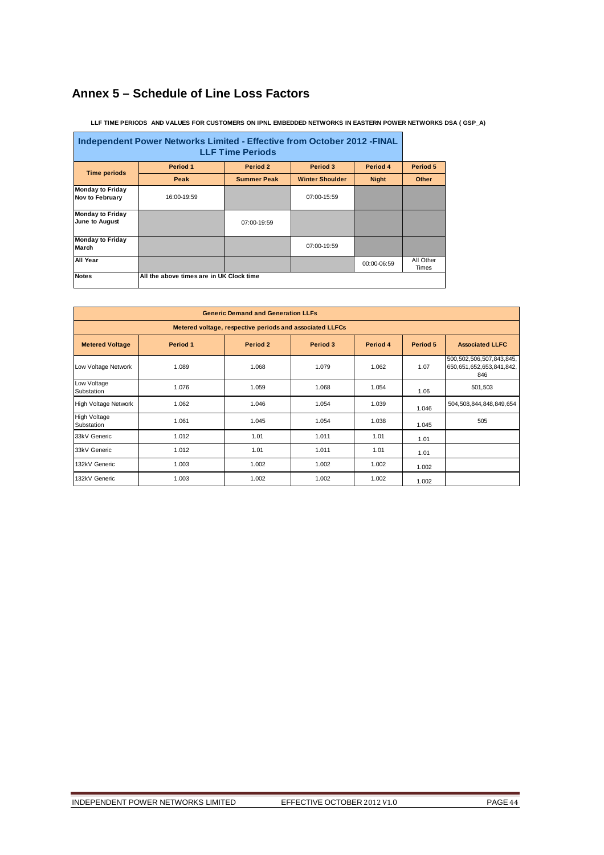# **Annex 5 – Schedule of Line Loss Factors**

| Independent Power Networks Limited - Effective from October 2012 - FINAL<br><b>LLF Time Periods</b> |                                          |                    |                        |              |                    |  |  |  |
|-----------------------------------------------------------------------------------------------------|------------------------------------------|--------------------|------------------------|--------------|--------------------|--|--|--|
| <b>Time periods</b>                                                                                 | Period 1                                 | Period 2           | Period 3               | Period 4     | Period 5           |  |  |  |
|                                                                                                     | Peak                                     | <b>Summer Peak</b> | <b>Winter Shoulder</b> | <b>Night</b> | Other              |  |  |  |
| <b>Monday to Friday</b><br><b>Nov to February</b>                                                   | 16:00-19:59                              |                    | 07:00-15:59            |              |                    |  |  |  |
| <b>Monday to Friday</b><br>June to August                                                           |                                          | 07:00-19:59        |                        |              |                    |  |  |  |
| <b>Monday to Friday</b><br>March                                                                    |                                          |                    | 07:00-19:59            |              |                    |  |  |  |
| All Year                                                                                            |                                          |                    |                        | 00:00-06:59  | All Other<br>Times |  |  |  |
| <b>Notes</b>                                                                                        | All the above times are in UK Clock time |                    |                        |              |                    |  |  |  |

 **LLF TIME PERIODS AND VALUES FOR CUSTOMERS ON IPNL EMBEDDED NETWORKS IN EASTERN POWER NETWORKS DSA ( GSP\_A)**

| <b>Generic Demand and Generation LLFs</b>                |          |          |          |          |          |                                                             |  |  |  |  |
|----------------------------------------------------------|----------|----------|----------|----------|----------|-------------------------------------------------------------|--|--|--|--|
| Metered voltage, respective periods and associated LLFCs |          |          |          |          |          |                                                             |  |  |  |  |
| <b>Metered Voltage</b>                                   | Period 1 | Period 2 | Period 3 | Period 4 | Period 5 | <b>Associated LLFC</b>                                      |  |  |  |  |
| Low Voltage Network                                      | 1.089    | 1.068    | 1.079    | 1.062    | 1.07     | 500,502,506,507,843,845,<br>650,651,652,653,841,842,<br>846 |  |  |  |  |
| Low Voltage<br>Substation                                | 1.076    | 1.059    | 1.068    | 1.054    | 1.06     | 501,503                                                     |  |  |  |  |
| High Voltage Network                                     | 1.062    | 1.046    | 1.054    | 1.039    | 1.046    | 504,508,844,848,849,654                                     |  |  |  |  |
| <b>High Voltage</b><br>Substation                        | 1.061    | 1.045    | 1.054    | 1.038    | 1.045    | 505                                                         |  |  |  |  |
| 33kV Generic                                             | 1.012    | 1.01     | 1.011    | 1.01     | 1.01     |                                                             |  |  |  |  |
| 33kV Generic                                             | 1.012    | 1.01     | 1.011    | 1.01     | 1.01     |                                                             |  |  |  |  |
| 132kV Generic                                            | 1.003    | 1.002    | 1.002    | 1.002    | 1.002    |                                                             |  |  |  |  |
| 132kV Generic                                            | 1.003    | 1.002    | 1.002    | 1.002    | 1.002    |                                                             |  |  |  |  |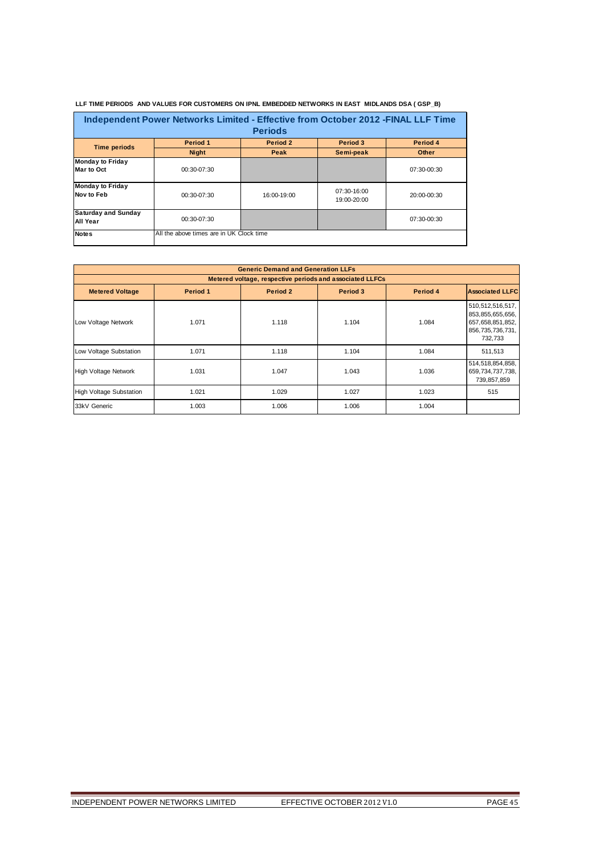| Independent Power Networks Limited - Effective from October 2012 - FINAL LLF Time<br><b>Periods</b> |                                          |             |                              |               |  |  |  |  |  |
|-----------------------------------------------------------------------------------------------------|------------------------------------------|-------------|------------------------------|---------------|--|--|--|--|--|
| <b>Time periods</b>                                                                                 | Period 1                                 | Period 2    | Period 3                     | Period 4      |  |  |  |  |  |
|                                                                                                     | <b>Night</b>                             | Peak        | Semi-peak                    | Other         |  |  |  |  |  |
| <b>Monday to Friday</b><br>Mar to Oct                                                               | $00:30-07:30$                            |             |                              | 07:30-00:30   |  |  |  |  |  |
| <b>Monday to Friday</b><br>Nov to Feb                                                               | $00:30-07:30$                            | 16:00-19:00 | $07:30-16:00$<br>19:00-20:00 | $20:00-00:30$ |  |  |  |  |  |
| <b>Saturday and Sunday</b><br><b>All Year</b>                                                       | 00:30-07:30                              |             |                              | 07:30-00:30   |  |  |  |  |  |
| <b>Notes</b>                                                                                        | All the above times are in UK Clock time |             |                              |               |  |  |  |  |  |

 **LLF TIME PERIODS AND VALUES FOR CUSTOMERS ON IPNL EMBEDDED NETWORKS IN EAST MIDLANDS DSA ( GSP\_B)**

| <b>Generic Demand and Generation LLFs</b>                |          |          |          |          |                                                                                            |  |  |  |  |  |
|----------------------------------------------------------|----------|----------|----------|----------|--------------------------------------------------------------------------------------------|--|--|--|--|--|
| Metered voltage, respective periods and associated LLFCs |          |          |          |          |                                                                                            |  |  |  |  |  |
| <b>Metered Voltage</b>                                   | Period 1 | Period 2 | Period 3 | Period 4 | <b>Associated LLFC</b>                                                                     |  |  |  |  |  |
| Low Voltage Network                                      | 1.071    | 1.118    | 1.104    | 1.084    | 510,512,516,517,<br>853, 855, 655, 656,<br>657,658,851,852,<br>856,735,736,731,<br>732.733 |  |  |  |  |  |
| Low Voltage Substation                                   | 1.071    | 1.118    | 1.104    | 1.084    | 511,513                                                                                    |  |  |  |  |  |
| <b>High Voltage Network</b>                              | 1.031    | 1.047    | 1.043    | 1.036    | 514,518,854,858,<br>659,734,737,738,<br>739,857,859                                        |  |  |  |  |  |
| <b>High Voltage Substation</b>                           | 1.021    | 1.029    | 1.027    | 1.023    | 515                                                                                        |  |  |  |  |  |
| 33kV Generic                                             | 1.003    | 1.006    | 1.006    | 1.004    |                                                                                            |  |  |  |  |  |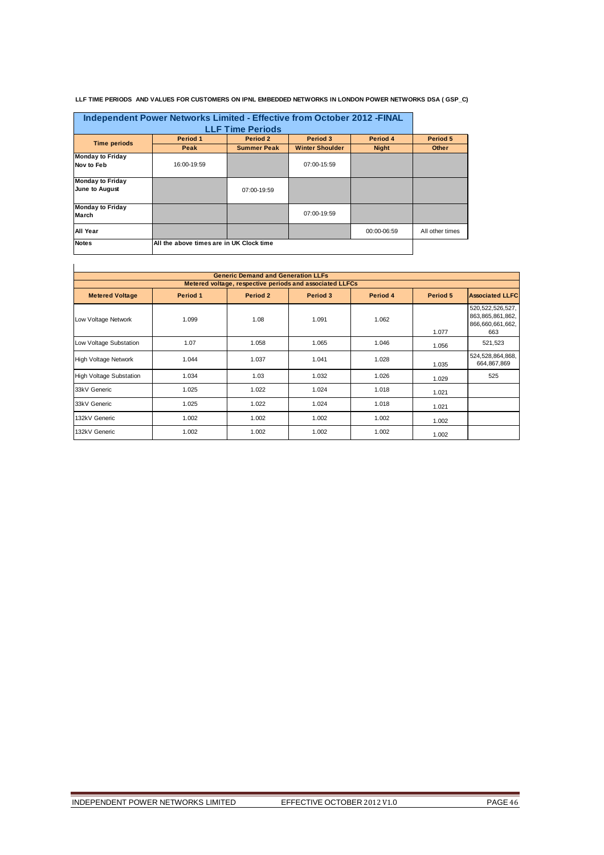#### **LLF TIME PERIODS AND VALUES FOR CUSTOMERS ON IPNL EMBEDDED NETWORKS IN LONDON POWER NETWORKS DSA ( GSP\_C)**

|                                           | Independent Power Networks Limited - Effective from October 2012 - FINAL<br><b>LLF Time Periods</b> |                    |                        |              |                 |  |  |  |  |
|-------------------------------------------|-----------------------------------------------------------------------------------------------------|--------------------|------------------------|--------------|-----------------|--|--|--|--|
| <b>Time periods</b>                       | Period 1                                                                                            | Period 2           | Period 3               | Period 4     | Period 5        |  |  |  |  |
|                                           | Peak                                                                                                | <b>Summer Peak</b> | <b>Winter Shoulder</b> | <b>Night</b> | Other           |  |  |  |  |
| <b>Monday to Friday</b><br>Nov to Feb     | 16:00-19:59                                                                                         |                    | 07:00-15:59            |              |                 |  |  |  |  |
| <b>Monday to Friday</b><br>June to August |                                                                                                     | 07:00-19:59        |                        |              |                 |  |  |  |  |
| <b>Monday to Friday</b><br>March          |                                                                                                     |                    | $07:00-19:59$          |              |                 |  |  |  |  |
| All Year                                  |                                                                                                     |                    |                        | 00:00-06:59  | All other times |  |  |  |  |
| <b>Notes</b>                              | All the above times are in UK Clock time                                                            |                    |                        |              |                 |  |  |  |  |

|                                                                                                              | <b>Generic Demand and Generation LLFs</b><br>Metered voltage, respective periods and associated LLFCs |       |       |       |       |                                                                       |  |  |  |
|--------------------------------------------------------------------------------------------------------------|-------------------------------------------------------------------------------------------------------|-------|-------|-------|-------|-----------------------------------------------------------------------|--|--|--|
| Period 2<br><b>Associated LLFC</b><br>Period 1<br>Period 3<br>Period 4<br>Period 5<br><b>Metered Voltage</b> |                                                                                                       |       |       |       |       |                                                                       |  |  |  |
| Low Voltage Network                                                                                          | 1.099                                                                                                 | 1.08  | 1.091 | 1.062 | 1.077 | 520, 522, 526, 527,<br>863, 865, 861, 862,<br>866,660,661,662,<br>663 |  |  |  |
| Low Voltage Substation                                                                                       | 1.07                                                                                                  | 1.058 | 1.065 | 1.046 | 1.056 | 521,523                                                               |  |  |  |
| <b>High Voltage Network</b>                                                                                  | 1.044                                                                                                 | 1.037 | 1.041 | 1.028 | 1.035 | 524,528,864,868,<br>664,867,869                                       |  |  |  |
| <b>High Voltage Substation</b>                                                                               | 1.034                                                                                                 | 1.03  | 1.032 | 1.026 | 1.029 | 525                                                                   |  |  |  |
| 33kV Generic                                                                                                 | 1.025                                                                                                 | 1.022 | 1.024 | 1.018 | 1.021 |                                                                       |  |  |  |
| 33kV Generic                                                                                                 | 1.025                                                                                                 | 1.022 | 1.024 | 1.018 | 1.021 |                                                                       |  |  |  |
| 132kV Generic                                                                                                | 1.002                                                                                                 | 1.002 | 1.002 | 1.002 | 1.002 |                                                                       |  |  |  |
| 132kV Generic                                                                                                | 1.002                                                                                                 | 1.002 | 1.002 | 1.002 | 1.002 |                                                                       |  |  |  |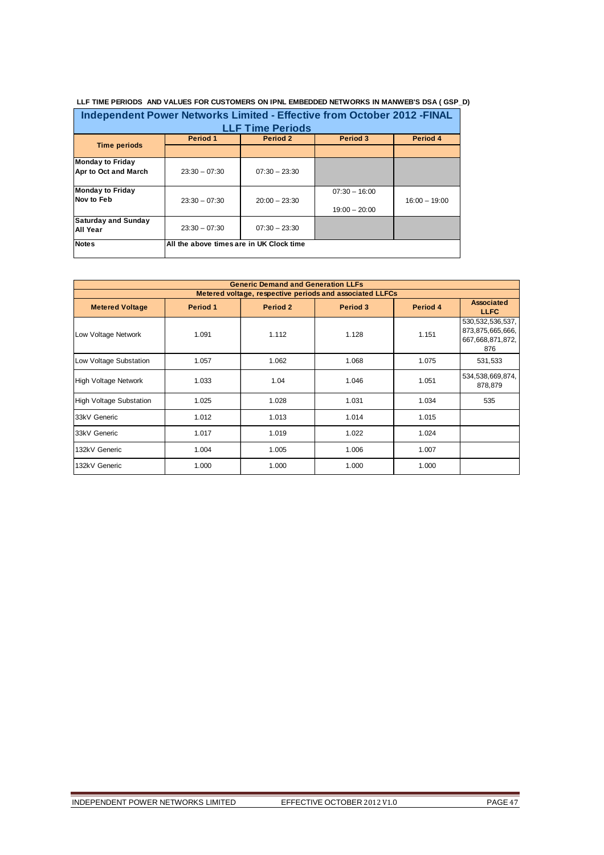| Independent Power Networks Limited - Effective from October 2012 - FINAL |                                          |                 |                 |                 |  |  |  |  |  |
|--------------------------------------------------------------------------|------------------------------------------|-----------------|-----------------|-----------------|--|--|--|--|--|
|                                                                          | <b>LLF Time Periods</b>                  |                 |                 |                 |  |  |  |  |  |
|                                                                          | Period 1                                 | Period 2        | Period 3        | Period 4        |  |  |  |  |  |
| <b>Time periods</b>                                                      |                                          |                 |                 |                 |  |  |  |  |  |
| Monday to Friday<br>Apr to Oct and March                                 | $23:30 - 07:30$                          | $07:30 - 23:30$ |                 |                 |  |  |  |  |  |
| <b>Monday to Friday</b>                                                  |                                          |                 | $07:30 - 16:00$ |                 |  |  |  |  |  |
| Nov to Feb                                                               | $23:30 - 07:30$                          | $20:00 - 23:30$ | $19:00 - 20:00$ | $16:00 - 19:00$ |  |  |  |  |  |
| <b>Saturday and Sunday</b><br>All Year                                   | $23:30 - 07:30$                          | $07:30 - 23:30$ |                 |                 |  |  |  |  |  |
| <b>Notes</b>                                                             | All the above times are in UK Clock time |                 |                 |                 |  |  |  |  |  |

| <b>Generic Demand and Generation LLFs</b> |          |          |                                                          |          |                                                                    |  |
|-------------------------------------------|----------|----------|----------------------------------------------------------|----------|--------------------------------------------------------------------|--|
|                                           |          |          | Metered voltage, respective periods and associated LLFCs |          |                                                                    |  |
| <b>Metered Voltage</b>                    | Period 1 | Period 2 | Period 3                                                 | Period 4 | <b>Associated</b><br><b>LLFC</b>                                   |  |
| Low Voltage Network                       | 1.091    | 1.112    | 1.128                                                    | 1.151    | 530, 532, 536, 537,<br>873,875,665,666,<br>667,668,871,872,<br>876 |  |
| Low Voltage Substation                    | 1.057    | 1.062    | 1.068                                                    | 1.075    | 531,533                                                            |  |
| High Voltage Network                      | 1.033    | 1.04     | 1.046                                                    | 1.051    | 534,538,669,874,<br>878,879                                        |  |
| <b>High Voltage Substation</b>            | 1.025    | 1.028    | 1.031                                                    | 1.034    | 535                                                                |  |
| 33kV Generic                              | 1.012    | 1.013    | 1.014                                                    | 1.015    |                                                                    |  |
| 33kV Generic                              | 1.017    | 1.019    | 1.022                                                    | 1.024    |                                                                    |  |
| 132kV Generic                             | 1.004    | 1.005    | 1.006                                                    | 1.007    |                                                                    |  |
| 132kV Generic                             | 1.000    | 1.000    | 1.000                                                    | 1.000    |                                                                    |  |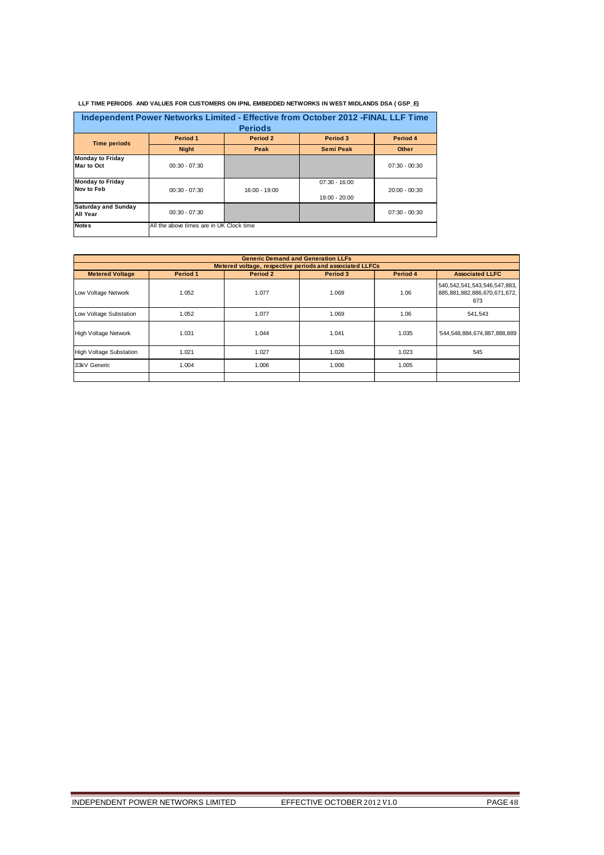| Independent Power Networks Limited - Effective from October 2012 - FINAL LLF Time<br><b>Periods</b> |                                          |               |                                  |                 |  |  |
|-----------------------------------------------------------------------------------------------------|------------------------------------------|---------------|----------------------------------|-----------------|--|--|
| <b>Time periods</b>                                                                                 | Period 1                                 | Period 2      | Period 3                         | Period 4        |  |  |
|                                                                                                     | <b>Night</b>                             | Peak          | <b>Semi Peak</b>                 | <b>Other</b>    |  |  |
| <b>Monday to Friday</b><br>Mar to Oct                                                               | $00:30 - 07:30$                          |               |                                  | $07:30 - 00:30$ |  |  |
| <b>Monday to Friday</b><br>Nov to Feb                                                               | $00:30 - 07:30$                          | 16:00 - 19:00 | $07:30 - 16:00$<br>19:00 - 20:00 | $20:00 - 00:30$ |  |  |
| <b>Saturday and Sunday</b><br>All Year                                                              | $00:30 - 07:30$                          |               |                                  | $07:30 - 00:30$ |  |  |
| <b>Notes</b>                                                                                        | All the above times are in UK Clock time |               |                                  |                 |  |  |

 **LLF TIME PERIODS AND VALUES FOR CUSTOMERS ON IPNL EMBEDDED NETWORKS IN WEST MIDLANDS DSA ( GSP\_E)**

| <b>Generic Demand and Generation LLFs</b>                |          |          |          |          |                                                                           |  |  |  |
|----------------------------------------------------------|----------|----------|----------|----------|---------------------------------------------------------------------------|--|--|--|
| Metered voltage, respective periods and associated LLFCs |          |          |          |          |                                                                           |  |  |  |
| <b>Metered Voltage</b>                                   | Period 1 | Period 2 | Period 3 | Period 4 | <b>Associated LLFC</b>                                                    |  |  |  |
| Low Voltage Network                                      | 1.052    | 1.077    | 1.069    | 1.06     | 540, 542, 541, 543, 546, 547, 883,<br>885,881,882,886,670,671,672,<br>673 |  |  |  |
| Low Voltage Substation                                   | 1.052    | 1.077    | 1.069    | 1.06     | 541,543                                                                   |  |  |  |
| <b>High Voltage Network</b>                              | 1.031    | 1.044    | 1.041    | 1.035    | '544,548,884,674,887,888,889                                              |  |  |  |
| <b>High Voltage Substation</b>                           | 1.021    | 1.027    | 1.026    | 1.023    | 545                                                                       |  |  |  |
| 33kV Generic                                             | 1.004    | 1.006    | 1.006    | 1.005    |                                                                           |  |  |  |
|                                                          |          |          |          |          |                                                                           |  |  |  |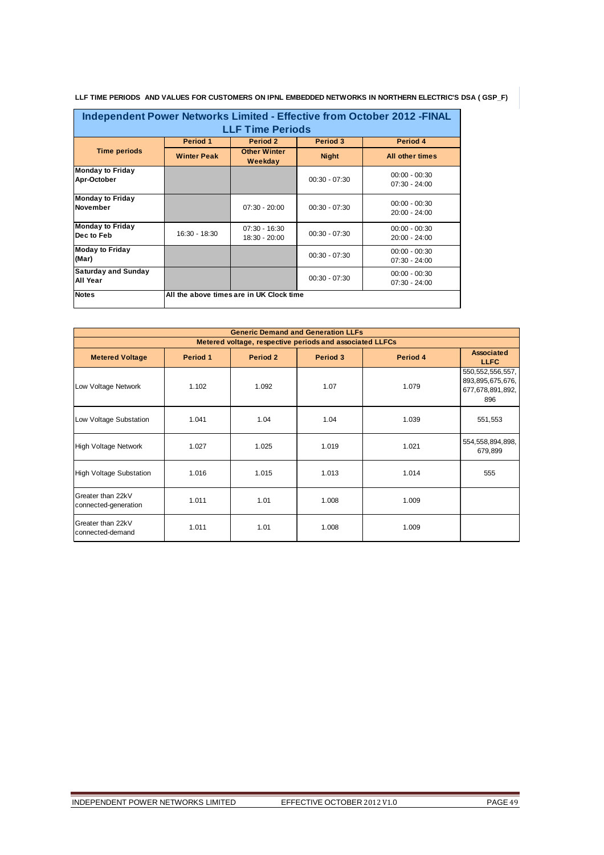| Independent Power Networks Limited - Effective from October 2012 - FINAL<br><b>LLF Time Periods</b> |                    |                                          |                 |                                    |  |  |
|-----------------------------------------------------------------------------------------------------|--------------------|------------------------------------------|-----------------|------------------------------------|--|--|
|                                                                                                     | Period 1           | <b>Period 2</b>                          | Period 3        | Period 4                           |  |  |
| <b>Time periods</b>                                                                                 | <b>Winter Peak</b> | <b>Other Winter</b><br>Weekday           | <b>Night</b>    | All other times                    |  |  |
| <b>Monday to Friday</b><br>Apr-October                                                              |                    |                                          | $00:30 - 07:30$ | $00:00 - 00:30$<br>$07:30 - 24:00$ |  |  |
| <b>Monday to Friday</b><br><b>November</b>                                                          |                    | $07:30 - 20:00$                          | $00:30 - 07:30$ | $00:00 - 00:30$<br>$20:00 - 24:00$ |  |  |
| <b>Monday to Friday</b><br>Dec to Feb                                                               | $16:30 - 18:30$    | $07:30 - 16:30$<br>18:30 - 20:00         | $00:30 - 07:30$ | $00:00 - 00:30$<br>$20:00 - 24:00$ |  |  |
| <b>Moday to Friday</b><br>(Mar)                                                                     |                    |                                          | $00:30 - 07:30$ | $00:00 - 00:30$<br>$07:30 - 24:00$ |  |  |
| <b>Saturday and Sunday</b><br>All Year                                                              |                    |                                          | $00:30 - 07:30$ | $00:00 - 00:30$<br>$07:30 - 24:00$ |  |  |
| <b>Notes</b>                                                                                        |                    | All the above times are in UK Clock time |                 |                                    |  |  |

**LLF TIME PERIODS AND VALUES FOR CUSTOMERS ON IPNL EMBEDDED NETWORKS IN NORTHERN ELECTRIC'S DSA ( GSP\_F)**

| <b>Generic Demand and Generation LLFs</b> |          |                                                          |          |          |                                                                    |  |  |
|-------------------------------------------|----------|----------------------------------------------------------|----------|----------|--------------------------------------------------------------------|--|--|
|                                           |          | Metered voltage, respective periods and associated LLFCs |          |          |                                                                    |  |  |
| <b>Metered Voltage</b>                    | Period 1 | Period 2                                                 | Period 3 | Period 4 | <b>Associated</b><br><b>LLFC</b>                                   |  |  |
| Low Voltage Network                       | 1.102    | 1.092                                                    | 1.07     | 1.079    | 550, 552, 556, 557,<br>893,895,675,676,<br>677,678,891,892,<br>896 |  |  |
| Low Voltage Substation                    | 1.041    | 1.04                                                     | 1.04     | 1.039    | 551,553                                                            |  |  |
| <b>High Voltage Network</b>               | 1.027    | 1.025                                                    | 1.019    | 1.021    | 554, 558, 894, 898,<br>679,899                                     |  |  |
| <b>High Voltage Substation</b>            | 1.016    | 1.015                                                    | 1.013    | 1.014    | 555                                                                |  |  |
| Greater than 22kV<br>connected-generation | 1.011    | 1.01                                                     | 1.008    | 1.009    |                                                                    |  |  |
| Greater than 22kV<br>connected-demand     | 1.011    | 1.01                                                     | 1.008    | 1.009    |                                                                    |  |  |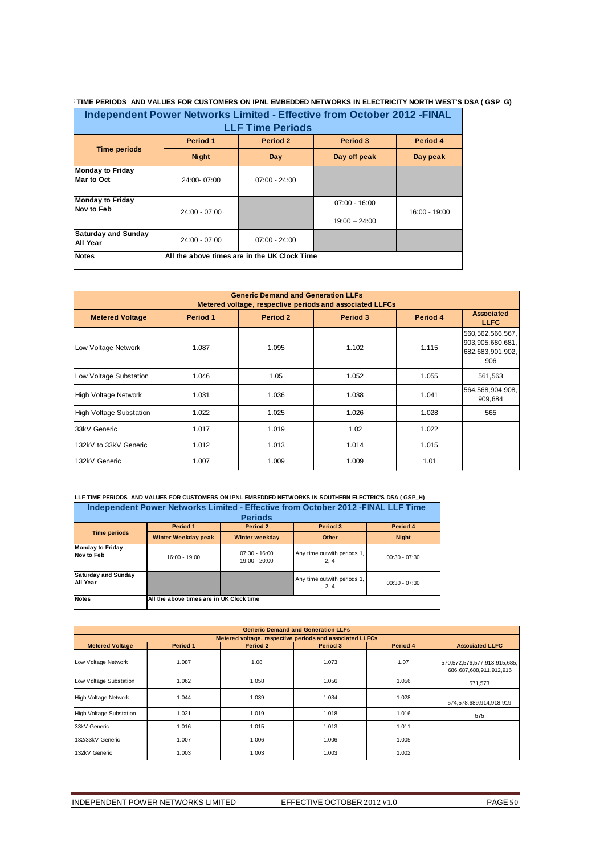#### **TIME PERIODS AND VALUES FOR CUSTOMERS ON IPNL EMBEDDED NETWORKS IN ELECTRICITY NORTH WEST'S DSA ( GSP\_G)**

| Independent Power Networks Limited - Effective from October 2012 - FINAL<br><b>LLF Time Periods</b> |                                              |                 |                                    |               |  |  |
|-----------------------------------------------------------------------------------------------------|----------------------------------------------|-----------------|------------------------------------|---------------|--|--|
| Period 4<br>Period 1<br>Period 2<br>Period 3                                                        |                                              |                 |                                    |               |  |  |
| <b>Time periods</b>                                                                                 | <b>Night</b>                                 | Day             | Day off peak                       | Day peak      |  |  |
| Monday to Friday<br>Mar to Oct                                                                      | 24:00-07:00                                  | $07:00 - 24:00$ |                                    |               |  |  |
| Monday to Friday<br><b>Nov to Feb</b>                                                               | $24:00 - 07:00$                              |                 | $07:00 - 16:00$<br>$19:00 - 24:00$ | 16:00 - 19:00 |  |  |
| <b>Saturday and Sunday</b><br>All Year                                                              | $24:00 - 07:00$                              | $07:00 - 24:00$ |                                    |               |  |  |
| <b>Notes</b>                                                                                        | All the above times are in the UK Clock Time |                 |                                    |               |  |  |

|                                                                                                            | <b>Generic Demand and Generation LLFs</b><br>Metered voltage, respective periods and associated LLFCs |       |       |       |                                                                    |  |  |  |  |
|------------------------------------------------------------------------------------------------------------|-------------------------------------------------------------------------------------------------------|-------|-------|-------|--------------------------------------------------------------------|--|--|--|--|
| <b>Associated</b><br>Period 1<br>Period 2<br>Period 3<br>Period 4<br><b>Metered Voltage</b><br><b>LLFC</b> |                                                                                                       |       |       |       |                                                                    |  |  |  |  |
| Low Voltage Network                                                                                        | 1.087                                                                                                 | 1.095 | 1.102 | 1.115 | 560, 562, 566, 567,<br>903,905,680,681,<br>682,683,901,902,<br>906 |  |  |  |  |
| Low Voltage Substation                                                                                     | 1.046                                                                                                 | 1.05  | 1.052 | 1.055 | 561,563                                                            |  |  |  |  |
| <b>High Voltage Network</b>                                                                                | 1.031                                                                                                 | 1.036 | 1.038 | 1.041 | 564,568,904,908,<br>909,684                                        |  |  |  |  |
| <b>High Voltage Substation</b>                                                                             | 1.022                                                                                                 | 1.025 | 1.026 | 1.028 | 565                                                                |  |  |  |  |
| 33kV Generic                                                                                               | 1.017                                                                                                 | 1.019 | 1.02  | 1.022 |                                                                    |  |  |  |  |
| 132kV to 33kV Generic                                                                                      | 1.012                                                                                                 | 1.013 | 1.014 | 1.015 |                                                                    |  |  |  |  |
| 132kV Generic                                                                                              | 1.007                                                                                                 | 1.009 | 1.009 | 1.01  |                                                                    |  |  |  |  |

#### **LLF TIME PERIODS AND VALUES FOR CUSTOMERS ON IPNL EMBEDDED NETWORKS IN SOUTHERN ELECTRIC'S DSA ( GSP\_H) Independent Power Networks Limited - Effective from October 2012 -FINAL LLF Time**

| <b>Periods</b>                                |                                          |                                  |                                     |                 |  |  |
|-----------------------------------------------|------------------------------------------|----------------------------------|-------------------------------------|-----------------|--|--|
| <b>Time periods</b>                           | Period 1                                 | Period 2                         | Period 3                            | Period 4        |  |  |
|                                               | <b>Winter Weekday peak</b>               | Winter weekday                   | Other                               | <b>Night</b>    |  |  |
| <b>Monday to Friday</b><br>Nov to Feb         | 16:00 - 19:00                            | $07:30 - 16:00$<br>19:00 - 20:00 | Any time outwith periods 1,<br>2.4  | $00:30 - 07:30$ |  |  |
| <b>Saturday and Sunday</b><br><b>All Year</b> |                                          |                                  | Any time outwith periods 1,<br>2, 4 | $00:30 - 07:30$ |  |  |
| <b>Notes</b>                                  | All the above times are in UK Clock time |                                  |                                     |                 |  |  |

| <b>Generic Demand and Generation LLFs</b> |                                                          |          |          |          |                                                         |  |  |  |  |
|-------------------------------------------|----------------------------------------------------------|----------|----------|----------|---------------------------------------------------------|--|--|--|--|
|                                           | Metered voltage, respective periods and associated LLFCs |          |          |          |                                                         |  |  |  |  |
| <b>Metered Voltage</b>                    | Period 1                                                 | Period 2 | Period 3 | Period 4 | <b>Associated LLFC</b>                                  |  |  |  |  |
| Low Voltage Network                       | 1.087                                                    | 1.08     | 1.073    | 1.07     | 570,572,576,577,913,915,685,<br>686,687,688,911,912,916 |  |  |  |  |
| Low Voltage Substation                    | 1.062                                                    | 1.058    | 1.056    | 1.056    | 571.573                                                 |  |  |  |  |
| <b>High Voltage Network</b>               | 1.044                                                    | 1.039    | 1.034    | 1.028    | 574,578,689,914,918,919                                 |  |  |  |  |
| <b>High Voltage Substation</b>            | 1.021                                                    | 1.019    | 1.018    | 1.016    | 575                                                     |  |  |  |  |
| 33kV Generic                              | 1.016                                                    | 1.015    | 1.013    | 1.011    |                                                         |  |  |  |  |
| 132/33kV Generic                          | 1.007                                                    | 1.006    | 1.006    | 1.005    |                                                         |  |  |  |  |
| 132kV Generic                             | 1.003                                                    | 1.003    | 1.003    | 1.002    |                                                         |  |  |  |  |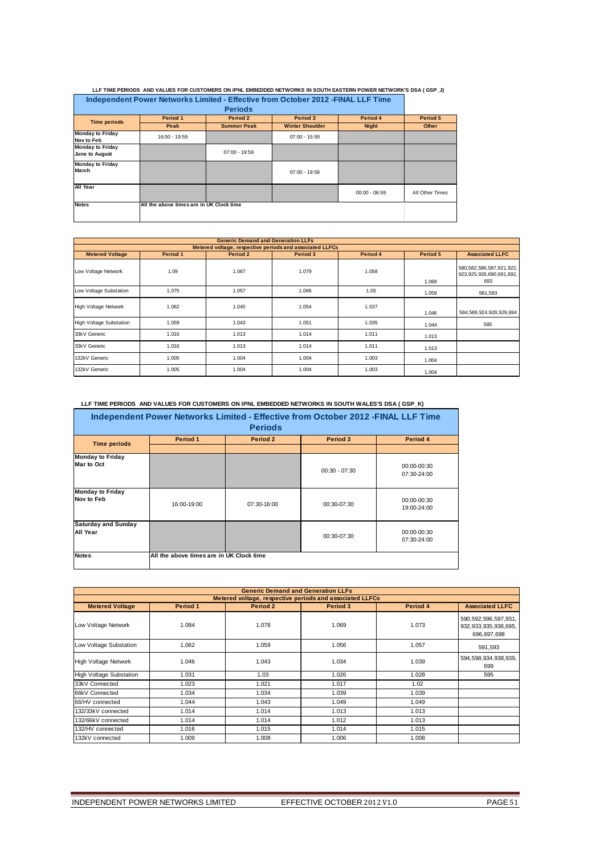| Independent Power Networks Limited - Effective from October 2012 - FINAL LLF Time<br><b>Periods</b> |                                          |                    |                        |                 |                 |
|-----------------------------------------------------------------------------------------------------|------------------------------------------|--------------------|------------------------|-----------------|-----------------|
| <b>Time periods</b>                                                                                 | Period 1                                 | Period 2           | Period 3               | Period 4        | Period 5        |
|                                                                                                     | Peak                                     | <b>Summer Peak</b> | <b>Winter Shoulder</b> | <b>Night</b>    | Other           |
| <b>Monday to Friday</b><br>Nov to Feb                                                               | 16:00 - 19:59                            |                    | $07:00 - 15:59$        |                 |                 |
| <b>Monday to Friday</b><br>June to August                                                           |                                          | $07:00 - 19:59$    |                        |                 |                 |
| <b>Monday to Friday</b><br>March                                                                    |                                          |                    | $07:00 - 19:59$        |                 |                 |
| All Year                                                                                            |                                          |                    |                        | $00:00 - 06:59$ | All Other Times |
| <b>Notes</b>                                                                                        | All the above times are in UK Clock time |                    |                        |                 |                 |

 **LLF TIME PERIODS AND VALUES FOR CUSTOMERS ON IPNL EMBEDDED NETWORKS IN SOUTH EASTERN POWER NETWORK'S DSA ( GSP\_J)**

|                                                          | <b>Generic Demand and Generation LLFs</b> |          |          |          |          |                                                             |  |  |  |
|----------------------------------------------------------|-------------------------------------------|----------|----------|----------|----------|-------------------------------------------------------------|--|--|--|
| Metered voltage, respective periods and associated LLFCs |                                           |          |          |          |          |                                                             |  |  |  |
| <b>Metered Voltage</b>                                   | Period 1                                  | Period 2 | Period 3 | Period 4 | Period 5 | <b>Associated LLFC</b>                                      |  |  |  |
| Low Voltage Network                                      | 1.09                                      | 1.067    | 1.079    | 1.058    | 1.069    | 580,582,586,587,921,922,<br>923,925,926,690,691,692,<br>693 |  |  |  |
| Low Voltage Substation                                   | 1.075                                     | 1.057    | 1.066    | 1.05     | 1.059    | 581,583                                                     |  |  |  |
| High Voltage Network                                     | 1.062                                     | 1.045    | 1.054    | 1.037    | 1.046    | 584, 588, 924, 928, 929, 694                                |  |  |  |
| <b>High Voltage Substation</b>                           | 1.059                                     | 1.043    | 1.051    | 1.035    | 1.044    | 585                                                         |  |  |  |
| 33kV Generic                                             | 1.016                                     | 1.013    | 1.014    | 1.011    | 1.013    |                                                             |  |  |  |
| 33kV Generic                                             | 1.016                                     | 1.013    | 1.014    | 1.011    | 1.013    |                                                             |  |  |  |
| 132kV Generic                                            | 1.005                                     | 1.004    | 1.004    | 1.003    | 1.004    |                                                             |  |  |  |
| 132kV Generic                                            | 1.005                                     | 1.004    | 1.004    | 1.003    | 1.004    |                                                             |  |  |  |

#### **LLF TIME PERIODS AND VALUES FOR CUSTOMERS ON IPNL EMBEDDED NETWORKS IN SOUTH WALES'S DSA ( GSP\_K)**

| Independent Power Networks Limited - Effective from October 2012 - FINAL LLF Time<br><b>Periods</b> |                                          |             |                 |                            |  |  |
|-----------------------------------------------------------------------------------------------------|------------------------------------------|-------------|-----------------|----------------------------|--|--|
| <b>Time periods</b>                                                                                 | Period 1                                 | Period 2    | <b>Period 3</b> | Period 4                   |  |  |
| <b>Monday to Friday</b><br>Mar to Oct                                                               |                                          |             | $00:30 - 07:30$ | 00:00-00:30<br>07:30-24:00 |  |  |
| <b>Monday to Friday</b><br>Nov to Feb                                                               | 16:00-19:00                              | 07:30-16:00 | 00:30-07:30     | 00:00-00:30<br>19:00-24:00 |  |  |
| <b>Saturday and Sunday</b><br>All Year                                                              |                                          |             | 00:30-07:30     | 00:00-00:30<br>07:30-24:00 |  |  |
| <b>Notes</b>                                                                                        | All the above times are in UK Clock time |             |                 |                            |  |  |

|                                                          | <b>Generic Demand and Generation LLFs</b> |          |          |          |                                                                     |  |  |  |
|----------------------------------------------------------|-------------------------------------------|----------|----------|----------|---------------------------------------------------------------------|--|--|--|
| Metered voltage, respective periods and associated LLFCs |                                           |          |          |          |                                                                     |  |  |  |
| <b>Metered Voltage</b>                                   | Period 1                                  | Period 2 | Period 3 | Period 4 | <b>Associated LLFC</b>                                              |  |  |  |
| Low Voltage Network                                      | 1.084                                     | 1.078    | 1.069    | 1.073    | 590, 592, 596, 597, 931,<br>932, 933, 935, 936, 695,<br>696,697,698 |  |  |  |
| Low Voltage Substation                                   | 1.062                                     | 1.059    | 1.056    | 1.057    | 591,593                                                             |  |  |  |
| <b>High Voltage Network</b>                              | 1.046                                     | 1.043    | 1.034    | 1.039    | 594,598,934,938,939,<br>699                                         |  |  |  |
| <b>High Voltage Substation</b>                           | 1.031                                     | 1.03     | 1.026    | 1.028    | 595                                                                 |  |  |  |
| 33kV Connected                                           | 1.023                                     | 1.021    | 1.017    | 1.02     |                                                                     |  |  |  |
| 66kV Connected                                           | 1.034                                     | 1.034    | 1.039    | 1.039    |                                                                     |  |  |  |
| 66/HV connected                                          | 1.044                                     | 1.043    | 1.049    | 1.049    |                                                                     |  |  |  |
| 132/33kV connected                                       | 1.014                                     | 1.014    | 1.013    | 1.013    |                                                                     |  |  |  |
| 132/66kV connected                                       | 1.014                                     | 1.014    | 1.012    | 1.013    |                                                                     |  |  |  |
| 132/HV connected                                         | 1.016                                     | 1.015    | 1.014    | 1.015    |                                                                     |  |  |  |
| 132kV connected                                          | 1.009                                     | 1.008    | 1.006    | 1.008    |                                                                     |  |  |  |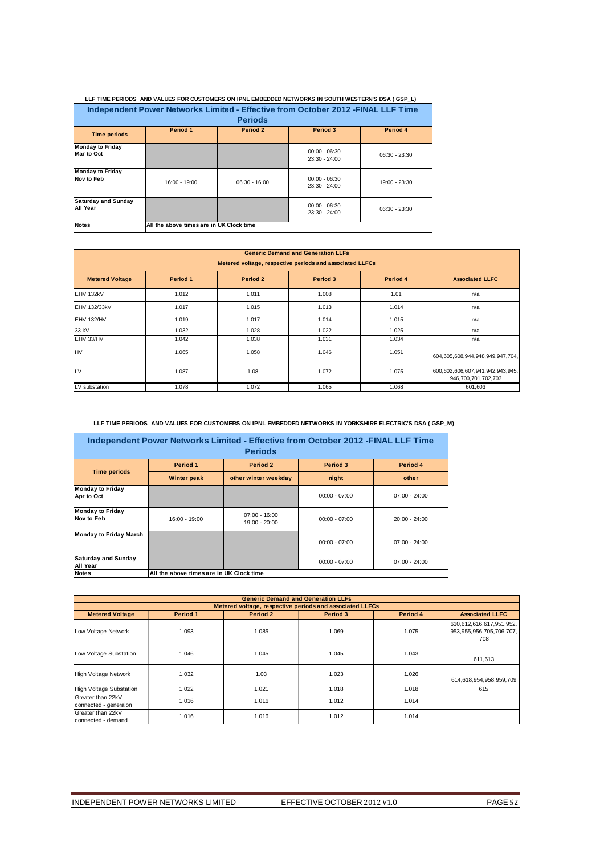| LLF TIME FERIODS. AND VALUES FOR GOSTOMERS ON IFNL EMBEDDED NETWORKS IN SOUTH WESTERN STDSATTSFT. I |                                                                                   |                 |                                  |                 |  |  |  |
|-----------------------------------------------------------------------------------------------------|-----------------------------------------------------------------------------------|-----------------|----------------------------------|-----------------|--|--|--|
|                                                                                                     | Independent Power Networks Limited - Effective from October 2012 - FINAL LLF Time |                 |                                  |                 |  |  |  |
|                                                                                                     |                                                                                   | <b>Periods</b>  |                                  |                 |  |  |  |
| <b>Time periods</b>                                                                                 | Period 1                                                                          | Period 2        | Period 3                         | Period 4        |  |  |  |
|                                                                                                     |                                                                                   |                 |                                  |                 |  |  |  |
| <b>Monday to Friday</b><br>Mar to Oct                                                               |                                                                                   |                 | $00:00 - 06:30$<br>23:30 - 24:00 | $06:30 - 23:30$ |  |  |  |
| <b>Monday to Friday</b><br>Nov to Feb                                                               | 16:00 - 19:00                                                                     | $06:30 - 16:00$ | $00:00 - 06:30$<br>23:30 - 24:00 | 19:00 - 23:30   |  |  |  |
| Saturday and Sunday<br>All Year                                                                     |                                                                                   |                 | $00:00 - 06:30$<br>23:30 - 24:00 | $06:30 - 23:30$ |  |  |  |
| <b>Notes</b>                                                                                        | All the above times are in UK Clock time                                          |                 |                                  |                 |  |  |  |

 **LLF TIME PERIODS AND VALUES FOR CUSTOMERS ON IPNL EMBEDDED NETWORKS IN SOUTH WESTERN'S DSA ( GSP\_L)**

| <b>Generic Demand and Generation LLFs</b> |                                                          |          |          |          |                                                         |  |  |  |  |
|-------------------------------------------|----------------------------------------------------------|----------|----------|----------|---------------------------------------------------------|--|--|--|--|
|                                           | Metered voltage, respective periods and associated LLFCs |          |          |          |                                                         |  |  |  |  |
| <b>Metered Voltage</b>                    | Period 1                                                 | Period 2 | Period 3 | Period 4 | <b>Associated LLFC</b>                                  |  |  |  |  |
| EHV 132kV                                 | 1.012                                                    | 1.011    | 1.008    | 1.01     | n/a                                                     |  |  |  |  |
| EHV 132/33kV                              | 1.017                                                    | 1.015    | 1.013    | 1.014    | n/a                                                     |  |  |  |  |
| EHV 132/HV                                | 1.019                                                    | 1.017    | 1.014    | 1.015    | n/a                                                     |  |  |  |  |
| 33 kV                                     | 1.032                                                    | 1.028    | 1.022    | 1.025    | n/a                                                     |  |  |  |  |
| EHV 33/HV                                 | 1.042                                                    | 1.038    | 1.031    | 1.034    | n/a                                                     |  |  |  |  |
| <b>HV</b>                                 | 1.065                                                    | 1.058    | 1.046    | 1.051    | 604,605,608,944,948,949,947,704,                        |  |  |  |  |
| LV                                        | 1.087                                                    | 1.08     | 1.072    | 1.075    | 600,602,606,607,941,942,943,945,<br>946,700,701,702,703 |  |  |  |  |
| LV substation                             | 1.078                                                    | 1.072    | 1.065    | 1.068    | 601,603                                                 |  |  |  |  |

### **LLF TIME PERIODS AND VALUES FOR CUSTOMERS ON IPNL EMBEDDED NETWORKS IN YORKSHIRE ELECTRIC'S DSA ( GSP\_M)**

| Independent Power Networks Limited - Effective from October 2012 - FINAL LLF Time<br><b>Periods</b> |                    |                                          |                 |                 |  |  |  |  |
|-----------------------------------------------------------------------------------------------------|--------------------|------------------------------------------|-----------------|-----------------|--|--|--|--|
| <b>Time periods</b>                                                                                 | Period 1           | Period 2                                 | Period 3        | Period 4        |  |  |  |  |
|                                                                                                     | <b>Winter peak</b> | other winter weekday                     | night           | other           |  |  |  |  |
| <b>Monday to Friday</b><br>Apr to Oct                                                               |                    |                                          | $00:00 - 07:00$ | $07:00 - 24:00$ |  |  |  |  |
| <b>Monday to Friday</b><br>Nov to Feb                                                               | 16:00 - 19:00      | $07:00 - 16:00$<br>19:00 - 20:00         | $00:00 - 07:00$ | $20:00 - 24:00$ |  |  |  |  |
| <b>Monday to Friday March</b>                                                                       |                    |                                          | $00:00 - 07:00$ | $07:00 - 24:00$ |  |  |  |  |
| <b>Saturday and Sunday</b><br>All Year                                                              |                    |                                          | $00:00 - 07:00$ | $07:00 - 24:00$ |  |  |  |  |
| <b>Notes</b>                                                                                        |                    | All the above times are in UK Clock time |                 |                 |  |  |  |  |

|                                            | <b>Generic Demand and Generation LLFs</b> |          |                                                          |          |                                                                  |  |  |  |
|--------------------------------------------|-------------------------------------------|----------|----------------------------------------------------------|----------|------------------------------------------------------------------|--|--|--|
|                                            |                                           |          | Metered voltage, respective periods and associated LLFCs |          |                                                                  |  |  |  |
| <b>Metered Voltage</b>                     | Period 1                                  | Period 2 | Period 3                                                 | Period 4 | <b>Associated LLFC</b>                                           |  |  |  |
| Low Voltage Network                        | 1.093                                     | 1.085    | 1.069                                                    | 1.075    | 610,612,616,617,951,952,<br>953, 955, 956, 705, 706, 707,<br>708 |  |  |  |
| Low Voltage Substation                     | 1.046                                     | 1.045    | 1.045                                                    | 1.043    | 611,613                                                          |  |  |  |
| <b>High Voltage Network</b>                | 1.032                                     | 1.03     | 1.023                                                    | 1.026    | 614,618,954,958,959,709                                          |  |  |  |
| <b>High Voltage Substation</b>             | 1.022                                     | 1.021    | 1.018                                                    | 1.018    | 615                                                              |  |  |  |
| Greater than 22kV<br>connected - generaion | 1.016                                     | 1.016    | 1.012                                                    | 1.014    |                                                                  |  |  |  |
| Greater than 22kV<br>connected - demand    | 1.016                                     | 1.016    | 1.012                                                    | 1.014    |                                                                  |  |  |  |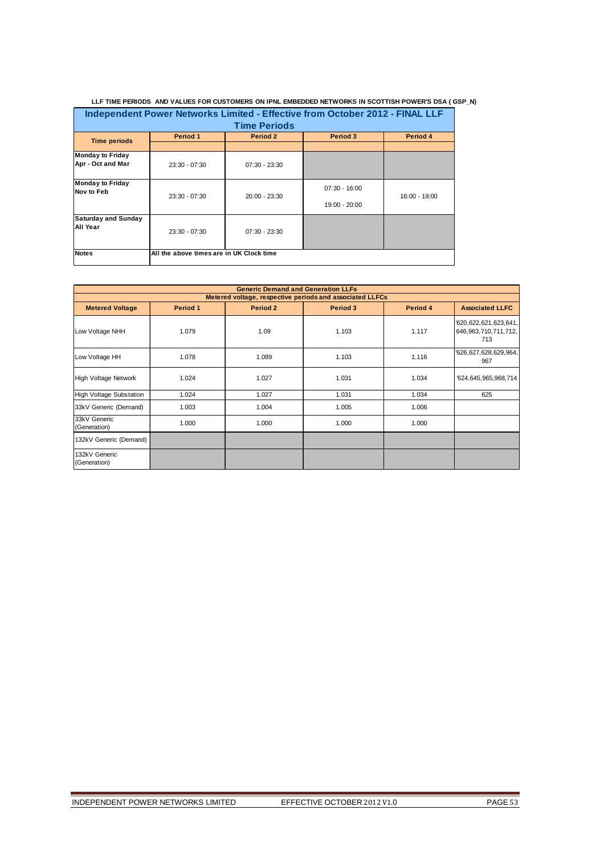| LLF TIME PERIODS AND VALUES FOR CUSTOMERS ON IPNL EMBEDDED NETWORKS IN SCOTTISH POWER'S DSA (GSP_N) |                                          |                 |                                  |               |  |  |  |  |
|-----------------------------------------------------------------------------------------------------|------------------------------------------|-----------------|----------------------------------|---------------|--|--|--|--|
| Independent Power Networks Limited - Effective from October 2012 - FINAL LLF                        |                                          |                 |                                  |               |  |  |  |  |
| <b>Time Periods</b>                                                                                 |                                          |                 |                                  |               |  |  |  |  |
| Period 1<br>Period 2<br>Period 4<br>Period 3<br><b>Time periods</b>                                 |                                          |                 |                                  |               |  |  |  |  |
|                                                                                                     |                                          |                 |                                  |               |  |  |  |  |
| <b>Monday to Friday</b><br>Apr - Oct and Mar                                                        | $23:30 - 07:30$                          | $07:30 - 23:30$ |                                  |               |  |  |  |  |
| <b>Monday to Friday</b><br>Nov to Feb                                                               | $23:30 - 07:30$                          | 20:00 - 23:30   | $07:30 - 16:00$<br>19:00 - 20:00 | 16:00 - 19:00 |  |  |  |  |
| <b>Saturday and Sunday</b><br>All Year                                                              | $23:30 - 07:30$                          | $07:30 - 23:30$ |                                  |               |  |  |  |  |
| <b>Notes</b>                                                                                        | All the above times are in UK Clock time |                 |                                  |               |  |  |  |  |

#### **Metered Voltage Period 1 Period 2 Period 3 Period 4 Associated LLFC** Low Voltage NHH 1.079 | 1.09 | 1.103 | 1.117 '620,622,621,623,641, 646,963,710,711,712, 713 Low Voltage HH 1.078 1.089 1.103 1.103 1.116 1.116 1.127,628,629,964, 967 High Voltage Network | 1.024 1.027 1.031 1.031 1.034 1624,645,965,968,714 High Voltage Substation 1.024 1.027 1.031 1.034 625 33kV Generic (Demand) | 1.003 | 1.004 | 1.005 | 1.006 33kV Generic<br>(Generation) USKY UCHCHC<br>(Generation) 1.000 1.000 1.000 1.000 1.000 1.000 132kV Generic (Demand) 132kV Generic (Generation) **Generic Demand and Generation LLFs Metered voltage, respective periods and associated LLFCs**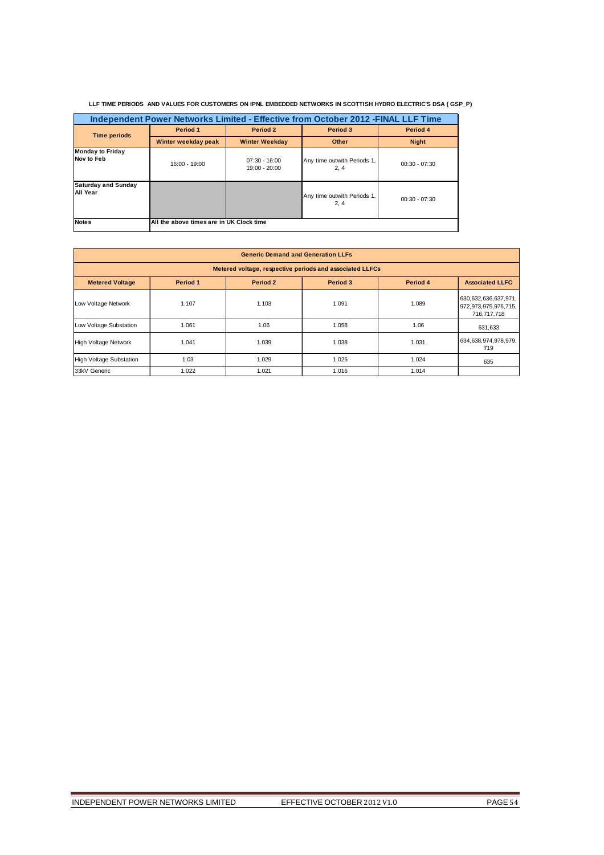| LLF TIME PERIODS AND VALUES FOR CUSTOMERS ON IPNL EMBEDDED NETWORKS IN SCOTTISH HYDRO ELECTRIC'S DSA (GSP P) |
|--------------------------------------------------------------------------------------------------------------|
|                                                                                                              |

| Independent Power Networks Limited - Effective from October 2012 -FINAL LLF Time |                                          |                                    |                                     |                 |  |  |  |
|----------------------------------------------------------------------------------|------------------------------------------|------------------------------------|-------------------------------------|-----------------|--|--|--|
| <b>Time periods</b>                                                              | Period 1                                 | Period 2                           |                                     | Period 4        |  |  |  |
|                                                                                  | Winter weekday peak                      | <b>Winter Weekday</b>              | Other                               | <b>Night</b>    |  |  |  |
| <b>Monday to Friday</b><br>Nov to Feb                                            | 16:00 - 19:00                            | $07:30 - 16:00$<br>$19:00 - 20:00$ | Any time outwith Periods 1,<br>2, 4 | $00:30 - 07:30$ |  |  |  |
| <b>Saturday and Sunday</b><br>All Year                                           |                                          |                                    | Any time outwith Periods 1,<br>2, 4 | $00:30 - 07:30$ |  |  |  |
| <b>Notes</b>                                                                     | All the above times are in UK Clock time |                                    |                                     |                 |  |  |  |

| <b>Generic Demand and Generation LLFs</b>                                                        |                                                          |       |       |       |                                                                 |  |  |  |
|--------------------------------------------------------------------------------------------------|----------------------------------------------------------|-------|-------|-------|-----------------------------------------------------------------|--|--|--|
|                                                                                                  | Metered voltage, respective periods and associated LLFCs |       |       |       |                                                                 |  |  |  |
| Period 3<br>Period 4<br><b>Metered Voltage</b><br>Period 1<br>Period 2<br><b>Associated LLFC</b> |                                                          |       |       |       |                                                                 |  |  |  |
| Low Voltage Network                                                                              | 1.107                                                    | 1.103 | 1.091 | 1.089 | 630, 632, 636, 637, 971,<br>972,973,975,976,715,<br>716,717,718 |  |  |  |
| Low Voltage Substation                                                                           | 1.061                                                    | 1.06  | 1.058 | 1.06  | 631,633                                                         |  |  |  |
| <b>High Voltage Network</b>                                                                      | 1.041                                                    | 1.039 | 1.038 | 1.031 | 634,638,974,978,979,<br>719                                     |  |  |  |
| <b>High Voltage Substation</b>                                                                   | 1.03                                                     | 1.029 | 1.025 | 1.024 | 635                                                             |  |  |  |
| 33kV Generic                                                                                     | 1.022                                                    | 1.021 | 1.016 | 1.014 |                                                                 |  |  |  |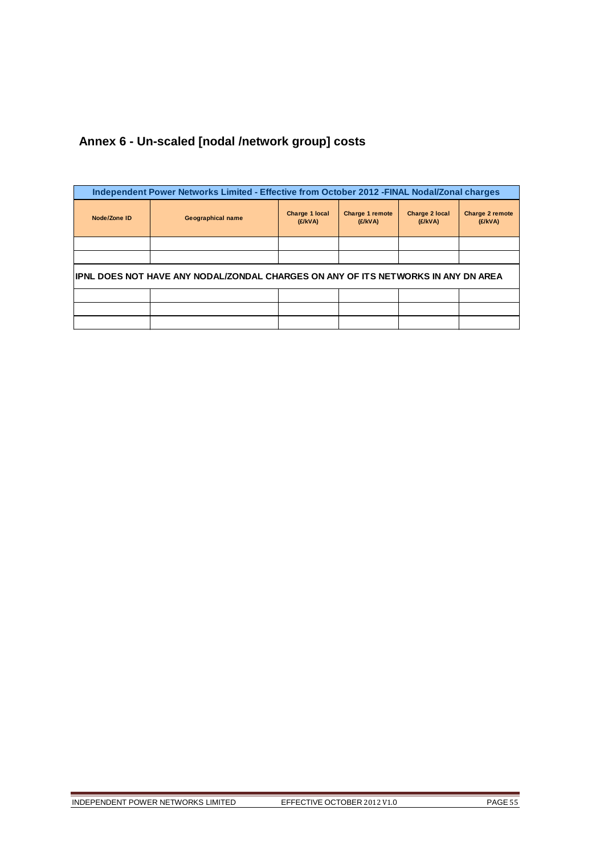# **Annex 6 - Un-scaled [nodal /network group] costs**

| Independent Power Networks Limited - Effective from October 2012 - FINAL Nodal/Zonal charges |                          |                           |                            |                           |                            |
|----------------------------------------------------------------------------------------------|--------------------------|---------------------------|----------------------------|---------------------------|----------------------------|
| Node/Zone ID                                                                                 | <b>Geographical name</b> | Charge 1 local<br>(E/KVA) | Charge 1 remote<br>(E/KVA) | Charge 2 local<br>(E/KVA) | Charge 2 remote<br>(E/KVA) |
|                                                                                              |                          |                           |                            |                           |                            |
|                                                                                              |                          |                           |                            |                           |                            |
| IPNL DOES NOT HAVE ANY NODAL/ZONDAL CHARGES ON ANY OF ITS NETWORKS IN ANY DN AREA            |                          |                           |                            |                           |                            |
|                                                                                              |                          |                           |                            |                           |                            |
|                                                                                              |                          |                           |                            |                           |                            |
|                                                                                              |                          |                           |                            |                           |                            |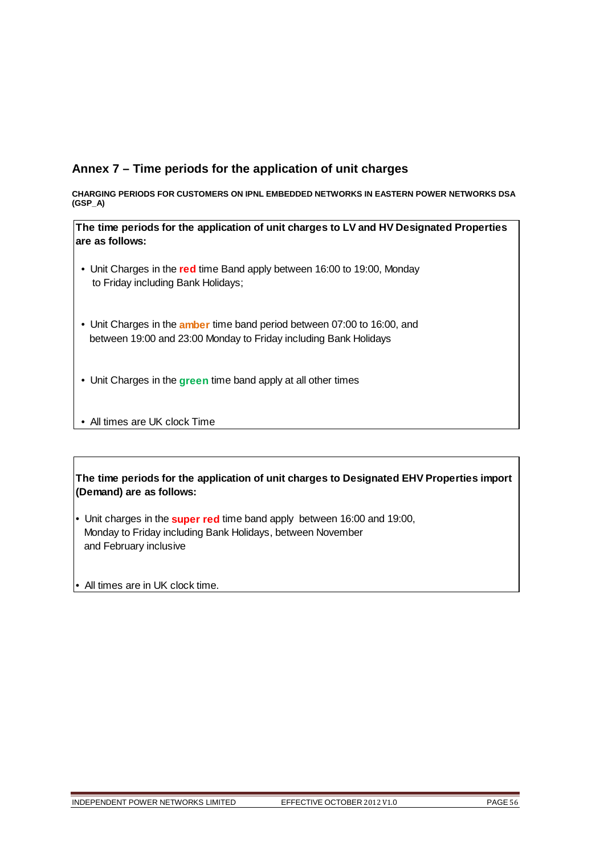# **Annex 7 – Time periods for the application of unit charges**

**CHARGING PERIODS FOR CUSTOMERS ON IPNL EMBEDDED NETWORKS IN EASTERN POWER NETWORKS DSA (GSP\_A)** 

**The time periods for the application of unit charges to LV and HV Designated Properties are as follows:**

- Unit Charges in the **red** time Band apply between 16:00 to 19:00, Monday to Friday including Bank Holidays;
- Unit Charges in the **amber** time band period between 07:00 to 16:00, and between 19:00 and 23:00 Monday to Friday including Bank Holidays
- Unit Charges in the **green** time band apply at all other times
- All times are UK clock Time

**The time periods for the application of unit charges to Designated EHV Properties import (Demand) are as follows:**

- Unit charges in the **super red** time band apply between 16:00 and 19:00, Monday to Friday including Bank Holidays, between November and February inclusive
- All times are in UK clock time.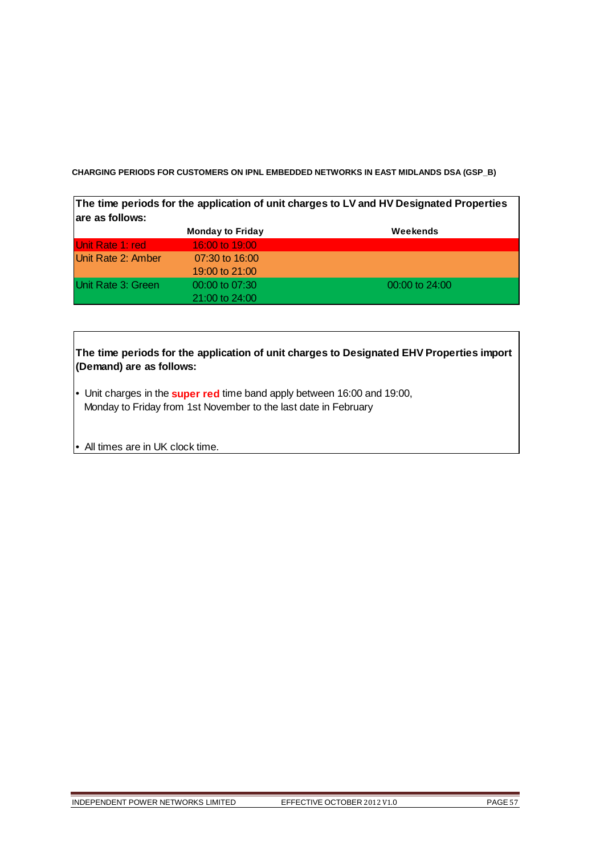**CHARGING PERIODS FOR CUSTOMERS ON IPNL EMBEDDED NETWORKS IN EAST MIDLANDS DSA (GSP\_B)** 

**The time periods for the application of unit charges to LV and HV Designated Properties are as follows:**

|                         | <b>Monday to Friday</b> | Weekends           |
|-------------------------|-------------------------|--------------------|
| <b>Unit Rate 1: red</b> | 16:00 to 19:00          |                    |
| Unit Rate 2: Amber      | $07:30$ to $16:00$      |                    |
|                         | 19:00 to 21:00          |                    |
| Unit Rate 3: Green      | $00:00$ to $07:30$      | $00:00$ to $24:00$ |
|                         | $21:00$ to $24:00$      |                    |

| The time periods for the application of unit charges to Designated EHV Properties import<br>(Demand) are as follows:                                       |
|------------------------------------------------------------------------------------------------------------------------------------------------------------|
| $\bullet$ Unit charges in the <b>super red</b> time band apply between 16:00 and 19:00,<br>Monday to Friday from 1st November to the last date in February |

• All times are in UK clock time.

 $\sqrt{ }$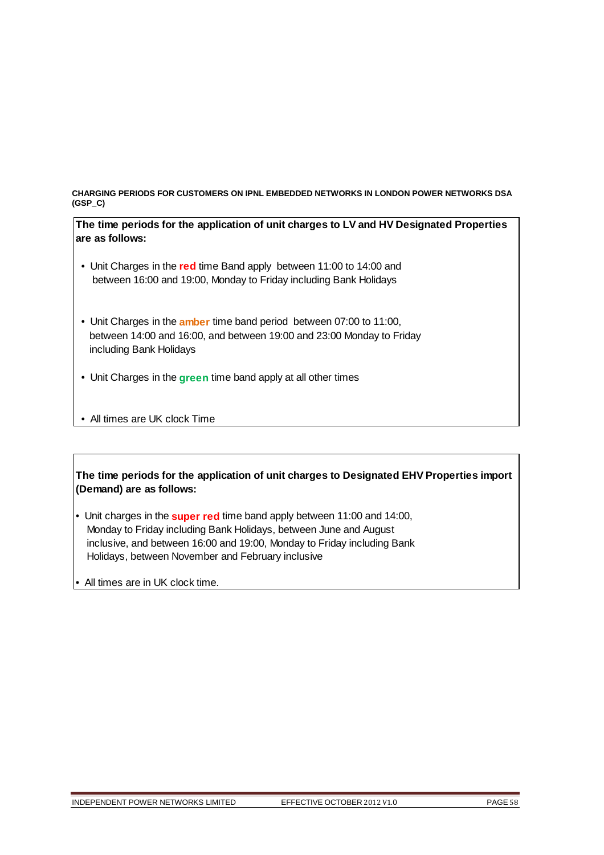**CHARGING PERIODS FOR CUSTOMERS ON IPNL EMBEDDED NETWORKS IN LONDON POWER NETWORKS DSA (GSP\_C)** 

**The time periods for the application of unit charges to LV and HV Designated Properties are as follows:**

- Unit Charges in the **red** time Band apply between 11:00 to 14:00 and between 16:00 and 19:00, Monday to Friday including Bank Holidays
- Unit Charges in the **amber** time band period between 07:00 to 11:00, between 14:00 and 16:00, and between 19:00 and 23:00 Monday to Friday including Bank Holidays
- Unit Charges in the **green** time band apply at all other times
- All times are UK clock Time

**The time periods for the application of unit charges to Designated EHV Properties import (Demand) are as follows:**

- Unit charges in the **super red** time band apply between 11:00 and 14:00, Monday to Friday including Bank Holidays, between June and August inclusive, and between 16:00 and 19:00, Monday to Friday including Bank Holidays, between November and February inclusive
- All times are in UK clock time.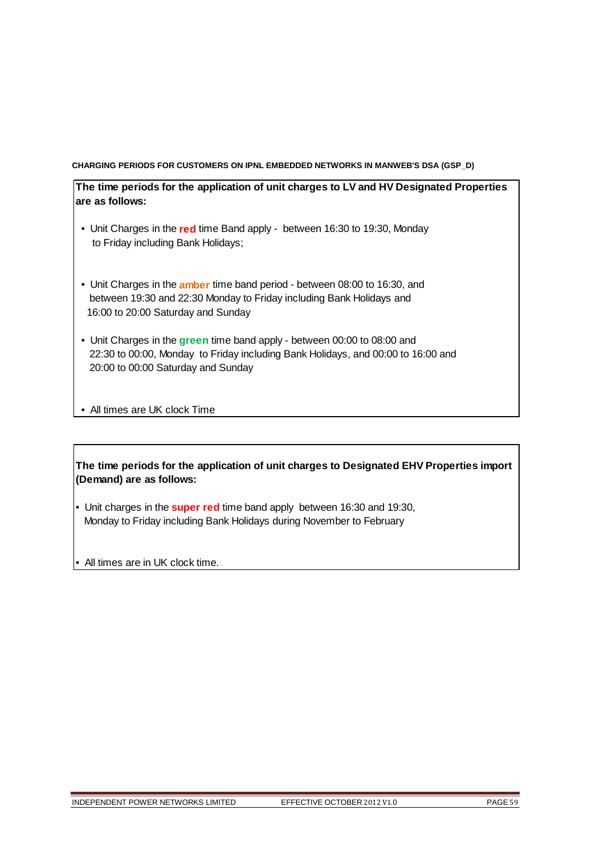### **CHARGING PERIODS FOR CUSTOMERS ON IPNL EMBEDDED NETWORKS IN MANWEB'S DSA (GSP\_D)**

**The time periods for the application of unit charges to LV and HV Designated Properties are as follows:**

- Unit Charges in the **red** time Band apply between 16:30 to 19:30, Monday to Friday including Bank Holidays;
- Unit Charges in the **amber** time band period between 08:00 to 16:30, and between 19:30 and 22:30 Monday to Friday including Bank Holidays and 16:00 to 20:00 Saturday and Sunday
- Unit Charges in the **green** time band apply between 00:00 to 08:00 and 22:30 to 00:00, Monday to Friday including Bank Holidays, and 00:00 to 16:00 and 20:00 to 00:00 Saturday and Sunday

• All times are UK clock Time

**The time periods for the application of unit charges to Designated EHV Properties import (Demand) are as follows:**

• Unit charges in the **super red** time band apply between 16:30 and 19:30, Monday to Friday including Bank Holidays during November to February

• All times are in UK clock time.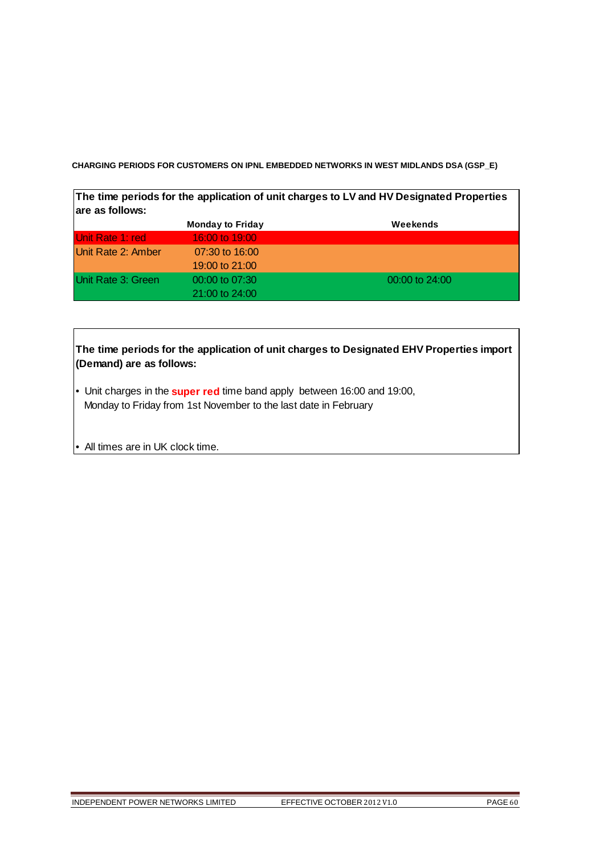**CHARGING PERIODS FOR CUSTOMERS ON IPNL EMBEDDED NETWORKS IN WEST MIDLANDS DSA (GSP\_E)** 

| The time periods for the application of unit charges to LV and HV Designated Properties<br>lare as follows: |                         |          |  |
|-------------------------------------------------------------------------------------------------------------|-------------------------|----------|--|
|                                                                                                             | <b>Monday to Friday</b> | Weekends |  |
| IUnit Rate 1: red                                                                                           | 16:00 to 19:00          |          |  |
| I Init Data 2: Ambor                                                                                        | $07.20 \div 16.00$      |          |  |

| Unit Rate 2: Amber         | 07:30 to 16:00     |                  |
|----------------------------|--------------------|------------------|
|                            | 19:00 to 21:00     |                  |
| <b>IUnit Rate 3: Green</b> | $00:00$ to $07:30$ | $00:00$ to 24:00 |
|                            | 21:00 to 24:00     |                  |

| The time periods for the application of unit charges to Designated EHV Properties import<br>(Demand) are as follows:                                       |  |  |  |
|------------------------------------------------------------------------------------------------------------------------------------------------------------|--|--|--|
| $\bullet$ Unit charges in the <b>super red</b> time band apply between 16:00 and 19:00,<br>Monday to Friday from 1st November to the last date in February |  |  |  |
| $\bullet$ All times are in UK clock time.                                                                                                                  |  |  |  |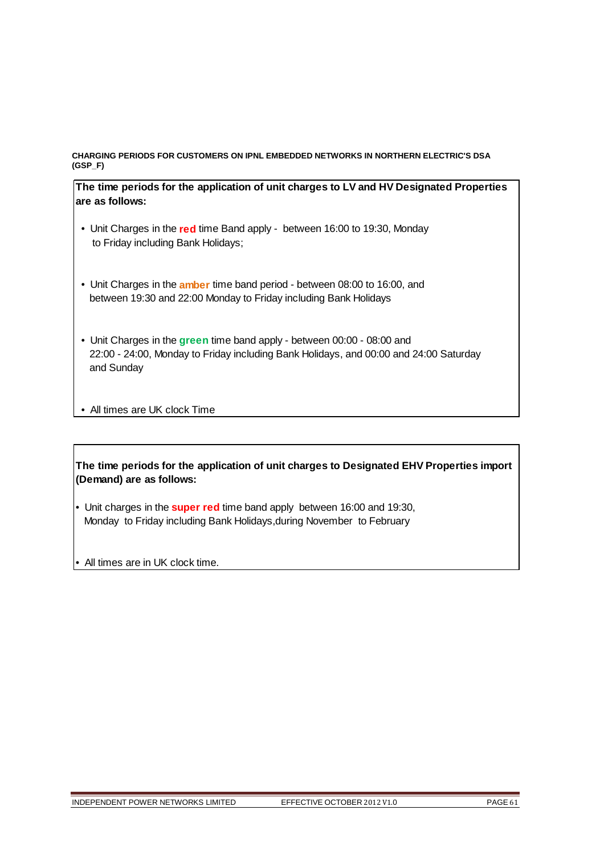# **CHARGING PERIODS FOR CUSTOMERS ON IPNL EMBEDDED NETWORKS IN NORTHERN ELECTRIC'S DSA (GSP\_F)**

**The time periods for the application of unit charges to LV and HV Designated Properties are as follows:**

- Unit Charges in the **red** time Band apply between 16:00 to 19:30, Monday to Friday including Bank Holidays;
- Unit Charges in the **amber** time band period between 08:00 to 16:00, and between 19:30 and 22:00 Monday to Friday including Bank Holidays
- Unit Charges in the **green** time band apply between 00:00 08:00 and 22:00 - 24:00, Monday to Friday including Bank Holidays, and 00:00 and 24:00 Saturday and Sunday

• All times are UK clock Time

**The time periods for the application of unit charges to Designated EHV Properties import (Demand) are as follows:**

- Unit charges in the **super red** time band apply between 16:00 and 19:30, Monday to Friday including Bank Holidays,during November to February
- All times are in UK clock time.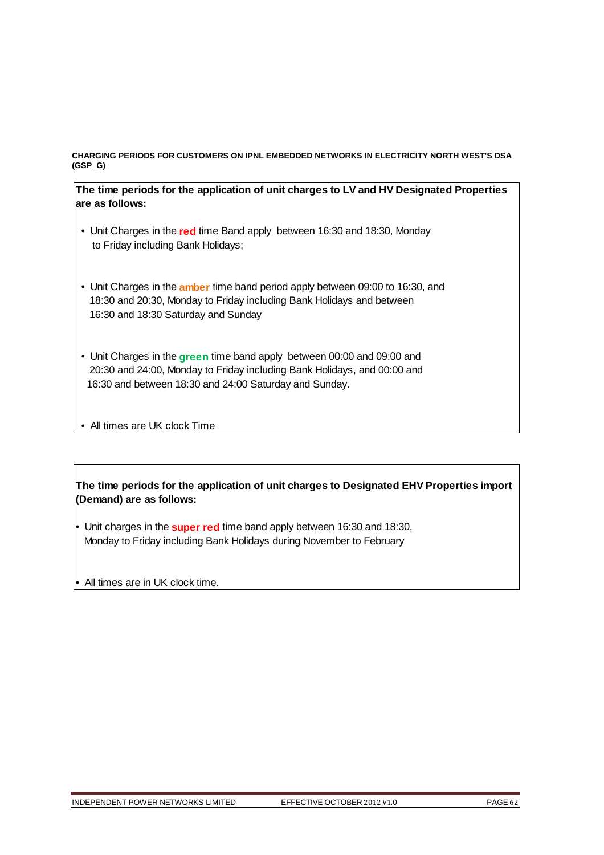### **CHARGING PERIODS FOR CUSTOMERS ON IPNL EMBEDDED NETWORKS IN ELECTRICITY NORTH WEST'S DSA (GSP\_G)**

**The time periods for the application of unit charges to LV and HV Designated Properties are as follows:**

- Unit Charges in the **red** time Band apply between 16:30 and 18:30, Monday to Friday including Bank Holidays;
- Unit Charges in the **amber** time band period apply between 09:00 to 16:30, and 18:30 and 20:30, Monday to Friday including Bank Holidays and between 16:30 and 18:30 Saturday and Sunday
- Unit Charges in the **green** time band apply between 00:00 and 09:00 and 20:30 and 24:00, Monday to Friday including Bank Holidays, and 00:00 and 16:30 and between 18:30 and 24:00 Saturday and Sunday.
- All times are UK clock Time

**The time periods for the application of unit charges to Designated EHV Properties import (Demand) are as follows:**

- Unit charges in the **super red** time band apply between 16:30 and 18:30, Monday to Friday including Bank Holidays during November to February
- All times are in UK clock time.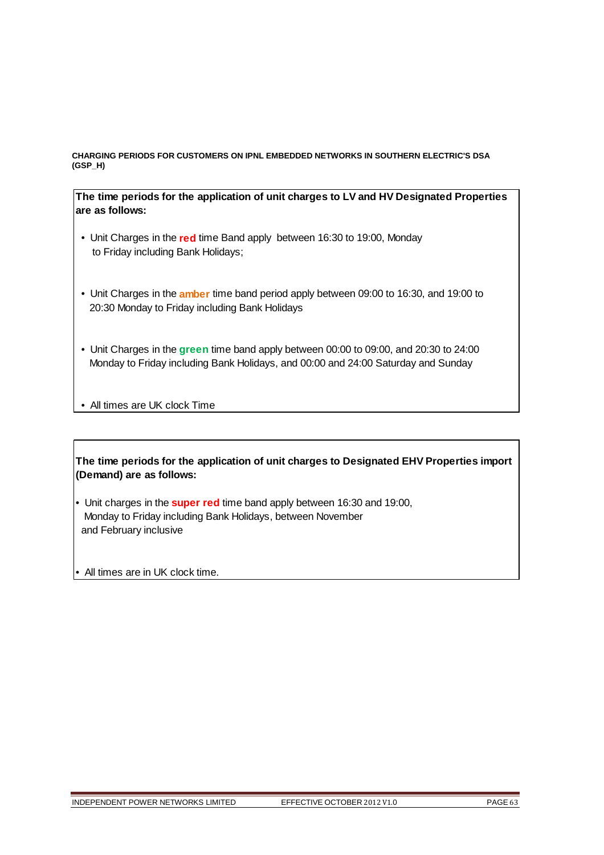### **CHARGING PERIODS FOR CUSTOMERS ON IPNL EMBEDDED NETWORKS IN SOUTHERN ELECTRIC'S DSA (GSP\_H)**

# **The time periods for the application of unit charges to LV and HV Designated Properties are as follows:**

- Unit Charges in the **red** time Band apply between 16:30 to 19:00, Monday to Friday including Bank Holidays;
- Unit Charges in the **amber** time band period apply between 09:00 to 16:30, and 19:00 to 20:30 Monday to Friday including Bank Holidays
- Unit Charges in the **green** time band apply between 00:00 to 09:00, and 20:30 to 24:00 Monday to Friday including Bank Holidays, and 00:00 and 24:00 Saturday and Sunday

• All times are UK clock Time

**The time periods for the application of unit charges to Designated EHV Properties import (Demand) are as follows:**

• Unit charges in the **super red** time band apply between 16:30 and 19:00, Monday to Friday including Bank Holidays, between November and February inclusive

• All times are in UK clock time.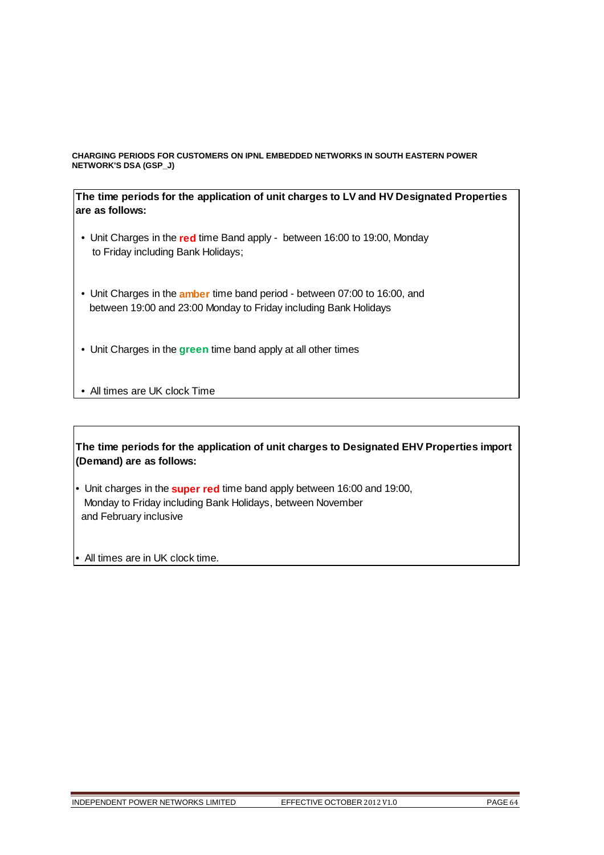### **CHARGING PERIODS FOR CUSTOMERS ON IPNL EMBEDDED NETWORKS IN SOUTH EASTERN POWER NETWORK'S DSA (GSP\_J)**

**The time periods for the application of unit charges to LV and HV Designated Properties are as follows:**

- Unit Charges in the **red** time Band apply between 16:00 to 19:00, Monday to Friday including Bank Holidays;
- Unit Charges in the **amber** time band period between 07:00 to 16:00, and between 19:00 and 23:00 Monday to Friday including Bank Holidays
- Unit Charges in the **green** time band apply at all other times
- All times are UK clock Time

**The time periods for the application of unit charges to Designated EHV Properties import (Demand) are as follows:**

- Unit charges in the **super red** time band apply between 16:00 and 19:00, Monday to Friday including Bank Holidays, between November and February inclusive
- All times are in UK clock time.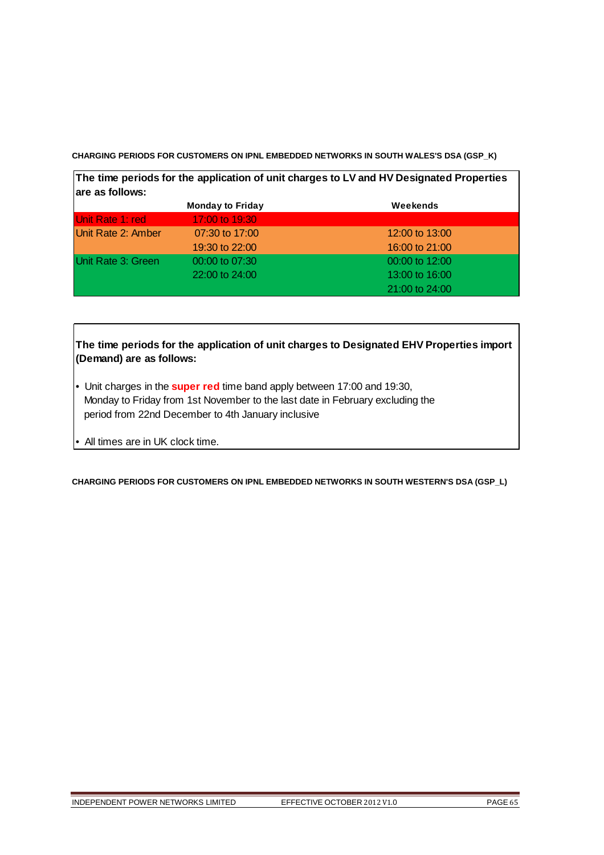**CHARGING PERIODS FOR CUSTOMERS ON IPNL EMBEDDED NETWORKS IN SOUTH WALES'S DSA (GSP\_K)** 

| The time periods for the application of unit charges to LV and HV Designated Properties<br>are as follows: |                |                |  |
|------------------------------------------------------------------------------------------------------------|----------------|----------------|--|
|                                                                                                            |                |                |  |
| Unit Rate 1: red                                                                                           | 17:00 to 19:30 |                |  |
| Unit Rate 2: Amber                                                                                         | 07:30 to 17:00 | 12:00 to 13:00 |  |
|                                                                                                            | 19:30 to 22:00 | 16:00 to 21:00 |  |
| Unit Rate 3: Green                                                                                         | 00:00 to 07:30 | 00:00 to 12:00 |  |
|                                                                                                            | 22:00 to 24:00 | 13:00 to 16:00 |  |
|                                                                                                            |                | 21:00 to 24:00 |  |

# **The time periods for the application of unit charges to Designated EHV Properties import (Demand) are as follows:**

- Unit charges in the **super red** time band apply between 17:00 and 19:30, Monday to Friday from 1st November to the last date in February excluding the period from 22nd December to 4th January inclusive
- All times are in UK clock time.

**CHARGING PERIODS FOR CUSTOMERS ON IPNL EMBEDDED NETWORKS IN SOUTH WESTERN'S DSA (GSP\_L)**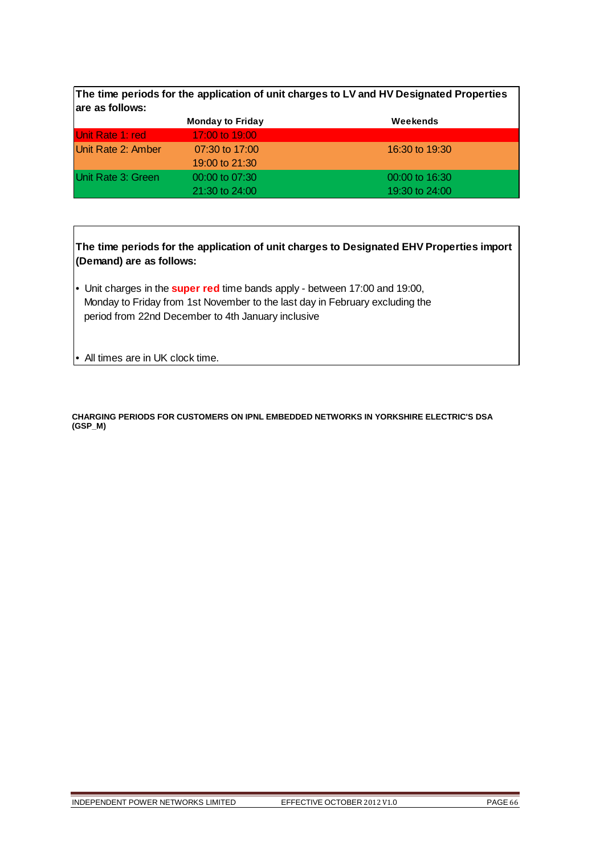|                    | <b>Monday to Friday</b> | Weekends       |
|--------------------|-------------------------|----------------|
| Unit Rate 1: red   | 17:00 to 19:00          |                |
| Unit Rate 2: Amber | 07:30 to 17:00          | 16:30 to 19:30 |
|                    | 19:00 to 21:30          |                |
| Unit Rate 3: Green | $00:00$ to $07:30$      | 00:00 to 16:30 |
|                    | $21:30$ to $24:00$      | 19:30 to 24:00 |

**The time periods for the application of unit charges to Designated EHV Properties import (Demand) are as follows:**

• Unit charges in the **super red** time bands apply - between 17:00 and 19:00, Monday to Friday from 1st November to the last day in February excluding the period from 22nd December to 4th January inclusive

• All times are in UK clock time.

**CHARGING PERIODS FOR CUSTOMERS ON IPNL EMBEDDED NETWORKS IN YORKSHIRE ELECTRIC'S DSA (GSP\_M)**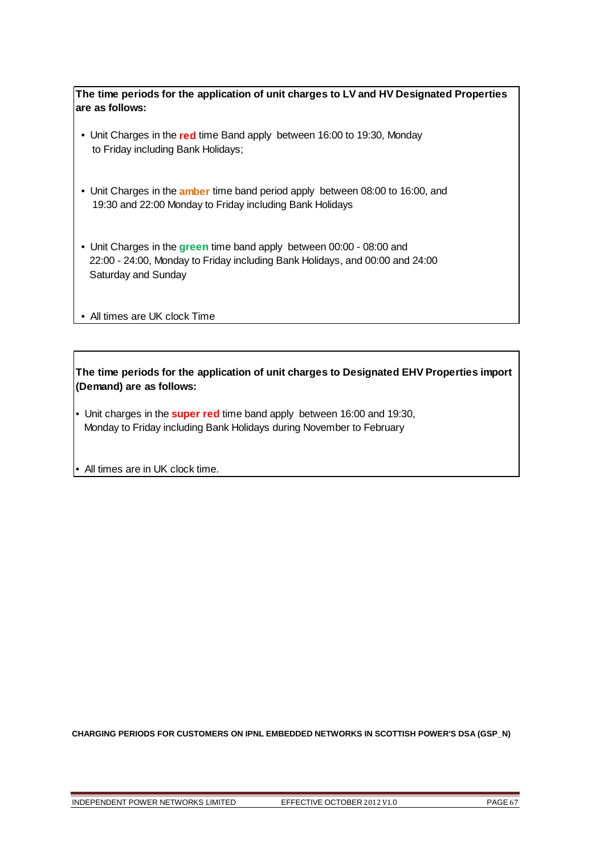- Unit Charges in the **red** time Band apply between 16:00 to 19:30, Monday to Friday including Bank Holidays;
- Unit Charges in the **amber** time band period apply between 08:00 to 16:00, and 19:30 and 22:00 Monday to Friday including Bank Holidays
- Unit Charges in the **green** time band apply between 00:00 08:00 and 22:00 - 24:00, Monday to Friday including Bank Holidays, and 00:00 and 24:00 Saturday and Sunday

• All times are UK clock Time

**The time periods for the application of unit charges to Designated EHV Properties import (Demand) are as follows:**

• Unit charges in the **super red** time band apply between 16:00 and 19:30, Monday to Friday including Bank Holidays during November to February

• All times are in UK clock time.

**CHARGING PERIODS FOR CUSTOMERS ON IPNL EMBEDDED NETWORKS IN SCOTTISH POWER'S DSA (GSP\_N)**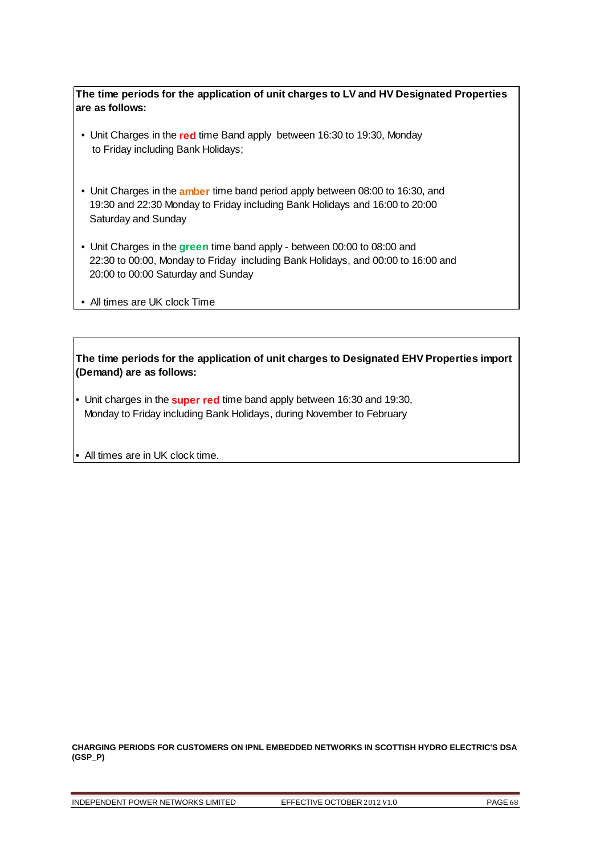- Unit Charges in the **red** time Band apply between 16:30 to 19:30, Monday to Friday including Bank Holidays;
- Unit Charges in the **amber** time band period apply between 08:00 to 16:30, and 19:30 and 22:30 Monday to Friday including Bank Holidays and 16:00 to 20:00 Saturday and Sunday
- Unit Charges in the **green** time band apply between 00:00 to 08:00 and 22:30 to 00:00, Monday to Friday including Bank Holidays, and 00:00 to 16:00 and 20:00 to 00:00 Saturday and Sunday
- All times are UK clock Time

**The time periods for the application of unit charges to Designated EHV Properties import (Demand) are as follows:**

- Unit charges in the **super red** time band apply between 16:30 and 19:30, Monday to Friday including Bank Holidays, during November to February
- All times are in UK clock time.

**CHARGING PERIODS FOR CUSTOMERS ON IPNL EMBEDDED NETWORKS IN SCOTTISH HYDRO ELECTRIC'S DSA (GSP\_P)**